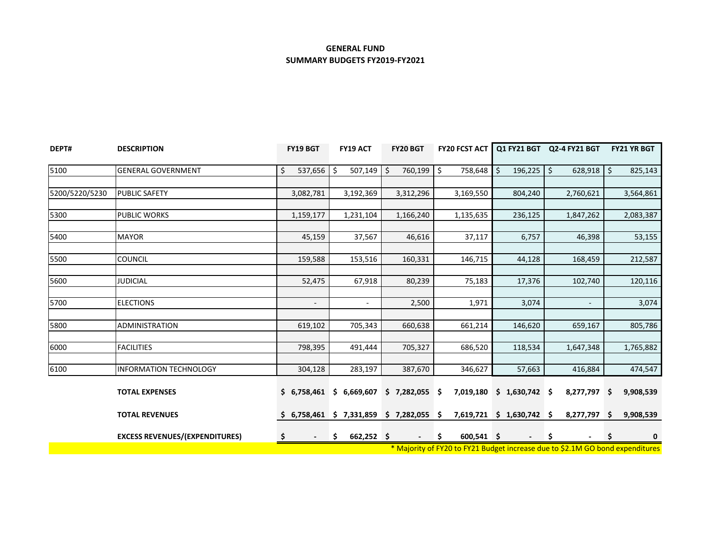# **GENERAL FUND SUMMARY BUDGETS FY2019-FY2021**

| DEPT#          | <b>DESCRIPTION</b>                    | FY19 BGT                 | <b>FY19 ACT</b>                           | FY20 BGT                 | <b>FY20 FCST ACT</b> |                           | Q1 FY21 BGT Q2-4 FY21 BGT                                                     | <b>FY21 YR BGT</b> |
|----------------|---------------------------------------|--------------------------|-------------------------------------------|--------------------------|----------------------|---------------------------|-------------------------------------------------------------------------------|--------------------|
| 5100           | <b>GENERAL GOVERNMENT</b>             | \$<br>537,656            | \$<br>507,149                             | 760,199 \$<br>\$         | 758,648              | Ś.<br>196,225             | \$<br>628,918                                                                 | $\zeta$<br>825,143 |
|                |                                       |                          |                                           |                          |                      |                           |                                                                               |                    |
| 5200/5220/5230 | <b>PUBLIC SAFETY</b>                  | 3,082,781                | 3,192,369                                 | 3,312,296                | 3,169,550            | 804,240                   | 2,760,621                                                                     | 3,564,861          |
| 5300           | <b>PUBLIC WORKS</b>                   | 1,159,177                | 1,231,104                                 | 1,166,240                | 1,135,635            | 236,125                   | 1,847,262                                                                     | 2,083,387          |
|                | <b>MAYOR</b>                          |                          |                                           |                          |                      |                           |                                                                               |                    |
| 5400           |                                       | 45,159                   | 37,567                                    | 46,616                   | 37,117               | 6,757                     | 46,398                                                                        | 53,155             |
| 5500           | <b>COUNCIL</b>                        | 159,588                  | 153,516                                   | 160,331                  | 146,715              | 44,128                    | 168,459                                                                       | 212,587            |
|                |                                       |                          |                                           |                          |                      |                           |                                                                               |                    |
| 5600           | <b>JUDICIAL</b>                       | 52,475                   | 67,918                                    | 80,239                   | 75,183               | 17,376                    | 102,740                                                                       | 120,116            |
| 5700           | <b>ELECTIONS</b>                      | $\overline{\phantom{a}}$ | $\sim$                                    | 2,500                    | 1,971                | 3,074                     | $\sim$                                                                        | 3,074              |
| 5800           | <b>ADMINISTRATION</b>                 |                          |                                           |                          |                      |                           |                                                                               |                    |
|                |                                       | 619,102                  | 705,343                                   | 660,638                  | 661,214              | 146,620                   | 659,167                                                                       | 805,786            |
| 6000           | <b>FACILITIES</b>                     | 798,395                  | 491,444                                   | 705,327                  | 686,520              | 118,534                   | 1,647,348                                                                     | 1,765,882          |
| 6100           | <b>INFORMATION TECHNOLOGY</b>         | 304,128                  | 283,197                                   | 387,670                  | 346,627              | 57,663                    | 416,884                                                                       | 474,547            |
|                |                                       |                          |                                           |                          |                      |                           |                                                                               |                    |
|                | <b>TOTAL EXPENSES</b>                 | \$6,758,461              | \$6,669,607                               | $$7,282,055$ \$          | 7,019,180            | $$1,630,742$ \$           | 8,277,797 \$                                                                  | 9,908,539          |
|                | <b>TOTAL REVENUES</b>                 |                          | $$6,758,461$ $$7,331,859$ $$7,282,055$ \$ |                          |                      | 7,619,721 \$ 1,630,742 \$ | 8,277,797 \$                                                                  | 9,908,539          |
|                | <b>EXCESS REVENUES/(EXPENDITURES)</b> | -S<br>$\blacksquare$     | $662,252$ \$<br>\$                        | $\overline{\phantom{a}}$ | $600,541$ \$<br>\$   | $\overline{\phantom{a}}$  | \$.<br>$\blacksquare$                                                         | \$.<br>0           |
|                |                                       |                          |                                           |                          |                      |                           | * Majority of FY20 to FY21 Budget increase due to \$2.1M GO bond expenditures |                    |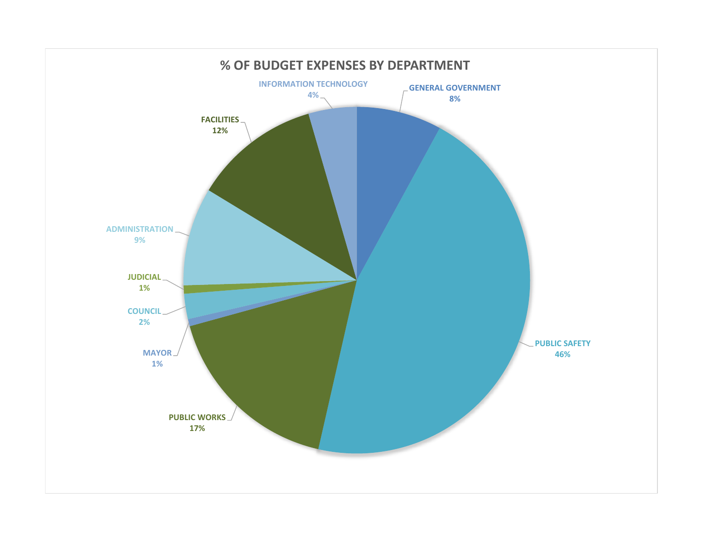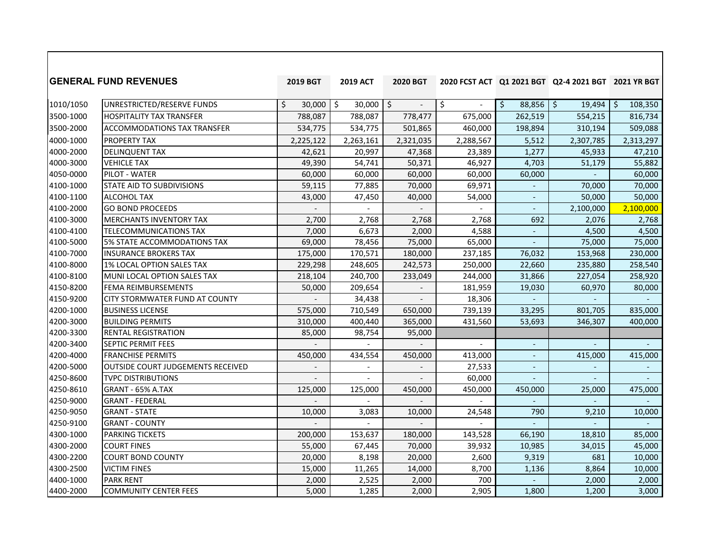|           | <b>IGENERAL FUND REVENUES</b>            | 2019 BGT     | <b>2019 ACT</b>                    | <b>2020 BGT</b>          |                |                                    | 2020 FCST ACT Q1 2021 BGT Q2-4 2021 BGT 2021 YR BGT |               |
|-----------|------------------------------------------|--------------|------------------------------------|--------------------------|----------------|------------------------------------|-----------------------------------------------------|---------------|
| 1010/1050 | UNRESTRICTED/RESERVE FUNDS               | 30,000<br>\$ | $30,000$ \$<br>$\ddot{\mathsf{S}}$ | $\overline{\phantom{a}}$ | \$             | $\ddot{\mathsf{S}}$<br>$88,856$ \$ | 19,494                                              | \$<br>108,350 |
| 3500-1000 | <b>HOSPITALITY TAX TRANSFER</b>          | 788,087      | 788,087                            | 778,477                  | 675,000        | 262,519                            | 554,215                                             | 816,734       |
| 3500-2000 | ACCOMMODATIONS TAX TRANSFER              | 534,775      | 534,775                            | 501,865                  | 460,000        | 198,894                            | 310,194                                             | 509,088       |
| 4000-1000 | <b>PROPERTY TAX</b>                      | 2,225,122    | 2,263,161                          | 2,321,035                | 2,288,567      | 5,512                              | 2,307,785                                           | 2,313,297     |
| 4000-2000 | <b>DELINQUENT TAX</b>                    | 42,621       | 20,997                             | 47,368                   | 23,389         | 1,277                              | 45,933                                              | 47,210        |
| 4000-3000 | <b>VEHICLE TAX</b>                       | 49,390       | 54,741                             | 50,371                   | 46,927         | 4,703                              | 51,179                                              | 55,882        |
| 4050-0000 | PILOT - WATER                            | 60,000       | 60,000                             | 60,000                   | 60,000         | 60,000                             |                                                     | 60,000        |
| 4100-1000 | STATE AID TO SUBDIVISIONS                | 59,115       | 77,885                             | 70,000                   | 69,971         |                                    | 70,000                                              | 70,000        |
| 4100-1100 | <b>ALCOHOL TAX</b>                       | 43,000       | 47,450                             | 40,000                   | 54,000         | $\overline{\phantom{a}}$           | 50,000                                              | 50,000        |
| 4100-2000 | <b>GO BOND PROCEEDS</b>                  |              |                                    |                          |                |                                    | 2,100,000                                           | 2,100,000     |
| 4100-3000 | <b>MERCHANTS INVENTORY TAX</b>           | 2,700        | 2,768                              | 2,768                    | 2,768          | 692                                | 2,076                                               | 2,768         |
| 4100-4100 | <b>TELECOMMUNICATIONS TAX</b>            | 7,000        | 6,673                              | 2,000                    | 4,588          | $\Box$                             | 4,500                                               | 4,500         |
| 4100-5000 | 5% STATE ACCOMMODATIONS TAX              | 69,000       | 78,456                             | 75,000                   | 65,000         | $\overline{a}$                     | 75,000                                              | 75,000        |
| 4100-7000 | <b>INSURANCE BROKERS TAX</b>             | 175,000      | 170,571                            | 180,000                  | 237,185        | 76,032                             | 153,968                                             | 230,000       |
| 4100-8000 | 1% LOCAL OPTION SALES TAX                | 229,298      | 248,605                            | 242,573                  | 250,000        | 22,660                             | 235,880                                             | 258,540       |
| 4100-8100 | MUNI LOCAL OPTION SALES TAX              | 218,104      | 240,700                            | 233,049                  | 244,000        | 31,866                             | 227,054                                             | 258,920       |
| 4150-8200 | <b>FEMA REIMBURSEMENTS</b>               | 50,000       | 209,654                            |                          | 181,959        | 19,030                             | 60,970                                              | 80,000        |
| 4150-9200 | CITY STORMWATER FUND AT COUNTY           |              | 34,438                             |                          | 18,306         |                                    |                                                     |               |
| 4200-1000 | <b>BUSINESS LICENSE</b>                  | 575,000      | 710,549                            | 650,000                  | 739,139        | 33,295                             | 801,705                                             | 835,000       |
| 4200-3000 | <b>BUILDING PERMITS</b>                  | 310,000      | 400,440                            | 365,000                  | 431,560        | 53,693                             | 346,307                                             | 400,000       |
| 4200-3300 | <b>RENTAL REGISTRATION</b>               | 85,000       | 98,754                             | 95,000                   |                |                                    |                                                     |               |
| 4200-3400 | SEPTIC PERMIT FEES                       |              |                                    |                          | $\sim$         | $\overline{\phantom{a}}$           |                                                     |               |
| 4200-4000 | <b>FRANCHISE PERMITS</b>                 | 450,000      | 434,554                            | 450,000                  | 413,000        |                                    | 415,000                                             | 415,000       |
| 4200-5000 | <b>OUTSIDE COURT JUDGEMENTS RECEIVED</b> |              | $\overline{a}$                     |                          | 27,533         | $\blacksquare$                     |                                                     |               |
| 4250-8600 | <b>TVPC DISTRIBUTIONS</b>                |              | $\overline{a}$                     |                          | 60,000         | $\overline{a}$                     |                                                     |               |
| 4250-8610 | GRANT - 65% A.TAX                        | 125,000      | 125,000                            | 450,000                  | 450,000        | 450,000                            | 25,000                                              | 475,000       |
| 4250-9000 | <b>GRANT - FEDERAL</b>                   |              |                                    |                          |                |                                    |                                                     |               |
| 4250-9050 | <b>GRANT - STATE</b>                     | 10,000       | 3,083                              | 10,000                   | 24,548         | 790                                | 9,210                                               | 10,000        |
| 4250-9100 | <b>GRANT - COUNTY</b>                    |              | $\overline{a}$                     |                          | $\overline{a}$ |                                    | $\overline{a}$                                      |               |
| 4300-1000 | <b>PARKING TICKETS</b>                   | 200,000      | 153,637                            | 180,000                  | 143,528        | 66,190                             | 18,810                                              | 85,000        |
| 4300-2000 | <b>COURT FINES</b>                       | 55,000       | 67,445                             | 70,000                   | 39,932         | 10,985                             | 34,015                                              | 45,000        |
| 4300-2200 | <b>COURT BOND COUNTY</b>                 | 20,000       | 8,198                              | 20,000                   | 2,600          | 9,319                              | 681                                                 | 10,000        |
| 4300-2500 | <b>VICTIM FINES</b>                      | 15,000       | 11,265                             | 14,000                   | 8,700          | 1,136                              | 8,864                                               | 10,000        |
| 4400-1000 | <b>PARK RENT</b>                         | 2,000        | 2,525                              | 2,000                    | 700            |                                    | 2,000                                               | 2,000         |
| 4400-2000 | <b>COMMUNITY CENTER FEES</b>             | 5,000        | 1,285                              | 2,000                    | 2,905          | 1,800                              | 1,200                                               | 3,000         |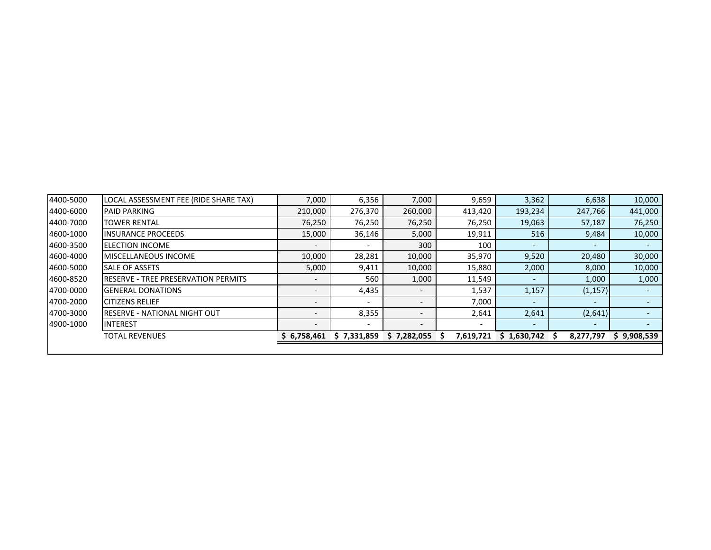| 4400-5000 | LOCAL ASSESSMENT FEE (RIDE SHARE TAX)       | 7,000                    | 6,356                    | 7,000                    | 9,659                    | 3,362       | 6,638                    | 10,000      |
|-----------|---------------------------------------------|--------------------------|--------------------------|--------------------------|--------------------------|-------------|--------------------------|-------------|
| 4400-6000 | <b>PAID PARKING</b>                         | 210,000                  | 276,370                  | 260,000                  | 413,420                  | 193,234     | 247,766                  | 441,000     |
| 4400-7000 | <b>TOWER RENTAL</b>                         | 76,250                   | 76,250                   | 76,250                   | 76,250                   | 19,063      | 57,187                   | 76,250      |
| 4600-1000 | <b>IINSURANCE PROCEEDS</b>                  | 15,000                   | 36,146                   | 5,000                    | 19,911                   | 516         | 9,484                    | 10,000      |
| 4600-3500 | <b>IELECTION INCOME</b>                     | $\overline{\phantom{a}}$ |                          | 300                      | 100                      |             | $\overline{\phantom{0}}$ |             |
| 4600-4000 | <b>IMISCELLANEOUS INCOME</b>                | 10,000                   | 28,281                   | 10,000                   | 35,970                   | 9,520       | 20,480                   | 30,000      |
| 4600-5000 | <b>SALE OF ASSETS</b>                       | 5,000                    | 9,411                    | 10,000                   | 15,880                   | 2,000       | 8,000                    | 10,000      |
| 4600-8520 | <b>IRESERVE - TREE PRESERVATION PERMITS</b> | $\overline{\phantom{a}}$ | 560                      | 1,000                    | 11,549                   |             | 1,000                    | 1,000       |
| 4700-0000 | <b>IGENERAL DONATIONS</b>                   | $\overline{\phantom{a}}$ | 4,435                    | $\overline{\phantom{0}}$ | 1,537                    | 1,157       | (1, 157)                 |             |
| 4700-2000 | <b>CITIZENS RELIEF</b>                      | $\overline{\phantom{0}}$ |                          |                          | 7,000                    |             | $\overline{\phantom{0}}$ |             |
| 4700-3000 | <b>IRESERVE - NATIONAL NIGHT OUT</b>        |                          | 8,355                    |                          | 2,641                    | 2,641       | (2,641)                  |             |
| 4900-1000 | <b>IINTEREST</b>                            | $\overline{a}$           | $\overline{\phantom{0}}$ | $\overline{\phantom{0}}$ | $\overline{\phantom{a}}$ |             | $\overline{\phantom{0}}$ |             |
|           | <b>TOTAL REVENUES</b>                       | \$6,758,461              | \$7,331,859              | \$7,282,055              | 7,619,721                | \$1,630,742 | 8,277,797                | \$9,908,539 |
|           |                                             |                          |                          |                          |                          |             |                          |             |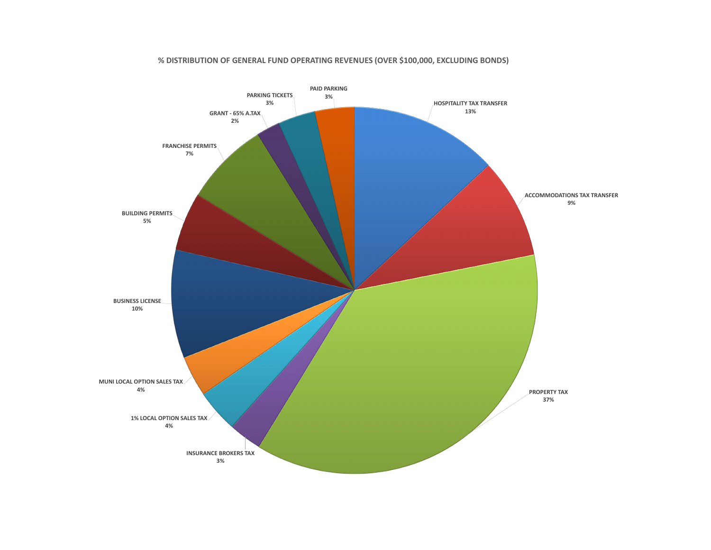#### **% DISTRIBUTION OF GENERAL FUND OPERATING REVENUES (OVER \$100,000, EXCLUDING BONDS)**

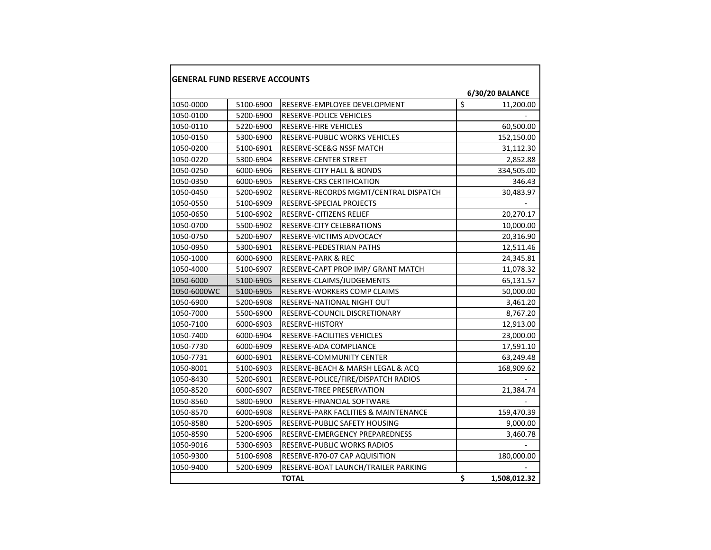| <b>GENERAL FUND RESERVE ACCOUNTS</b> |           |                                       |                         |                 |  |  |  |
|--------------------------------------|-----------|---------------------------------------|-------------------------|-----------------|--|--|--|
|                                      |           |                                       |                         | 6/30/20 BALANCE |  |  |  |
| 1050-0000                            | 5100-6900 | RESERVE-EMPLOYEE DEVELOPMENT          | $\overline{\mathsf{s}}$ | 11,200.00       |  |  |  |
| 1050-0100                            | 5200-6900 | <b>RESERVE-POLICE VEHICLES</b>        |                         |                 |  |  |  |
| 1050-0110                            | 5220-6900 | <b>RESERVE-FIRE VEHICLES</b>          |                         | 60,500.00       |  |  |  |
| 1050-0150                            | 5300-6900 | <b>RESERVE-PUBLIC WORKS VEHICLES</b>  |                         | 152,150.00      |  |  |  |
| 1050-0200                            | 5100-6901 | RESERVE-SCE&G NSSF MATCH              |                         | 31,112.30       |  |  |  |
| 1050-0220                            | 5300-6904 | RESERVE-CENTER STREET                 |                         | 2,852.88        |  |  |  |
| 1050-0250                            | 6000-6906 | <b>RESERVE-CITY HALL &amp; BONDS</b>  |                         | 334,505.00      |  |  |  |
| 1050-0350                            | 6000-6905 | <b>RESERVE-CRS CERTIFICATION</b>      |                         | 346.43          |  |  |  |
| 1050-0450                            | 5200-6902 | RESERVE-RECORDS MGMT/CENTRAL DISPATCH |                         | 30,483.97       |  |  |  |
| 1050-0550                            | 5100-6909 | RESERVE-SPECIAL PROJECTS              |                         |                 |  |  |  |
| 1050-0650                            | 5100-6902 | RESERVE- CITIZENS RELIEF              |                         | 20,270.17       |  |  |  |
| 1050-0700                            | 5500-6902 | RESERVE-CITY CELEBRATIONS             |                         | 10,000.00       |  |  |  |
| 1050-0750                            | 5200-6907 | <b>RESERVE-VICTIMS ADVOCACY</b>       |                         | 20,316.90       |  |  |  |
| 1050-0950                            | 5300-6901 | RESERVE-PEDESTRIAN PATHS              |                         | 12,511.46       |  |  |  |
| 1050-1000                            | 6000-6900 | <b>RESERVE-PARK &amp; REC</b>         |                         | 24,345.81       |  |  |  |
| 1050-4000                            | 5100-6907 | RESERVE-CAPT PROP IMP/ GRANT MATCH    |                         | 11,078.32       |  |  |  |
| 1050-6000                            | 5100-6905 | RESERVE-CLAIMS/JUDGEMENTS             |                         | 65,131.57       |  |  |  |
| 1050-6000WC                          | 5100-6905 | RESERVE-WORKERS COMP CLAIMS           |                         | 50,000.00       |  |  |  |
| 1050-6900                            | 5200-6908 | <b>RESERVE-NATIONAL NIGHT OUT</b>     |                         | 3,461.20        |  |  |  |
| 1050-7000                            | 5500-6900 | RESERVE-COUNCIL DISCRETIONARY         |                         | 8,767.20        |  |  |  |
| 1050-7100                            | 6000-6903 | RESERVE-HISTORY                       |                         | 12,913.00       |  |  |  |
| 1050-7400                            | 6000-6904 | RESERVE-FACILITIES VEHICLES           |                         | 23,000.00       |  |  |  |
| 1050-7730                            | 6000-6909 | RESERVE-ADA COMPLIANCE                |                         | 17,591.10       |  |  |  |
| 1050-7731                            | 6000-6901 | <b>RESERVE-COMMUNITY CENTER</b>       |                         | 63,249.48       |  |  |  |
| 1050-8001                            | 5100-6903 | RESERVE-BEACH & MARSH LEGAL & ACQ     |                         | 168,909.62      |  |  |  |
| 1050-8430                            | 5200-6901 | RESERVE-POLICE/FIRE/DISPATCH RADIOS   |                         |                 |  |  |  |
| 1050-8520                            | 6000-6907 | RESERVE-TREE PRESERVATION             |                         | 21,384.74       |  |  |  |
| 1050-8560                            | 5800-6900 | RESERVE-FINANCIAL SOFTWARE            |                         |                 |  |  |  |
| 1050-8570                            | 6000-6908 | RESERVE-PARK FACLITIES & MAINTENANCE  |                         | 159,470.39      |  |  |  |
| 1050-8580                            | 5200-6905 | RESERVE-PUBLIC SAFETY HOUSING         |                         | 9,000.00        |  |  |  |
| 1050-8590                            | 5200-6906 | RESERVE-EMERGENCY PREPAREDNESS        |                         | 3,460.78        |  |  |  |
| 1050-9016                            | 5300-6903 | <b>RESERVE-PUBLIC WORKS RADIOS</b>    |                         |                 |  |  |  |
| 1050-9300                            | 5100-6908 | RESERVE-R70-07 CAP AQUISITION         |                         | 180,000.00      |  |  |  |
| 1050-9400                            | 5200-6909 | RESERVE-BOAT LAUNCH/TRAILER PARKING   |                         |                 |  |  |  |
|                                      |           | <b>TOTAL</b>                          | \$                      | 1,508,012.32    |  |  |  |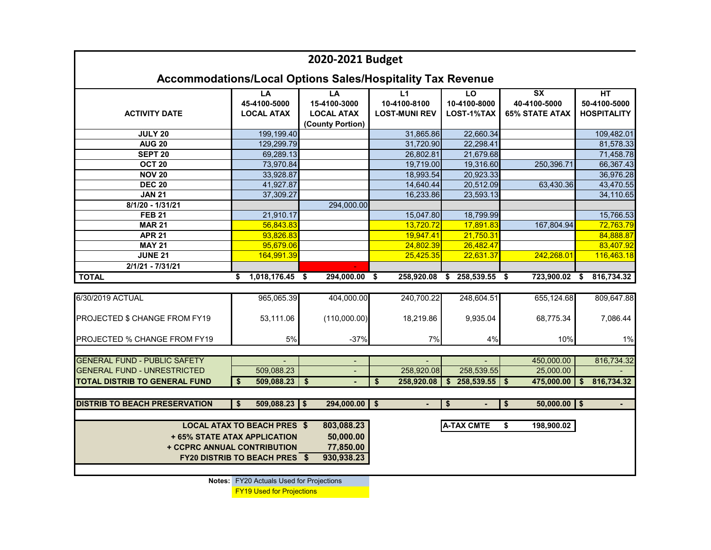| 2020-2021 Budget                                                  |                                                                                                                  |                                                             |                                            |                                  |                                                                            |                                          |  |  |  |
|-------------------------------------------------------------------|------------------------------------------------------------------------------------------------------------------|-------------------------------------------------------------|--------------------------------------------|----------------------------------|----------------------------------------------------------------------------|------------------------------------------|--|--|--|
| <b>Accommodations/Local Options Sales/Hospitality Tax Revenue</b> |                                                                                                                  |                                                             |                                            |                                  |                                                                            |                                          |  |  |  |
| <b>ACTIVITY DATE</b>                                              | LA<br>45-4100-5000<br><b>LOCAL ATAX</b>                                                                          | LA<br>15-4100-3000<br><b>LOCAL ATAX</b><br>(County Portion) | L1<br>10-4100-8100<br><b>LOST-MUNI REV</b> | LO<br>10-4100-8000<br>LOST-1%TAX | $\overline{\mathsf{S}}\mathsf{X}$<br>40-4100-5000<br><b>65% STATE ATAX</b> | HT<br>50-4100-5000<br><b>HOSPITALITY</b> |  |  |  |
| <b>JULY 20</b>                                                    | 199,199.40                                                                                                       |                                                             | 31,865.86                                  | 22,660.34                        |                                                                            | 109,482.01                               |  |  |  |
| <b>AUG 20</b>                                                     | 129,299.79                                                                                                       |                                                             | 31,720.90                                  | 22,298.41                        |                                                                            | 81,578.33                                |  |  |  |
| SEPT <sub>20</sub>                                                | 69,289.13                                                                                                        |                                                             | 26,802.81                                  | 21,679.68                        |                                                                            | 71,458.78                                |  |  |  |
| OCT <sub>20</sub>                                                 | 73,970.84                                                                                                        |                                                             | 19,719.00                                  | 19,316.60                        | 250,396.71                                                                 | 66,367.43                                |  |  |  |
| <b>NOV 20</b>                                                     | 33,928.87                                                                                                        |                                                             | 18,993.54                                  | 20,923.33                        |                                                                            | 36,976.28                                |  |  |  |
| <b>DEC 20</b>                                                     | 41,927.87                                                                                                        |                                                             | 14,640.44                                  | 20,512.09                        | 63,430.36                                                                  | 43,470.55                                |  |  |  |
| <b>JAN 21</b>                                                     | 37,309.27                                                                                                        |                                                             | 16,233.86                                  | 23,593.13                        |                                                                            | 34,110.65                                |  |  |  |
| 8/1/20 - 1/31/21                                                  |                                                                                                                  | 294,000.00                                                  |                                            |                                  |                                                                            |                                          |  |  |  |
| <b>FEB 21</b>                                                     | 21,910.17                                                                                                        |                                                             | 15,047.80                                  | 18,799.99                        |                                                                            | 15,766.53                                |  |  |  |
| <b>MAR 21</b>                                                     | 56,843.83                                                                                                        |                                                             | 13,720.72                                  | 17,891.83                        | 167,804.94                                                                 | 72,763.79                                |  |  |  |
| <b>APR 21</b>                                                     | 93,826.83                                                                                                        |                                                             | 19,947.41                                  | 21,750.31                        |                                                                            | 84,888.87                                |  |  |  |
| <b>MAY 21</b>                                                     | 95,679.06                                                                                                        |                                                             | 24,802.39                                  | 26,482.47                        |                                                                            | 83,407.92                                |  |  |  |
| <b>JUNE 21</b>                                                    | 164,991.39                                                                                                       |                                                             | 25,425.35                                  | 22,631.37                        | 242,268.01                                                                 | 116,463.18                               |  |  |  |
| $2/1/21 - 7/31/21$                                                |                                                                                                                  |                                                             |                                            |                                  |                                                                            |                                          |  |  |  |
| <b>TOTAL</b>                                                      | 1,018,176.45<br>S                                                                                                | 294,000.00<br>- \$                                          | 258,920.08<br>\$                           | 258,539.55<br>\$                 | 723,900.02<br>\$                                                           | 816,734.32<br>\$                         |  |  |  |
|                                                                   |                                                                                                                  |                                                             |                                            |                                  |                                                                            |                                          |  |  |  |
| 6/30/2019 ACTUAL                                                  | 965,065.39                                                                                                       | 404,000.00                                                  | 240,700.22                                 | 248,604.51                       | 655,124.68                                                                 | 809,647.88                               |  |  |  |
| PROJECTED \$ CHANGE FROM FY19                                     | 53,111.06                                                                                                        | (110,000.00)                                                | 18,219.86                                  | 9,935.04                         | 68,775.34                                                                  | 7,086.44                                 |  |  |  |
| PROJECTED % CHANGE FROM FY19                                      | 5%                                                                                                               | $-37%$                                                      | 7%                                         | 4%                               | 10%                                                                        | 1%                                       |  |  |  |
| <b>GENERAL FUND - PUBLIC SAFETY</b>                               |                                                                                                                  | $\overline{\phantom{a}}$                                    |                                            |                                  | 450,000.00                                                                 | 816,734.32                               |  |  |  |
| <b>GENERAL FUND - UNRESTRICTED</b>                                | 509,088.23                                                                                                       |                                                             | 258,920.08                                 | 258,539.55                       | 25,000.00                                                                  |                                          |  |  |  |
| <b>TOTAL DISTRIB TO GENERAL FUND</b>                              | 509,088.23<br>\$                                                                                                 | \$                                                          | \$<br>258,920.08                           | $\mathbf{s}$<br>258,539.55       | \$<br>475,000.00                                                           | 816,734.32<br>\$                         |  |  |  |
|                                                                   |                                                                                                                  |                                                             |                                            |                                  |                                                                            |                                          |  |  |  |
| <b>DISTRIB TO BEACH PRESERVATION</b>                              | $509,088.23$ \$<br>\$.                                                                                           | 294,000.00                                                  | \$                                         | \$                               | $50,000.00$ \$<br>\$                                                       |                                          |  |  |  |
| + CCPRC ANNUAL CONTRIBUTION                                       | <b>LOCAL ATAX TO BEACH PRES \$</b><br><b>+65% STATE ATAX APPLICATION</b><br><b>FY20 DISTRIB TO BEACH PRES \$</b> | 803,088.23<br>50,000.00<br>77,850.00<br>930,938.23          |                                            | <b>A-TAX CMTE</b>                | \$<br>198,900.02                                                           |                                          |  |  |  |
|                                                                   |                                                                                                                  |                                                             |                                            |                                  |                                                                            |                                          |  |  |  |

**Notes:** FY20 Actuals Used for Projections

FY19 Used for Projections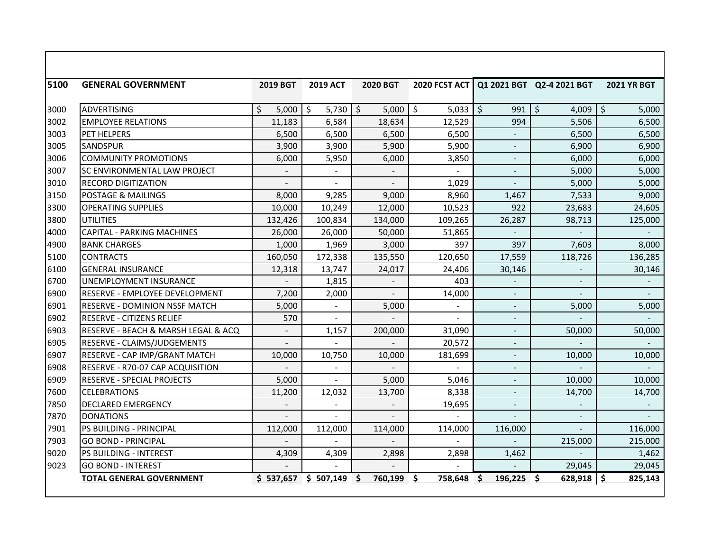| 5100 | <b>GENERAL GOVERNMENT</b>             | <b>2019 BGT</b> | <b>2019 ACT</b>  | <b>2020 BGT</b>          | 2020 FCST ACT |                                | Q1 2021 BGT Q2-4 2021 BGT                  | <b>2021 YR BGT</b> |
|------|---------------------------------------|-----------------|------------------|--------------------------|---------------|--------------------------------|--------------------------------------------|--------------------|
|      |                                       |                 |                  |                          |               |                                |                                            |                    |
| 3000 | ADVERTISING                           | \$<br>5,000     | $5,730$ \$<br>\$ | $5,000$   \$             | 5,033         | $\overline{\mathsf{S}}$<br>991 | $\ddot{\mathsf{S}}$<br>4,009 $\frac{1}{2}$ | 5,000              |
| 3002 | <b>EMPLOYEE RELATIONS</b>             | 11,183          | 6,584            | 18,634                   | 12,529        | 994                            | 5,506                                      | 6,500              |
| 3003 | <b>PET HELPERS</b>                    | 6,500           | 6,500            | 6,500                    | 6,500         |                                | 6,500                                      | 6,500              |
| 3005 | <b>SANDSPUR</b>                       | 3,900           | 3,900            | 5,900                    | 5,900         |                                | 6,900                                      | 6,900              |
| 3006 | <b>COMMUNITY PROMOTIONS</b>           | 6,000           | 5,950            | 6,000                    | 3,850         | $\blacksquare$                 | 6,000                                      | 6,000              |
| 3007 | <b>SC ENVIRONMENTAL LAW PROJECT</b>   |                 |                  |                          |               |                                | 5,000                                      | 5,000              |
| 3010 | <b>RECORD DIGITIZATION</b>            | $\sim$          | $\sim$           | $\overline{a}$           | 1,029         | $\blacksquare$                 | 5,000                                      | 5,000              |
| 3150 | <b>POSTAGE &amp; MAILINGS</b>         | 8,000           | 9,285            | 9,000                    | 8,960         | 1,467                          | 7,533                                      | 9,000              |
| 3300 | <b>OPERATING SUPPLIES</b>             | 10,000          | 10,249           | 12,000                   | 10,523        | 922                            | 23,683                                     | 24,605             |
| 3800 | <b>UTILITIES</b>                      | 132,426         | 100,834          | 134,000                  | 109,265       | 26,287                         | 98,713                                     | 125,000            |
| 4000 | <b>CAPITAL - PARKING MACHINES</b>     | 26,000          | 26,000           | 50,000                   | 51,865        | $\overline{\phantom{a}}$       | $\overline{\phantom{a}}$                   |                    |
| 4900 | <b>BANK CHARGES</b>                   | 1,000           | 1,969            | 3,000                    | 397           | 397                            | 7,603                                      | 8,000              |
| 5100 | <b>CONTRACTS</b>                      | 160,050         | 172,338          | 135,550                  | 120,650       | 17,559                         | 118,726                                    | 136,285            |
| 6100 | <b>GENERAL INSURANCE</b>              | 12,318          | 13,747           | 24,017                   | 24,406        | 30,146                         |                                            | 30,146             |
| 6700 | UNEMPLOYMENT INSURANCE                |                 | 1,815            |                          | 403           |                                |                                            |                    |
| 6900 | <b>RESERVE - EMPLOYEE DEVELOPMENT</b> | 7,200           | 2,000            | $\equiv$                 | 14,000        | $\blacksquare$                 |                                            |                    |
| 6901 | <b>RESERVE - DOMINION NSSF MATCH</b>  | 5,000           | $\blacksquare$   | 5,000                    |               | $\blacksquare$                 | 5,000                                      | 5,000              |
| 6902 | RESERVE - CITIZENS RELIEF             | 570             | $\overline{a}$   |                          |               | $\blacksquare$                 |                                            |                    |
| 6903 | RESERVE - BEACH & MARSH LEGAL & ACQ   | $\overline{a}$  | 1,157            | 200,000                  | 31,090        | ٠                              | 50,000                                     | 50,000             |
| 6905 | RESERVE - CLAIMS/JUDGEMENTS           |                 |                  |                          | 20,572        |                                |                                            |                    |
| 6907 | RESERVE - CAP IMP/GRANT MATCH         | 10,000          | 10,750           | 10,000                   | 181,699       |                                | 10,000                                     | 10,000             |
| 6908 | RESERVE - R70-07 CAP ACQUISITION      |                 |                  |                          |               | $\qquad \qquad -$              |                                            |                    |
| 6909 | <b>RESERVE - SPECIAL PROJECTS</b>     | 5,000           | $\blacksquare$   | 5,000                    | 5,046         | $\blacksquare$                 | 10,000                                     | 10,000             |
| 7600 | <b>CELEBRATIONS</b>                   | 11,200          | 12,032           | 13,700                   | 8,338         | $\blacksquare$                 | 14,700                                     | 14,700             |
| 7850 | <b>DECLARED EMERGENCY</b>             |                 | $\sim$           | $\overline{\phantom{a}}$ | 19,695        | $\overline{a}$                 |                                            |                    |
| 7870 | <b>DONATIONS</b>                      |                 | $\overline{a}$   |                          |               |                                |                                            |                    |
| 7901 | PS BUILDING - PRINCIPAL               | 112,000         | 112,000          | 114,000                  | 114,000       | 116,000                        |                                            | 116,000            |
| 7903 | <b>GO BOND - PRINCIPAL</b>            |                 |                  |                          |               |                                | 215,000                                    | 215,000            |
| 9020 | PS BUILDING - INTEREST                | 4,309           | 4,309            | 2,898                    | 2,898         | 1,462                          |                                            | 1,462              |
| 9023 | <b>GO BOND - INTEREST</b>             |                 |                  |                          |               |                                | 29,045                                     | 29,045             |
|      | <b>TOTAL GENERAL GOVERNMENT</b>       | \$537,657       | \$507,149        | 760,199                  | 758,648       | Ś.<br>196,225                  | 628,918                                    | 825,143            |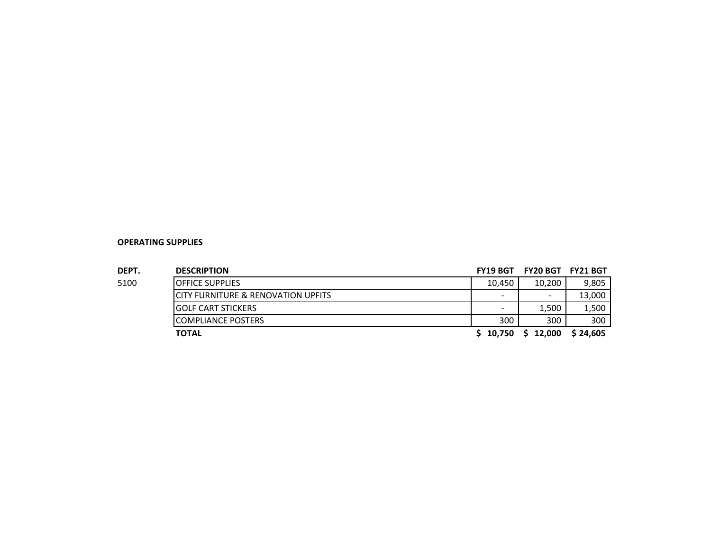| DEPT. | <b>DESCRIPTION</b>                            | <b>FY19 BGT</b> | <b>FY20 BGT</b>          | <b>FY21 BGT</b> |
|-------|-----------------------------------------------|-----------------|--------------------------|-----------------|
| 5100  | <b>OFFICE SUPPLIES</b>                        | 10.450          | 10.200                   | 9,805           |
|       | <b>CITY FURNITURE &amp; RENOVATION UPFITS</b> |                 | $\overline{\phantom{0}}$ | 13,000          |
|       | <b>IGOLF CART STICKERS</b>                    |                 | 1,500                    | 1,500           |
|       | ICOMPLIANCE POSTERS                           | 300             | 300                      | 300             |
|       | <b>TOTAL</b>                                  | 10.750          | 12,000                   | \$24,605        |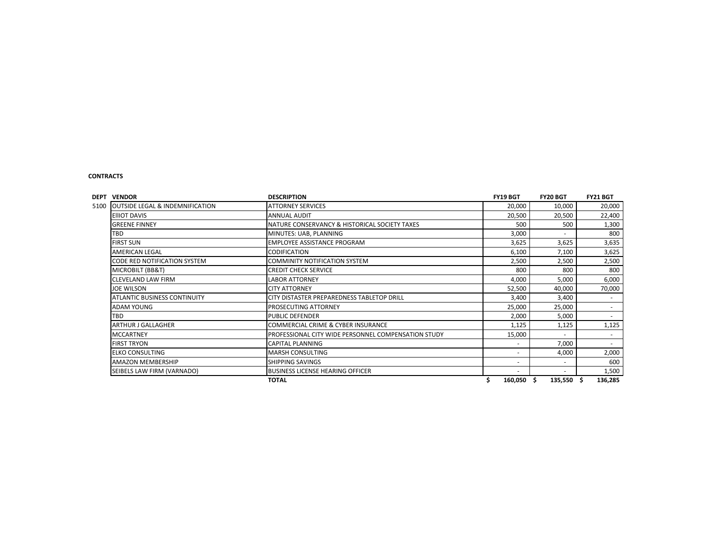#### **CONTRACTS**

| <b>DEPT VENDOR</b>                                 | <b>DESCRIPTION</b>                                         | <b>FY19 BGT</b> | <b>FY20 BGT</b>   | FY21 BGT |
|----------------------------------------------------|------------------------------------------------------------|-----------------|-------------------|----------|
| <b>OUTSIDE LEGAL &amp; INDEMNIFICATION</b><br>5100 | <b>ATTORNEY SERVICES</b>                                   | 20,000          | 10,000            | 20,000   |
| <b>EIIIOT DAVIS</b>                                | <b>ANNUAL AUDIT</b>                                        | 20,500          | 20,500            | 22,400   |
| <b>GREENE FINNEY</b>                               | NATURE CONSERVANCY & HISTORICAL SOCIETY TAXES              | 500             | 500               | 1,300    |
| TBD                                                | MINUTES: UAB, PLANNING                                     | 3,000           |                   | 800      |
| <b>FIRST SUN</b>                                   | <b>EMPLOYEE ASSISTANCE PROGRAM</b>                         | 3,625           | 3,625             | 3,635    |
| <b>AMERICAN LEGAL</b>                              | <b>CODIFICATION</b>                                        | 6,100           | 7,100             | 3,625    |
| CODE RED NOTIFICATION SYSTEM                       | COMMINITY NOTIFICATION SYSTEM                              | 2,500           | 2,500             | 2,500    |
| MICROBILT (BB&T)                                   | <b>CREDIT CHECK SERVICE</b>                                | 800             | 800               | 800      |
| <b>CLEVELAND LAW FIRM</b>                          | <b>LABOR ATTORNEY</b>                                      | 4,000           | 5,000             | 6,000    |
| <b>JOE WILSON</b>                                  | <b>CITY ATTORNEY</b>                                       | 52,500          | 40,000            | 70,000   |
| <b>ATLANTIC BUSINESS CONTINUITY</b>                | <b>ICITY DISTASTER PREPAREDNESS TABLETOP DRILL</b>         | 3,400           | 3,400             |          |
| <b>ADAM YOUNG</b>                                  | <b>PROSECUTING ATTORNEY</b>                                | 25,000          | 25,000            |          |
| TBD                                                | <b>PUBLIC DEFENDER</b>                                     | 2,000           | 5,000             |          |
| <b>ARTHUR J GALLAGHER</b>                          | <b>COMMERCIAL CRIME &amp; CYBER INSURANCE</b>              | 1,125           | 1,125             | 1,125    |
| <b>MCCARTNEY</b>                                   | <b>PROFESSIONAL CITY WIDE PERSONNEL COMPENSATION STUDY</b> | 15,000          |                   |          |
| <b>FIRST TRYON</b>                                 | <b>CAPITAL PLANNING</b>                                    |                 | 7,000             |          |
| <b>ELKO CONSULTING</b>                             | <b>MARSH CONSULTING</b>                                    |                 | 4,000             | 2,000    |
| <b>AMAZON MEMBERSHIP</b>                           | <b>SHIPPING SAVINGS</b>                                    |                 |                   | 600      |
| SEIBELS LAW FIRM (VARNADO)                         | <b>BUSINESS LICENSE HEARING OFFICER</b>                    |                 |                   | 1,500    |
|                                                    | <b>TOTAL</b>                                               | 160,050         | $135,550$ \$<br>S | 136,285  |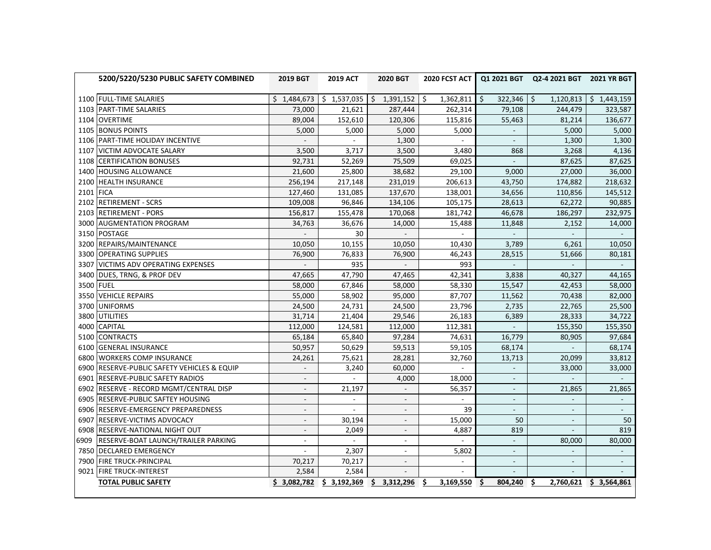|           | 5200/5220/5230 PUBLIC SAFETY COMBINED       | <b>2019 BGT</b>          | <b>2019 ACT</b> | 2020 BGT                  | <b>2020 FCST ACT</b>     |                          | Q1 2021 BGT Q2-4 2021 BGT 2021 YR BGT |                             |
|-----------|---------------------------------------------|--------------------------|-----------------|---------------------------|--------------------------|--------------------------|---------------------------------------|-----------------------------|
|           | 1100 FULL-TIME SALARIES                     | \$1,484,673              | \$1,537,035     | \$1,391,152               | \$<br>1,362,811          | \$<br>322,346            | $\sqrt{5}$<br>1,120,813               | \$1,443,159                 |
|           | 1103 PART-TIME SALARIES                     | 73,000                   | 21,621          | 287,444                   | 262,314                  | 79,108                   | 244,479                               | 323,587                     |
| 1104      | <b>OVERTIME</b>                             | 89,004                   | 152,610         | 120,306                   | 115,816                  | 55,463                   | 81,214                                | 136,677                     |
|           | 1105 BONUS POINTS                           | 5,000                    | 5,000           | 5,000                     | 5,000                    |                          | 5,000                                 | 5,000                       |
|           | 1106 PART-TIME HOLIDAY INCENTIVE            |                          | $\mathbf{r}$    | 1,300                     |                          |                          | 1,300                                 | 1,300                       |
|           | 1107 VICTIM ADVOCATE SALARY                 | 3,500                    | 3,717           | 3,500                     | 3,480                    | 868                      | 3,268                                 | 4,136                       |
|           | 1108 CERTIFICATION BONUSES                  | 92,731                   | 52,269          | 75,509                    | 69,025                   |                          | 87,625                                | 87,625                      |
|           | 1400 HOUSING ALLOWANCE                      | 21,600                   | 25,800          | 38,682                    | 29,100                   | 9,000                    | 27,000                                | 36,000                      |
|           | 2100 HEALTH INSURANCE                       | 256,194                  | 217,148         | 231,019                   | 206,613                  | 43,750                   | 174,882                               | 218,632                     |
| 2101 FICA |                                             | 127,460                  | 131,085         | 137,670                   | 138,001                  | 34,656                   | 110,856                               | 145,512                     |
|           | 2102 RETIREMENT - SCRS                      | 109,008                  | 96,846          | 134,106                   | 105,175                  | 28,613                   | 62,272                                | 90,885                      |
|           | 2103 RETIREMENT - PORS                      | 156,817                  | 155,478         | 170,068                   | 181,742                  | 46,678                   | 186,297                               | 232,975                     |
|           | 3000 AUGMENTATION PROGRAM                   | 34,763                   | 36,676          | 14,000                    | 15,488                   | 11,848                   | 2,152                                 | 14,000                      |
|           | 3150 POSTAGE                                | $\overline{\phantom{a}}$ | 30              | $\Box$                    | $\sim$                   | $\blacksquare$           | $\overline{\phantom{a}}$              | $\mathcal{L}_{\mathcal{A}}$ |
|           | 3200 REPAIRS/MAINTENANCE                    | 10,050                   | 10,155          | 10,050                    | 10,430                   | 3,789                    | 6,261                                 | 10,050                      |
|           | 3300 OPERATING SUPPLIES                     | 76,900                   | 76,833          | 76,900                    | 46,243                   | 28,515                   | 51,666                                | 80,181                      |
|           | 3307 VICTIMS ADV OPERATING EXPENSES         | $\overline{\phantom{a}}$ | 935             | $\sim$                    | 993                      | $\blacksquare$           | $\overline{\phantom{a}}$              |                             |
|           | 3400 DUES, TRNG, & PROF DEV                 | 47,665                   | 47,790          | 47,465                    | 42,341                   | 3,838                    | 40,327                                | 44,165                      |
|           | 3500 FUEL                                   | 58,000                   | 67,846          | 58,000                    | 58,330                   | 15,547                   | 42,453                                | 58,000                      |
|           | 3550 VEHICLE REPAIRS                        | 55,000                   | 58,902          | 95,000                    | 87,707                   | 11,562                   | 70,438                                | 82,000                      |
|           | 3700 UNIFORMS                               | 24,500                   | 24,731          | 24,500                    | 23,796                   | 2,735                    | 22,765                                | 25,500                      |
|           | 3800 UTILITIES                              | 31,714                   | 21,404          | 29,546                    | 26,183                   | 6,389                    | 28,333                                | 34,722                      |
|           | 4000 CAPITAL                                | 112,000                  | 124,581         | 112,000                   | 112,381                  |                          | 155,350                               | 155,350                     |
|           | 5100 CONTRACTS                              | 65,184                   | 65,840          | 97,284                    | 74,631                   | 16,779                   | 80,905                                | 97,684                      |
|           | 6100 GENERAL INSURANCE                      | 50,957                   | 50,629          | 59,513                    | 59,105                   | 68,174                   | $\mathbb{Z}^+$                        | 68,174                      |
| 6800      | <b>WORKERS COMP INSURANCE</b>               | 24,261                   | 75,621          | 28,281                    | 32,760                   | 13,713                   | 20,099                                | 33,812                      |
|           | 6900 RESERVE-PUBLIC SAFETY VEHICLES & EQUIP |                          | 3,240           | 60,000                    |                          |                          | 33,000                                | 33,000                      |
|           | 6901 RESERVE-PUBLIC SAFETY RADIOS           |                          | $\sim$          | 4,000                     | 18,000                   |                          | $\blacksquare$                        | $\sim$                      |
|           | 6902 RESERVE - RECORD MGMT/CENTRAL DISP     | $\blacksquare$           | 21,197          |                           | 56,357                   | $\overline{\phantom{a}}$ | 21,865                                | 21,865                      |
|           | 6905 RESERVE-PUBLIC SAFTEY HOUSING          |                          |                 |                           |                          |                          |                                       |                             |
|           | 6906 RESERVE-EMERGENCY PREPAREDNESS         | $\blacksquare$           | $\blacksquare$  | $\overline{\phantom{a}}$  | 39                       | $\blacksquare$           | $\blacksquare$                        | $\sim$                      |
|           | 6907 RESERVE-VICTIMS ADVOCACY               | $\blacksquare$           | 30,194          | $\sim$                    | 15,000                   | 50                       | $\overline{\phantom{a}}$              | 50                          |
|           | 6908 RESERVE-NATIONAL NIGHT OUT             | $\overline{\phantom{a}}$ | 2,049           | $\overline{\phantom{a}}$  | 4,887                    | 819                      |                                       | 819                         |
|           | 6909 RESERVE-BOAT LAUNCH/TRAILER PARKING    | $\blacksquare$           | $\sim$          | $\overline{\phantom{a}}$  |                          | $\sim$                   | 80,000                                | 80,000                      |
|           | 7850 DECLARED EMERGENCY                     |                          | 2,307           | $\sim$                    | 5,802                    |                          |                                       |                             |
|           | 7900 FIRE TRUCK-PRINCIPAL                   | 70,217                   | 70,217          | $\mathbf{r}$              |                          | $\mathcal{L}$            | L.                                    | $\blacksquare$              |
|           | 9021 FIRE TRUCK-INTEREST                    | 2,584                    | 2,584           | $\overline{a}$            | $\overline{\phantom{a}}$ |                          | $\overline{\phantom{a}}$              |                             |
|           | <b>TOTAL PUBLIC SAFETY</b>                  | \$3,082,782              |                 | $$3,192,369$ $$3,312,296$ | 3,169,550<br>Ŝ.          | 804,240<br>Ŝ.            | \$<br>2,760,621                       | \$3,564,861                 |
|           |                                             |                          |                 |                           |                          |                          |                                       |                             |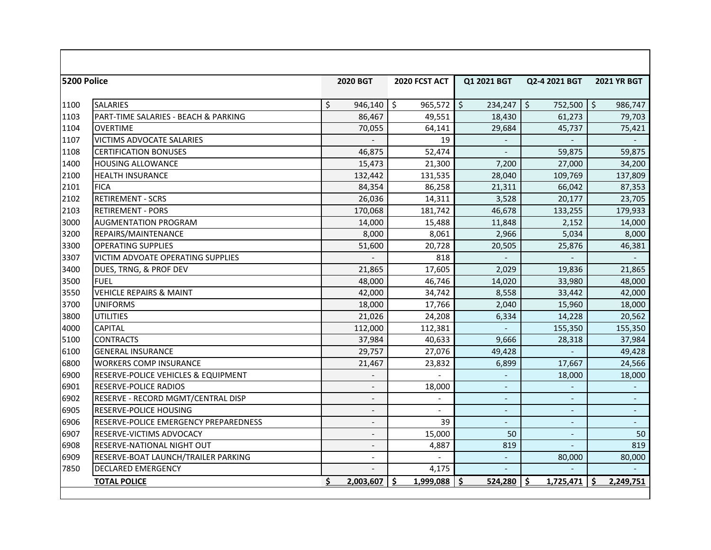| 5200 Police |                                                | <b>2020 BGT</b>          | 2020 FCST ACT  | Q1 2021 BGT              | Q2-4 2021 BGT            | <b>2021 YR BGT</b>       |
|-------------|------------------------------------------------|--------------------------|----------------|--------------------------|--------------------------|--------------------------|
|             |                                                |                          |                |                          |                          |                          |
| 1100        | <b>SALARIES</b>                                | \$<br>946,140            | \$<br>965,572  | \$<br>234,247            | \$<br>752,500            | ۱\$<br>986,747           |
| 1103        | PART-TIME SALARIES - BEACH & PARKING           | 86,467                   | 49,551         | 18,430                   | 61,273                   | 79,703                   |
| 1104        | <b>OVERTIME</b>                                | 70,055                   | 64,141         | 29,684                   | 45,737                   | 75,421                   |
| 1107        | VICTIMS ADVOCATE SALARIES                      |                          | 19             |                          |                          |                          |
| 1108        | <b>CERTIFICATION BONUSES</b>                   | 46,875                   | 52,474         |                          | 59,875                   | 59,875                   |
| 1400        | <b>HOUSING ALLOWANCE</b>                       | 15,473                   | 21,300         | 7,200                    | 27,000                   | 34,200                   |
| 2100        | <b>HEALTH INSURANCE</b>                        | 132,442                  | 131,535        | 28,040                   | 109,769                  | 137,809                  |
| 2101        | <b>FICA</b>                                    | 84,354                   | 86,258         | 21,311                   | 66,042                   | 87,353                   |
| 2102        | <b>RETIREMENT - SCRS</b>                       | 26,036                   | 14,311         | 3,528                    | 20,177                   | 23,705                   |
| 2103        | <b>RETIREMENT - PORS</b>                       | 170,068                  | 181,742        | 46,678                   | 133,255                  | 179,933                  |
| 3000        | <b>AUGMENTATION PROGRAM</b>                    | 14,000                   | 15,488         | 11,848                   | 2,152                    | 14,000                   |
| 3200        | <b>REPAIRS/MAINTENANCE</b>                     | 8,000                    | 8,061          | 2,966                    | 5,034                    | 8,000                    |
| 3300        | <b>OPERATING SUPPLIES</b>                      | 51,600                   | 20,728         | 20,505                   | 25,876                   | 46,381                   |
| 3307        | <b>VICTIM ADVOATE OPERATING SUPPLIES</b>       |                          | 818            |                          |                          |                          |
| 3400        | DUES, TRNG, & PROF DEV                         | 21,865                   | 17,605         | 2,029                    | 19,836                   | 21,865                   |
| 3500        | <b>FUEL</b>                                    | 48,000                   | 46,746         | 14,020                   | 33,980                   | 48,000                   |
| 3550        | <b>VEHICLE REPAIRS &amp; MAINT</b>             | 42,000                   | 34,742         | 8,558                    | 33,442                   | 42,000                   |
| 3700        | <b>UNIFORMS</b>                                | 18,000                   | 17,766         | 2,040                    | 15,960                   | 18,000                   |
| 3800        | <b>UTILITIES</b>                               | 21,026                   | 24,208         | 6,334                    | 14,228                   | 20,562                   |
| 4000        | <b>CAPITAL</b>                                 | 112,000                  | 112,381        |                          | 155,350                  | 155,350                  |
| 5100        | <b>CONTRACTS</b>                               | 37,984                   | 40,633         | 9.666                    | 28,318                   | 37,984                   |
| 6100        | <b>GENERAL INSURANCE</b>                       | 29,757                   | 27,076         | 49,428                   |                          | 49,428                   |
| 6800        | <b>WORKERS COMP INSURANCE</b>                  | 21,467                   | 23,832         | 6,899                    | 17,667                   | 24,566                   |
| 6900        | <b>RESERVE-POLICE VEHICLES &amp; EQUIPMENT</b> | $\overline{a}$           |                | $\overline{\phantom{a}}$ | 18,000                   | 18,000                   |
| 6901        | <b>RESERVE-POLICE RADIOS</b>                   | $\overline{a}$           | 18,000         | $\blacksquare$           |                          | $\blacksquare$           |
| 6902        | RESERVE - RECORD MGMT/CENTRAL DISP             | $\overline{\phantom{a}}$ |                | $\overline{\phantom{a}}$ | $\overline{\phantom{a}}$ | $\overline{\phantom{a}}$ |
| 6905        | RESERVE-POLICE HOUSING                         | $\overline{\phantom{a}}$ |                | $\overline{\phantom{a}}$ |                          | $\overline{\phantom{a}}$ |
| 6906        | RESERVE-POLICE EMERGENCY PREPAREDNESS          | $\overline{\phantom{a}}$ | 39             | $\overline{\phantom{a}}$ | $\blacksquare$           | $\blacksquare$           |
| 6907        | <b>RESERVE-VICTIMS ADVOCACY</b>                | $\overline{\phantom{a}}$ | 15,000         | 50                       | $\overline{\phantom{a}}$ | 50                       |
| 6908        | <b>RESERVE-NATIONAL NIGHT OUT</b>              | $\overline{\phantom{a}}$ | 4,887          | 819                      |                          | 819                      |
| 6909        | RESERVE-BOAT LAUNCH/TRAILER PARKING            | $\overline{a}$           |                | $\blacksquare$           | 80,000                   | 80,000                   |
| 7850        | <b>DECLARED EMERGENCY</b>                      |                          | 4,175          |                          |                          |                          |
|             | <b>TOTAL POLICE</b>                            | \$<br>2,003,607          | Ŝ<br>1,999,088 | Ś<br>524,280             | Ś<br>1,725,471           | Ś<br>2,249,751           |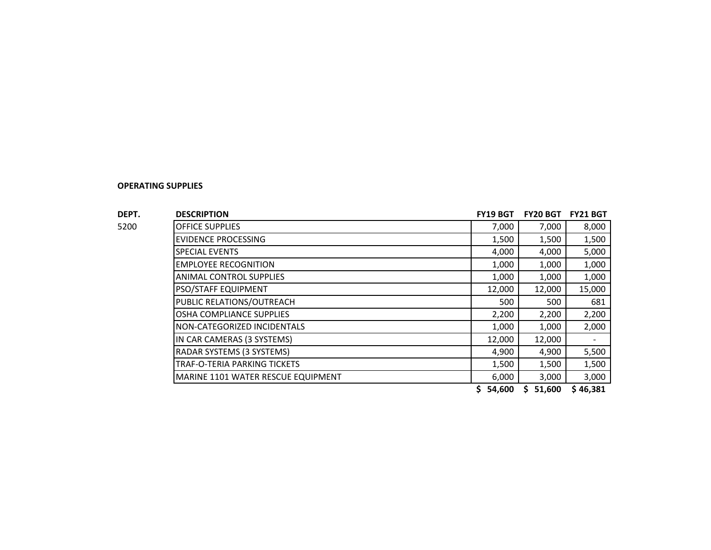| DEPT. | <b>DESCRIPTION</b>                 | <b>FY19 BGT</b> | <b>FY20 BGT</b> | <b>FY21 BGT</b> |
|-------|------------------------------------|-----------------|-----------------|-----------------|
| 5200  | <b>OFFICE SUPPLIES</b>             | 7,000           | 7,000           | 8,000           |
|       | <b>EVIDENCE PROCESSING</b>         | 1,500           | 1,500           | 1,500           |
|       | <b>SPECIAL EVENTS</b>              | 4,000           | 4,000           | 5,000           |
|       | <b>EMPLOYEE RECOGNITION</b>        | 1,000           | 1,000           | 1,000           |
|       | <b>ANIMAL CONTROL SUPPLIES</b>     | 1,000           | 1,000           | 1,000           |
|       | <b>PSO/STAFF EQUIPMENT</b>         | 12,000          | 12,000          | 15,000          |
|       | PUBLIC RELATIONS/OUTREACH          | 500             | 500             | 681             |
|       | OSHA COMPLIANCE SUPPLIES           | 2,200           | 2,200           | 2,200           |
|       | NON-CATEGORIZED INCIDENTALS        | 1,000           | 1,000           | 2,000           |
|       | IN CAR CAMERAS (3 SYSTEMS)         | 12,000          | 12,000          |                 |
|       | RADAR SYSTEMS (3 SYSTEMS)          | 4,900           | 4,900           | 5,500           |
|       | TRAF-O-TERIA PARKING TICKETS       | 1,500           | 1,500           | 1,500           |
|       | MARINE 1101 WATER RESCUE EQUIPMENT | 6,000           | 3,000           | 3,000           |
|       |                                    |                 |                 |                 |

**\$ 54,600 \$ 51,600 \$ 46,381**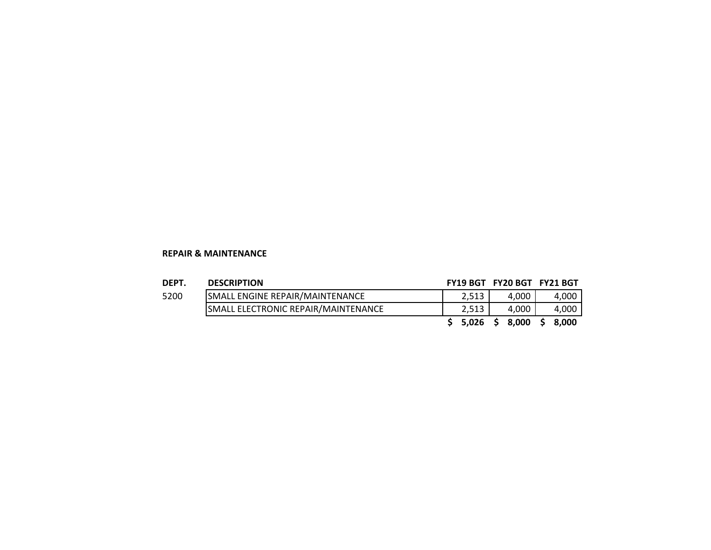#### **REPAIR & MAINTENANCE**

#### **DEPT. DESCRIPTION FY19 BGT FY20 BGT FY21 BGT**

| 5200 |  |  |
|------|--|--|

| ------- | -----------                                |           |       |                |
|---------|--------------------------------------------|-----------|-------|----------------|
| 5200    | <b>SMALL ENGINE REPAIR/MAINTENANCE</b>     |           | 4.000 | 4,000          |
|         | <b>SMALL ELECTRONIC REPAIR/MAINTENANCE</b> |           | 4.000 | 4,000          |
|         |                                            | $5,026$ ა |       | 8,000 \$ 8,000 |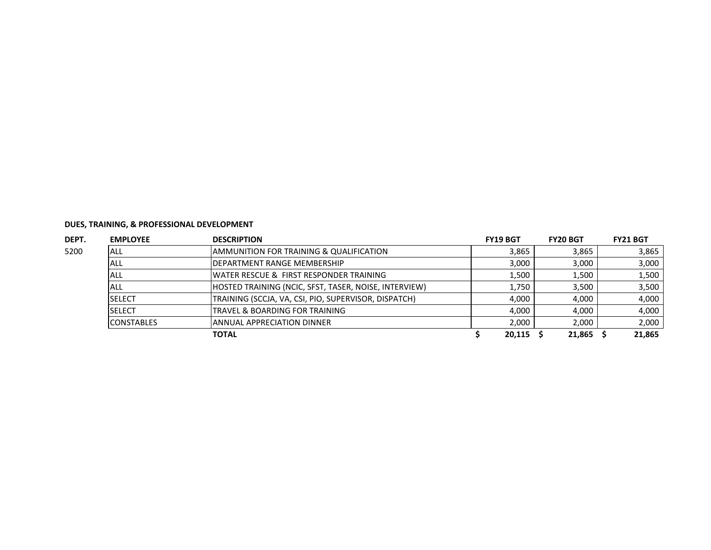| DEPT. | <b>EMPLOYEE</b>   | <b>DESCRIPTION</b>                                    | <b>FY19 BGT</b> | <b>FY20 BGT</b> | <b>FY21 BGT</b> |
|-------|-------------------|-------------------------------------------------------|-----------------|-----------------|-----------------|
| 5200  | ALL               | AMMUNITION FOR TRAINING & QUALIFICATION               | 3,865           | 3,865           | 3,865           |
|       | ALL               | <b>IDEPARTMENT RANGE MEMBERSHIP</b>                   | 3,000           | 3,000           | 3,000           |
|       | ALL               | <b>IWATER RESCUE &amp; FIRST RESPONDER TRAINING</b>   | 1,500           | 1,500           | 1,500           |
|       | ALL               | HOSTED TRAINING (NCIC, SFST, TASER, NOISE, INTERVIEW) | 1,750           | 3.500           | 3,500           |
|       | <b>SELECT</b>     | TRAINING (SCCJA, VA, CSI, PIO, SUPERVISOR, DISPATCH)  | 4,000           | 4.000           | 4,000           |
|       | <b>SELECT</b>     | TRAVEL & BOARDING FOR TRAINING                        | 4,000           | 4.000           | 4,000           |
|       | <b>CONSTABLES</b> | IANNUAL APPRECIATION DINNER                           | 2,000           | 2,000           | 2,000           |
|       |                   | <b>TOTAL</b>                                          | 20,115          | 21,865          | 21,865          |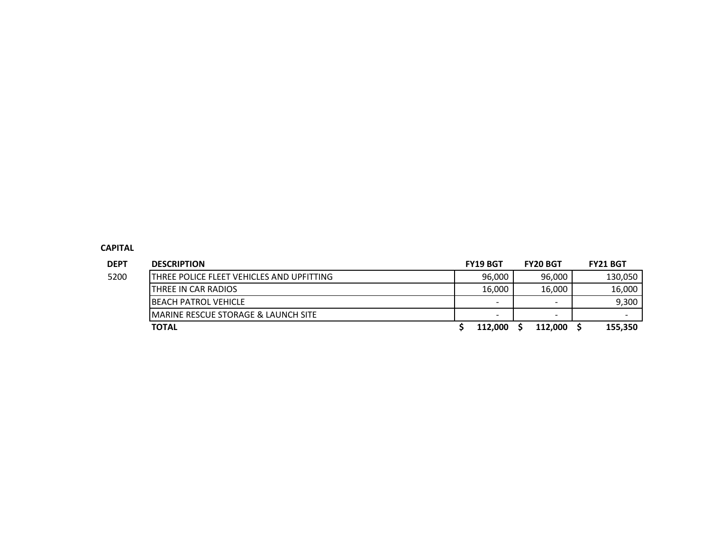# **CAPITAL**

| <b>DEPT</b> | <b>DESCRIPTION</b>                         | <b>FY19 BGT</b>          | <b>FY20 BGT</b>          | <b>FY21 BGT</b>          |
|-------------|--------------------------------------------|--------------------------|--------------------------|--------------------------|
| 5200        | ITHREE POLICE FLEET VEHICLES AND UPFITTING | 96,000                   | 96.000                   | 130.050                  |
|             | THREE IN CAR RADIOS                        | 16.000                   | 16.000                   | 16,000                   |
|             | <b>IBEACH PATROL VEHICLE</b>               | $\overline{\phantom{a}}$ | $\overline{\phantom{0}}$ | 9,300                    |
|             | IMARINE RESCUE STORAGE & LAUNCH SITE       | $\overline{\phantom{a}}$ | $\overline{\phantom{0}}$ | $\overline{\phantom{0}}$ |
|             | <b>TOTAL</b>                               | 112.000                  | 112.000                  | 155,350                  |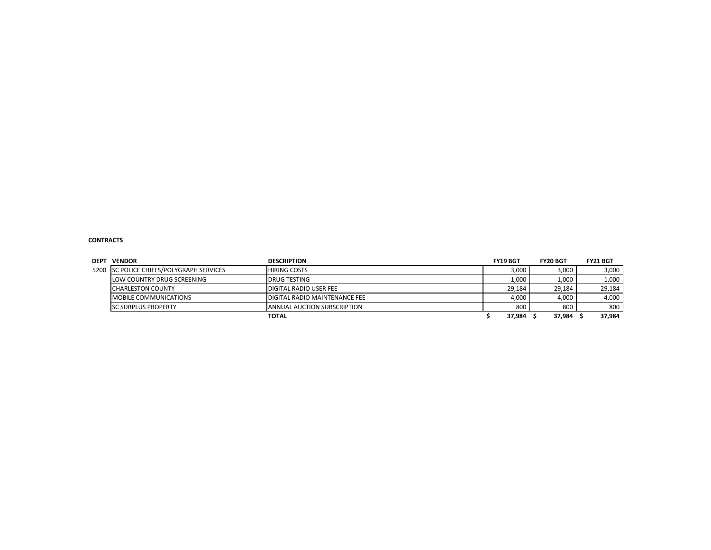#### **CONTRACTS**

| <b>DEPT</b> | <b>VENDOR</b>                            | <b>DESCRIPTION</b>                   | <b>FY19 BGT</b> | <b>FY20 BGT</b> | <b>FY21 BGT</b> |
|-------------|------------------------------------------|--------------------------------------|-----------------|-----------------|-----------------|
|             | 5200 SC POLICE CHIEFS/POLYGRAPH SERVICES | <b>HIRING COSTS</b>                  | 3,000           | 3,000           | 3,000           |
|             | LOW COUNTRY DRUG SCREENING               | <b>IDRUG TESTING</b>                 | 1,000           | 1,000           | 1,000           |
|             | <b>CHARLESTON COUNTY</b>                 | <b>IDIGITAL RADIO USER FEE</b>       | 29.184          | 29.184          | 29.184          |
|             | MOBILE COMMUNICATIONS                    | <b>DIGITAL RADIO MAINTENANCE FEE</b> | 4,000           | 4,000           | 4,000           |
|             | <b>ISC SURPLUS PROPERTY</b>              | <b>ANNUAL AUCTION SUBSCRIPTION</b>   | 800             | 800             | 800             |
|             |                                          | <b>TOTAL</b>                         | 37,984          | 37,984          | 37,984          |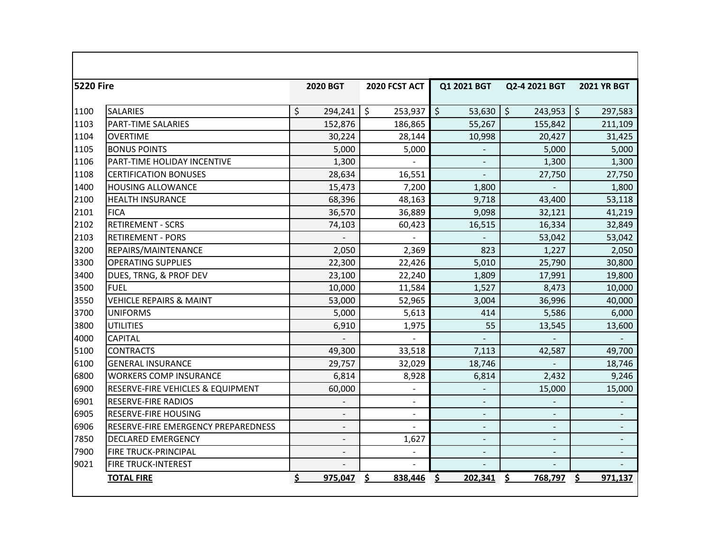| <b>5220 Fire</b> |                                     | 2020 BGT           | 2020 FCST ACT            | Q1 2021 BGT              | Q2-4 2021 BGT      | <b>2021 YR BGT</b>    |
|------------------|-------------------------------------|--------------------|--------------------------|--------------------------|--------------------|-----------------------|
| 1100             | <b>SALARIES</b>                     | $\zeta$<br>294,241 | $\zeta$<br>253,937       | $\zeta$<br>53,630        | $\zeta$<br>243,953 | $\vert$ \$<br>297,583 |
| 1103             | <b>PART-TIME SALARIES</b>           | 152,876            | 186,865                  | 55,267                   | 155,842            | 211,109               |
| 1104             | <b>OVERTIME</b>                     | 30,224             | 28,144                   | 10,998                   | 20,427             | 31,425                |
| 1105             | <b>BONUS POINTS</b>                 | 5,000              | 5,000                    |                          | 5,000              | 5,000                 |
| 1106             | <b>PART-TIME HOLIDAY INCENTIVE</b>  | 1,300              |                          | $\overline{\phantom{a}}$ | 1,300              | 1,300                 |
| 1108             | <b>CERTIFICATION BONUSES</b>        | 28,634             | 16,551                   | $\overline{a}$           | 27,750             | 27,750                |
| 1400             | <b>HOUSING ALLOWANCE</b>            | 15,473             | 7,200                    | 1,800                    | $\blacksquare$     | 1,800                 |
| 2100             | <b>HEALTH INSURANCE</b>             | 68,396             | 48,163                   | 9,718                    | 43,400             | 53,118                |
| 2101             | <b>FICA</b>                         | 36,570             | 36,889                   | 9,098                    | 32,121             | 41,219                |
| 2102             | <b>RETIREMENT - SCRS</b>            | 74,103             | 60,423                   | 16,515                   | 16,334             | 32,849                |
| 2103             | <b>RETIREMENT - PORS</b>            |                    |                          |                          | 53,042             | 53,042                |
| 3200             | REPAIRS/MAINTENANCE                 | 2,050              | 2,369                    | 823                      | 1,227              | 2,050                 |
| 3300             | <b>OPERATING SUPPLIES</b>           | 22,300             | 22,426                   | 5,010                    | 25,790             | 30,800                |
| 3400             | DUES, TRNG, & PROF DEV              | 23,100             | 22,240                   | 1,809                    | 17,991             | 19,800                |
| 3500             | <b>FUEL</b>                         | 10,000             | 11,584                   | 1,527                    | 8,473              | 10,000                |
| 3550             | <b>VEHICLE REPAIRS &amp; MAINT</b>  | 53,000             | 52,965                   | 3,004                    | 36,996             | 40,000                |
| 3700             | <b>UNIFORMS</b>                     | 5,000              | 5,613                    | 414                      | 5,586              | 6,000                 |
| 3800             | <b>UTILITIES</b>                    | 6,910              | 1,975                    | 55                       | 13,545             | 13,600                |
| 4000             | <b>CAPITAL</b>                      |                    | $\overline{a}$           |                          |                    |                       |
| 5100             | <b>CONTRACTS</b>                    | 49,300             | 33,518                   | 7,113                    | 42,587             | 49,700                |
| 6100             | <b>GENERAL INSURANCE</b>            | 29,757             | 32,029                   | 18,746                   |                    | 18,746                |
| 6800             | <b>WORKERS COMP INSURANCE</b>       | 6,814              | 8,928                    | 6,814                    | 2,432              | 9,246                 |
| 6900             | RESERVE-FIRE VEHICLES & EQUIPMENT   | 60,000             |                          |                          | 15,000             | 15,000                |
| 6901             | <b>RESERVE-FIRE RADIOS</b>          |                    | $\overline{\phantom{a}}$ | $\overline{\phantom{a}}$ |                    |                       |
| 6905             | <b>RESERVE-FIRE HOUSING</b>         |                    | $\overline{a}$           |                          |                    |                       |
| 6906             | RESERVE-FIRE EMERGENCY PREPAREDNESS |                    |                          | $\overline{\phantom{0}}$ |                    |                       |
| 7850             | <b>DECLARED EMERGENCY</b>           |                    | 1,627                    | $\overline{\phantom{a}}$ | $\blacksquare$     |                       |
| 7900             | <b>FIRE TRUCK-PRINCIPAL</b>         |                    | $\overline{a}$           | $\overline{a}$           |                    |                       |
| 9021             | <b>FIRE TRUCK-INTEREST</b>          |                    | $\overline{a}$           |                          |                    |                       |
|                  | <b>TOTAL FIRE</b>                   | \$<br>975,047      | \$<br>838,446            | \$.<br>202,341           | \$<br>768,797      | \$<br>971,137         |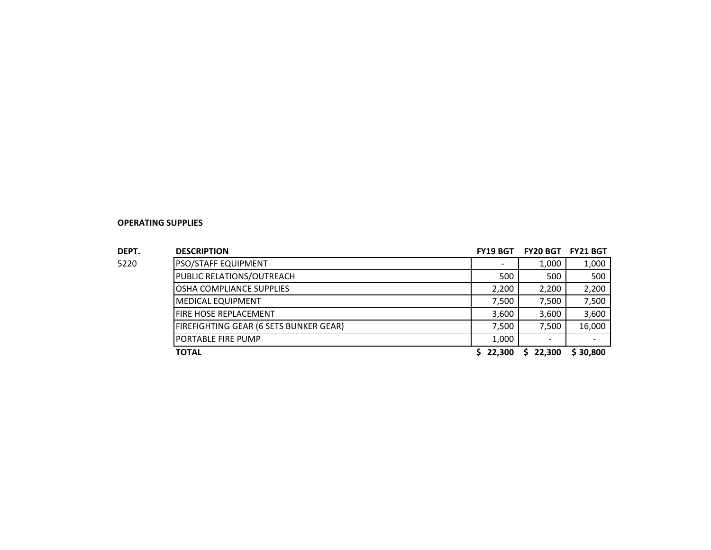| ۰, |  |  |
|----|--|--|
|    |  |  |

| DEPT. | <b>DESCRIPTION</b>                     | <b>FY19 BGT</b> | <b>FY20 BGT</b> | <b>FY21 BGT</b> |
|-------|----------------------------------------|-----------------|-----------------|-----------------|
| 5220  | PSO/STAFF EQUIPMENT                    |                 | 1,000           | 1,000           |
|       | PUBLIC RELATIONS/OUTREACH              | 500             | 500             | 500             |
|       | OSHA COMPLIANCE SUPPLIES               | 2,200           | 2,200           | 2,200           |
|       | <b>MEDICAL EQUIPMENT</b>               | 7,500           | 7,500           | 7,500           |
|       | <b>FIRE HOSE REPLACEMENT</b>           | 3,600           | 3,600           | 3,600           |
|       | FIREFIGHTING GEAR (6 SETS BUNKER GEAR) | 7,500           | 7,500           | 16,000          |
|       | <b>PORTABLE FIRE PUMP</b>              | 1,000           |                 |                 |
|       | <b>TOTAL</b>                           | 22,300          | 22,300<br>S     | \$30,800        |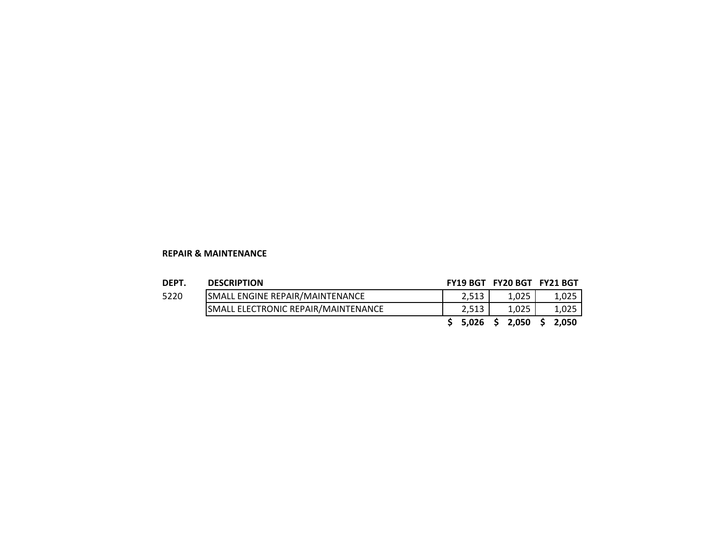#### **REPAIR & MAINTENANCE**

### **DEPT. DESCRIPTION FY19 BGT FY20 BGT FY21 BGT**

| ---- | ULJUNI 11VII                               |       |       |       |
|------|--------------------------------------------|-------|-------|-------|
| 5220 | <b>ISMALL ENGINE REPAIR/MAINTENANCE</b>    |       | 1.025 | 1.025 |
|      | <b>SMALL ELECTRONIC REPAIR/MAINTENANCE</b> |       | 1,025 | 1,025 |
|      |                                            | 5.026 | 2.050 | 2.050 |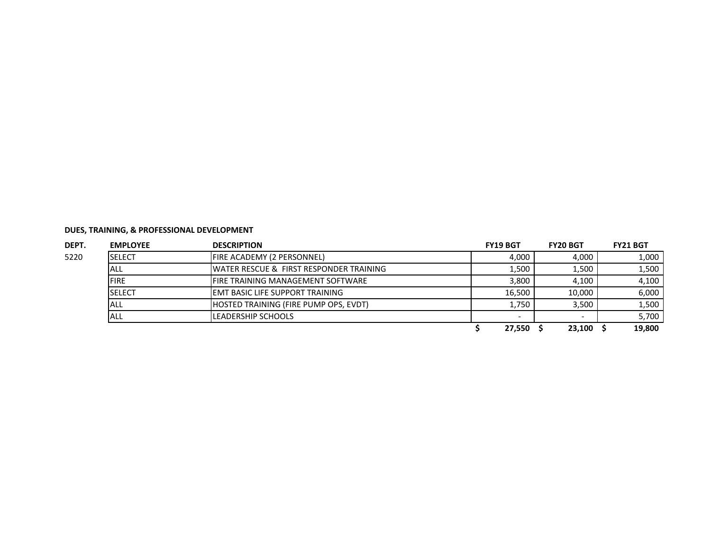| DEPT. | <b>EMPLOYEE</b> | <b>DESCRIPTION</b>                                  | <b>FY19 BGT</b> | <b>FY20 BGT</b> | <b>FY21 BGT</b> |
|-------|-----------------|-----------------------------------------------------|-----------------|-----------------|-----------------|
| 5220  | <b>SELECT</b>   | <b>FIRE ACADEMY (2 PERSONNEL)</b>                   | 4,000           | 4,000           | 1,000           |
|       | <b>ALL</b>      | <b>IWATER RESCUE &amp; FIRST RESPONDER TRAINING</b> | 1,500           | 1.500           | 1,500           |
|       | <b>FIRE</b>     | <b>IFIRE TRAINING MANAGEMENT SOFTWARE</b>           | 3.800           | 4,100           | 4,100           |
|       | <b>SELECT</b>   | <b>IEMT BASIC LIFE SUPPORT TRAINING</b>             | 16.500          | 10.000          | 6,000           |
|       | ALL             | <b>IHOSTED TRAINING (FIRE PUMP OPS. EVDT)</b>       | 1,750           | 3.500           | 1,500           |
|       | <b>ALL</b>      | LEADERSHIP SCHOOLS                                  |                 |                 | 5,700           |
|       |                 |                                                     | 27,550          | 23,100          | 19,800          |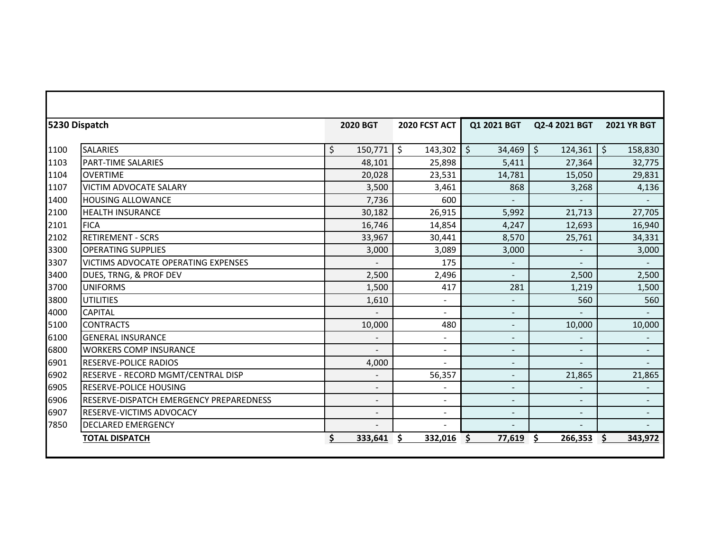|      | 5230 Dispatch                                  | <b>2020 BGT</b>          | 2020 FCST ACT            | Q1 2021 BGT              | Q2-4 2021 BGT      | <b>2021 YR BGT</b> |
|------|------------------------------------------------|--------------------------|--------------------------|--------------------------|--------------------|--------------------|
| 1100 | <b>SALARIES</b>                                | \$<br>150,771            | $\zeta$<br>143,302       | $\zeta$<br>34,469        | $\zeta$<br>124,361 | $\zeta$<br>158,830 |
| 1103 | <b>PART-TIME SALARIES</b>                      | 48,101                   | 25,898                   | 5,411                    | 27,364             | 32,775             |
| 1104 | <b>OVERTIME</b>                                | 20,028                   | 23,531                   | 14,781                   | 15,050             | 29,831             |
| 1107 | VICTIM ADVOCATE SALARY                         | 3,500                    | 3,461                    | 868                      | 3,268              | 4,136              |
| 1400 | <b>HOUSING ALLOWANCE</b>                       | 7,736                    | 600                      |                          |                    |                    |
| 2100 | <b>HEALTH INSURANCE</b>                        | 30,182                   | 26,915                   | 5,992                    | 21,713             | 27,705             |
| 2101 | <b>FICA</b>                                    | 16,746                   | 14,854                   | 4,247                    | 12,693             | 16,940             |
| 2102 | <b>RETIREMENT - SCRS</b>                       | 33,967                   | 30,441                   | 8,570                    | 25,761             | 34,331             |
| 3300 | <b>OPERATING SUPPLIES</b>                      | 3,000                    | 3,089                    | 3,000                    |                    | 3,000              |
| 3307 | VICTIMS ADVOCATE OPERATING EXPENSES            |                          | 175                      | $\blacksquare$           | $\blacksquare$     | $\sim$             |
| 3400 | DUES, TRNG, & PROF DEV                         | 2,500                    | 2,496                    | $\blacksquare$           | 2,500              | 2,500              |
| 3700 | <b>UNIFORMS</b>                                | 1,500                    | 417                      | 281                      | 1,219              | 1,500              |
| 3800 | <b>UTILITIES</b>                               | 1,610                    | $\blacksquare$           |                          | 560                | 560                |
| 4000 | <b>CAPITAL</b>                                 |                          | $\blacksquare$           | $\overline{\phantom{a}}$ |                    | $\sim$             |
| 5100 | <b>CONTRACTS</b>                               | 10,000                   | 480                      | $\blacksquare$           | 10,000             | 10,000             |
| 6100 | <b>GENERAL INSURANCE</b>                       |                          | $\blacksquare$           | $\overline{\phantom{a}}$ |                    |                    |
| 6800 | <b>WORKERS COMP INSURANCE</b>                  |                          | $\blacksquare$           | $\overline{\phantom{a}}$ | Ξ.                 | $\blacksquare$     |
| 6901 | <b>RESERVE-POLICE RADIOS</b>                   | 4,000                    |                          |                          |                    |                    |
| 6902 | RESERVE - RECORD MGMT/CENTRAL DISP             | $\blacksquare$           | 56,357                   | $\overline{\phantom{a}}$ | 21,865             | 21,865             |
| 6905 | <b>RESERVE-POLICE HOUSING</b>                  |                          |                          |                          |                    | $\blacksquare$     |
| 6906 | <b>RESERVE-DISPATCH EMERGENCY PREPAREDNESS</b> | $\blacksquare$           | $\blacksquare$           | $\blacksquare$           | $\blacksquare$     |                    |
| 6907 | RESERVE-VICTIMS ADVOCACY                       | $\overline{\phantom{a}}$ | $\overline{\phantom{a}}$ | $\overline{\phantom{a}}$ | Ξ.                 |                    |
| 7850 | <b>DECLARED EMERGENCY</b>                      |                          |                          |                          |                    |                    |
|      | <b>TOTAL DISPATCH</b>                          | \$<br>333,641            | 332,016                  | Ś<br>77,619              | Ŝ.<br>266,353      | Ŝ.<br>343,972      |

Г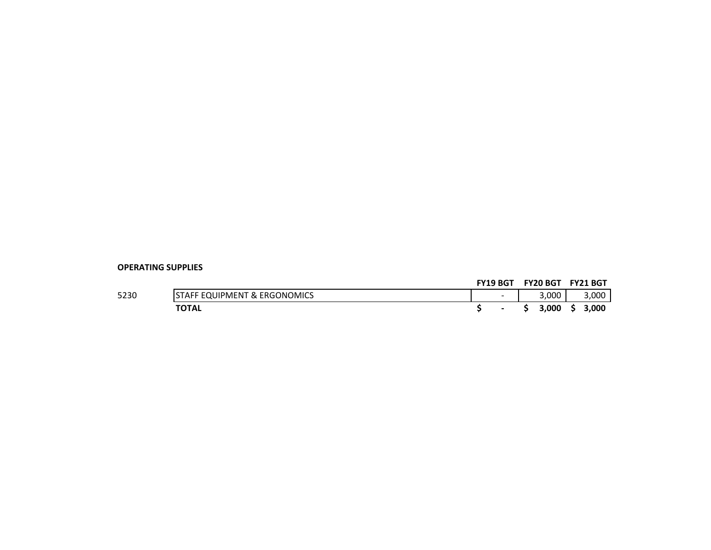#### **FY19 BGT FY20 BGT FY21 BGT**

| 5230 | ONOMICS<br>FRGC<br><b>X</b><br><b>JULIPMENT</b> | $\overline{\phantom{0}}$ | 3,000 | 000.، |
|------|-------------------------------------------------|--------------------------|-------|-------|
|      | <b>TOTAL</b>                                    |                          | 3,000 | ,000ء |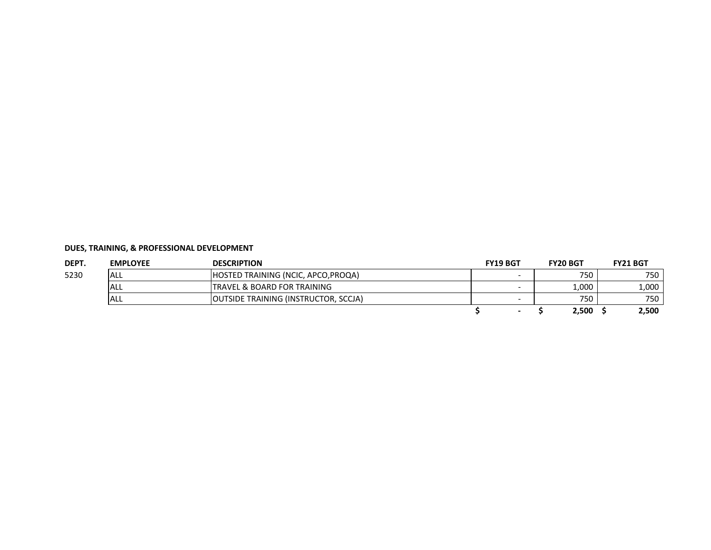| DEPT. | <b>EMPLOYEE</b> | <b>DESCRIPTION</b>                          | <b>FY19 BGT</b> | <b>FY20 BGT</b> | <b>FY21 BGT</b> |
|-------|-----------------|---------------------------------------------|-----------------|-----------------|-----------------|
| 5230  | <b>ALL</b>      | <b>HOSTED TRAINING (NCIC, APCO, PROQA)</b>  |                 | 750             | 750             |
|       | <b>ALL</b>      | <b>ITRAVEL &amp; BOARD FOR TRAINING</b>     |                 | 1,000           | 1,000           |
|       | <b>ALL</b>      | <b>OUTSIDE TRAINING (INSTRUCTOR, SCCJA)</b> |                 | 750             | 750             |
|       |                 |                                             |                 | 2,500           | 2,500           |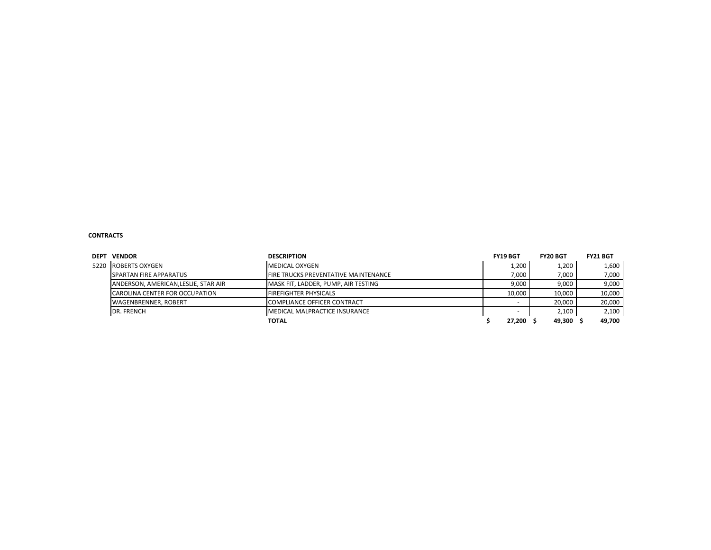#### **CONTRACTS**

| <b>DEPT</b> | <b>VENDOR</b>                         | <b>DESCRIPTION</b>                          | <b>FY19 BGT</b> | <b>FY20 BGT</b> | <b>FY21 BGT</b> |
|-------------|---------------------------------------|---------------------------------------------|-----------------|-----------------|-----------------|
| 5220        | <b>ROBERTS OXYGEN</b>                 | MEDICAL OXYGEN                              | 1,200           | 1,200           | 1,600           |
|             | <b>SPARTAN FIRE APPARATUS</b>         | <b>FIRE TRUCKS PREVENTATIVE MAINTENANCE</b> | 7.000           | 7.000           | 7,000           |
|             | ANDERSON, AMERICAN, LESLIE, STAR AIR  | MASK FIT, LADDER, PUMP, AIR TESTING         | 9.000           | 9.000           | 9,000           |
|             | <b>CAROLINA CENTER FOR OCCUPATION</b> | <b>FIREFIGHTER PHYSICALS</b>                | 10.000          | 10.000          | 10,000          |
|             | <b>WAGENBRENNER, ROBERT</b>           | <b>COMPLIANCE OFFICER CONTRACT</b>          |                 | 20,000          | 20,000          |
|             | DR. FRENCH                            | <b>MEDICAL MALPRACTICE INSURANCE</b>        |                 | 2,100           | 2,100           |
|             |                                       | <b>TOTAL</b>                                | 27.200          | 49.300          | 49.700          |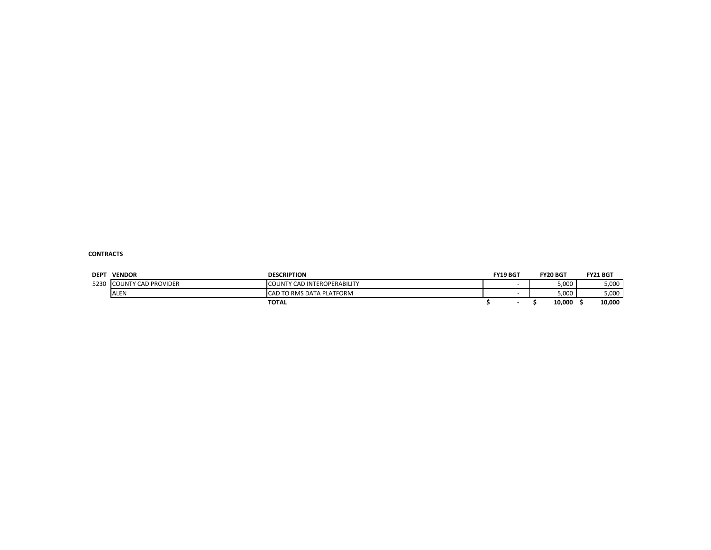#### **CONTRACTS**

| <b>DEPT</b> | <b>VENDOR</b>              | <b>DESCRIPTION</b>                 | <b>FY19 BGT</b> | <b>FY20 BGT</b> | <b>FY21 BGT</b> |
|-------------|----------------------------|------------------------------------|-----------------|-----------------|-----------------|
| 5230        | <b>COUNTY CAD PROVIDER</b> | <b>COUNTY CAD INTEROPERABILITY</b> |                 | 5,000           | 5,000           |
|             | <b>ALEN</b>                | ICAD TO RMS DATA PLATFORM          |                 | 5,000           | 5,000           |
|             |                            | <b>TOTAL</b>                       |                 | 10,000          | 10,000          |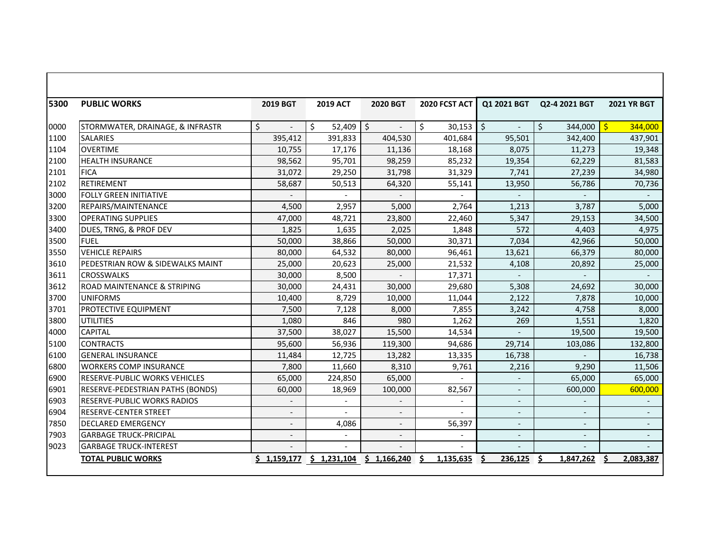| 5300 | <b>PUBLIC WORKS</b>                         | 2019 BGT                 | <b>2019 ACT</b>           | 2020 BGT                       | 2020 FCST ACT   | Q1 2021 BGT              | Q2-4 2021 BGT            | <b>2021 YR BGT</b>       |
|------|---------------------------------------------|--------------------------|---------------------------|--------------------------------|-----------------|--------------------------|--------------------------|--------------------------|
| 0000 | STORMWATER, DRAINAGE, & INFRASTR            | Ś.                       | Ŝ.<br>52,409              | \$<br>$\overline{\phantom{a}}$ | \$<br>30,153    | $\zeta$                  | \$<br>344,000            | $\mathsf{S}$<br>344,000  |
| 1100 | <b>SALARIES</b>                             | 395,412                  | 391,833                   | 404,530                        | 401,684         | 95,501                   | 342,400                  | 437,901                  |
| 1104 | <b>OVERTIME</b>                             | 10,755                   | 17,176                    | 11,136                         | 18,168          | 8,075                    | 11,273                   | 19,348                   |
| 2100 | <b>HEALTH INSURANCE</b>                     | 98,562                   | 95,701                    | 98,259                         | 85,232          | 19,354                   | 62,229                   | 81,583                   |
| 2101 | <b>FICA</b>                                 | 31,072                   | 29,250                    | 31,798                         | 31,329          | 7,741                    | 27,239                   | 34,980                   |
| 2102 | RETIREMENT                                  | 58,687                   | 50,513                    | 64,320                         | 55,141          | 13,950                   | 56,786                   | 70,736                   |
| 3000 | <b>FOLLY GREEN INITIATIVE</b>               |                          |                           |                                |                 |                          | $\overline{a}$           |                          |
| 3200 | REPAIRS/MAINTENANCE                         | 4,500                    | 2,957                     | 5,000                          | 2,764           | 1,213                    | 3,787                    | 5,000                    |
| 3300 | <b>OPERATING SUPPLIES</b>                   | 47,000                   | 48,721                    | 23,800                         | 22,460          | 5,347                    | 29,153                   | 34,500                   |
| 3400 | DUES, TRNG, & PROF DEV                      | 1,825                    | 1,635                     | 2,025                          | 1,848           | 572                      | 4,403                    | 4,975                    |
| 3500 | <b>FUEL</b>                                 | 50,000                   | 38,866                    | 50,000                         | 30,371          | 7,034                    | 42,966                   | 50,000                   |
| 3550 | <b>VEHICLE REPAIRS</b>                      | 80,000                   | 64,532                    | 80,000                         | 96,461          | 13,621                   | 66,379                   | 80,000                   |
| 3610 | <b>PEDESTRIAN ROW &amp; SIDEWALKS MAINT</b> | 25,000                   | 20,623                    | 25,000                         | 21,532          | 4,108                    | 20,892                   | 25,000                   |
| 3611 | <b>CROSSWALKS</b>                           | 30,000                   | 8,500                     |                                | 17,371          |                          |                          |                          |
| 3612 | <b>ROAD MAINTENANCE &amp; STRIPING</b>      | 30,000                   | 24,431                    | 30,000                         | 29,680          | 5,308                    | 24,692                   | 30.000                   |
| 3700 | <b>UNIFORMS</b>                             | 10,400                   | 8,729                     | 10,000                         | 11,044          | 2,122                    | 7,878                    | 10,000                   |
| 3701 | <b>PROTECTIVE EQUIPMENT</b>                 | 7,500                    | 7,128                     | 8,000                          | 7,855           | 3,242                    | 4,758                    | 8,000                    |
| 3800 | <b>UTILITIES</b>                            | 1,080                    | 846                       | 980                            | 1,262           | 269                      | 1,551                    | 1,820                    |
| 4000 | <b>CAPITAL</b>                              | 37,500                   | 38,027                    | 15,500                         | 14,534          |                          | 19.500                   | 19,500                   |
| 5100 | <b>CONTRACTS</b>                            | 95,600                   | 56,936                    | 119,300                        | 94,686          | 29,714                   | 103,086                  | 132,800                  |
| 6100 | <b>GENERAL INSURANCE</b>                    | 11,484                   | 12,725                    | 13,282                         | 13,335          | 16,738                   |                          | 16,738                   |
| 6800 | <b>WORKERS COMP INSURANCE</b>               | 7,800                    | 11,660                    | 8,310                          | 9,761           | 2,216                    | 9,290                    | 11,506                   |
| 6900 | <b>IRESERVE-PUBLIC WORKS VEHICLES</b>       | 65,000                   | 224,850                   | 65,000                         |                 |                          | 65,000                   | 65,000                   |
| 6901 | RESERVE-PEDESTRIAN PATHS (BONDS)            | 60,000                   | 18,969                    | 100,000                        | 82,567          |                          | 600,000                  | 600,000                  |
| 6903 | <b>RESERVE-PUBLIC WORKS RADIOS</b>          |                          |                           |                                |                 |                          |                          |                          |
| 6904 | <b>RESERVE-CENTER STREET</b>                | $\overline{\phantom{a}}$ |                           | $\overline{\phantom{a}}$       |                 |                          | $\overline{\phantom{a}}$ |                          |
| 7850 | <b>DECLARED EMERGENCY</b>                   | $\overline{\phantom{a}}$ | 4,086                     | $\overline{\phantom{a}}$       | 56,397          | $\overline{\phantom{a}}$ | $\overline{\phantom{a}}$ | $\overline{\phantom{a}}$ |
| 7903 | <b>GARBAGE TRUCK-PRICIPAL</b>               | $\overline{a}$           |                           | $\overline{\phantom{0}}$       | $\overline{a}$  |                          |                          |                          |
| 9023 | <b>GARBAGE TRUCK-INTEREST</b>               |                          |                           |                                |                 |                          |                          |                          |
|      | <b>TOTAL PUBLIC WORKS</b>                   |                          | $$1,159,177$ $$1,231,104$ | \$1,166,240                    | 1,135,635<br>Ŝ. | Ŝ.<br>236.125            | Ŝ.<br>1.847.262          | Ŝ.<br>2.083.387          |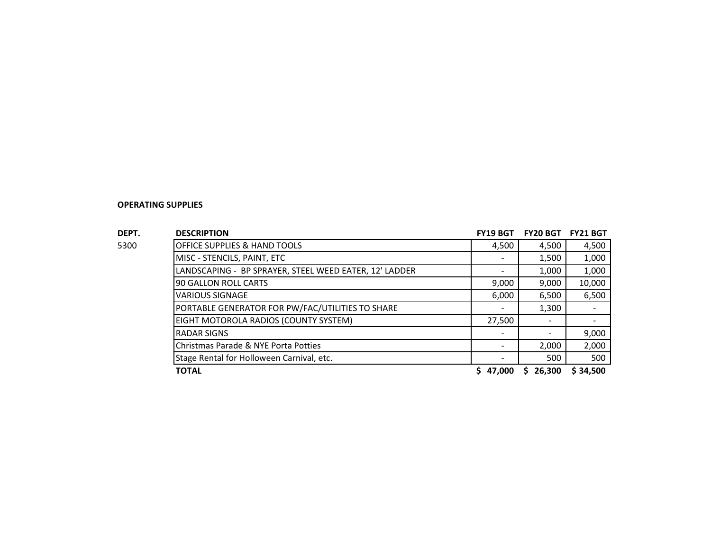| DEPT. | <b>DESCRIPTION</b>                                     | <b>FY19 BGT</b> | <b>FY20 BGT</b> | <b>FY21 BGT</b>          |
|-------|--------------------------------------------------------|-----------------|-----------------|--------------------------|
| 5300  | OFFICE SUPPLIES & HAND TOOLS                           | 4,500           | 4,500           | 4,500                    |
|       | MISC - STENCILS, PAINT, ETC                            |                 | 1,500           | 1,000                    |
|       | LANDSCAPING - BP SPRAYER, STEEL WEED EATER, 12' LADDER |                 | 1,000           | 1,000                    |
|       | 90 GALLON ROLL CARTS                                   | 9,000           | 9,000           | 10,000                   |
|       | <b>VARIOUS SIGNAGE</b>                                 | 6,000           | 6,500           | 6,500                    |
|       | PORTABLE GENERATOR FOR PW/FAC/UTILITIES TO SHARE       |                 | 1,300           | $\blacksquare$           |
|       | EIGHT MOTOROLA RADIOS (COUNTY SYSTEM)                  | 27,500          |                 | $\overline{\phantom{a}}$ |
|       | <b>RADAR SIGNS</b>                                     |                 |                 | 9,000                    |
|       | Christmas Parade & NYE Porta Potties                   |                 | 2,000           | 2,000                    |
|       | Stage Rental for Holloween Carnival, etc.              |                 | 500             | 500                      |
|       | <b>TOTAL</b>                                           | 47.000          | 26,300<br>S.    | \$34.500                 |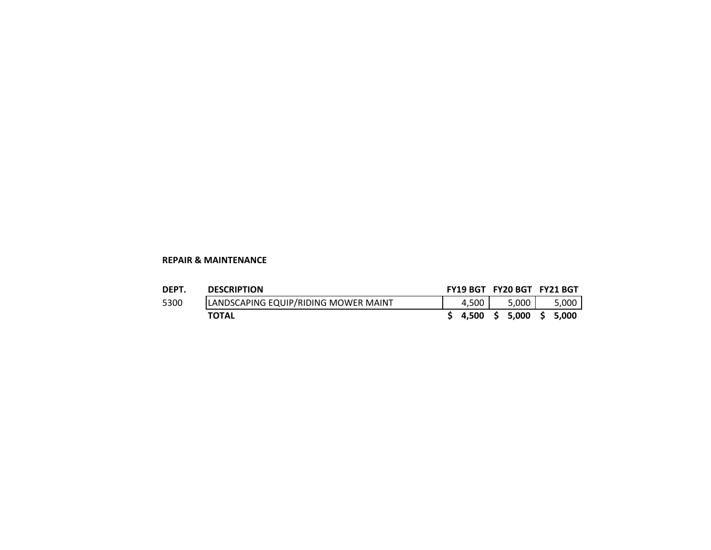# **REPAIR & MAINTENANCE**

| <b>DEPT</b> | <b>DESCRIPTION</b>                   |       | FY19 BGT FY20 BGT FY21 BGT |       |
|-------------|--------------------------------------|-------|----------------------------|-------|
| 5300        | LANDSCAPING EQUIP/RIDING MOWER MAINT | 4.500 | $5.000$ J                  | 5,000 |
|             | <b>TOTAL</b>                         |       | $$4,500 \$5,000 \$5,000$   |       |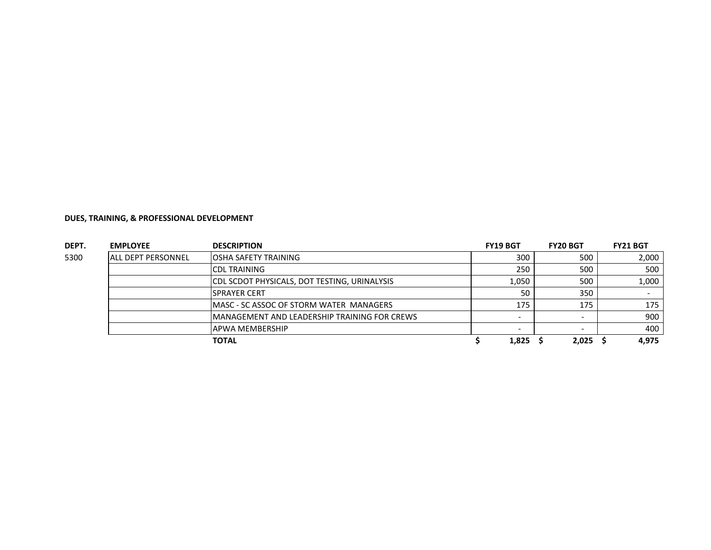| DEPT. | <b>EMPLOYEE</b>            | <b>DESCRIPTION</b>                                  | <b>FY19 BGT</b> | <b>FY20 BGT</b> | <b>FY21 BGT</b> |
|-------|----------------------------|-----------------------------------------------------|-----------------|-----------------|-----------------|
| 5300  | <b>JALL DEPT PERSONNEL</b> | <b>JOSHA SAFETY TRAINING</b>                        | 300             | 500             | 2,000           |
|       |                            | <b>CDL TRAINING</b>                                 | 250             | 500             | 500             |
|       |                            | <b>CDL SCDOT PHYSICALS, DOT TESTING, URINALYSIS</b> | 1,050           | 500             | 1,000           |
|       |                            | <b>SPRAYER CERT</b>                                 | 50              | 350             |                 |
|       |                            | IMASC - SC ASSOC OF STORM WATER MANAGERS            | 175             | 175             | 175             |
|       |                            | MANAGEMENT AND LEADERSHIP TRAINING FOR CREWS        |                 |                 | 900             |
|       |                            | <b>APWA MEMBERSHIP</b>                              |                 |                 | 400             |
|       |                            | <b>TOTAL</b>                                        | 1,825           | 2,025           | 4.975           |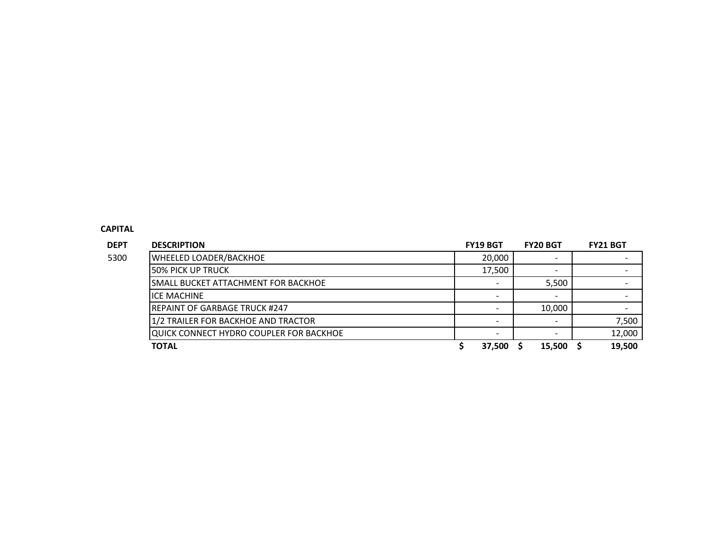### **CAPITAL**

| <b>DEPT</b> | <b>DESCRIPTION</b>                      | <b>FY19 BGT</b>          | <b>FY20 BGT</b>          | <b>FY21 BGT</b>          |
|-------------|-----------------------------------------|--------------------------|--------------------------|--------------------------|
|             | <b>WHEELED LOADER/BACKHOE</b>           | 20,000                   |                          |                          |
|             | <b>50% PICK UP TRUCK</b>                | 17,500                   | $\overline{\phantom{a}}$ |                          |
|             | SMALL BUCKET ATTACHMENT FOR BACKHOE     |                          | 5,500                    |                          |
| 5300        | <b>ICE MACHINE</b>                      |                          |                          |                          |
|             | <b>REPAINT OF GARBAGE TRUCK #247</b>    | $\overline{\phantom{0}}$ | 10,000                   | $\overline{\phantom{a}}$ |
|             | 1/2 TRAILER FOR BACKHOE AND TRACTOR     |                          |                          | 7,500                    |
|             | QUICK CONNECT HYDRO COUPLER FOR BACKHOE |                          |                          | 12,000                   |
|             | <b>TOTAL</b>                            | 37,500                   | 15,500                   | 19.500                   |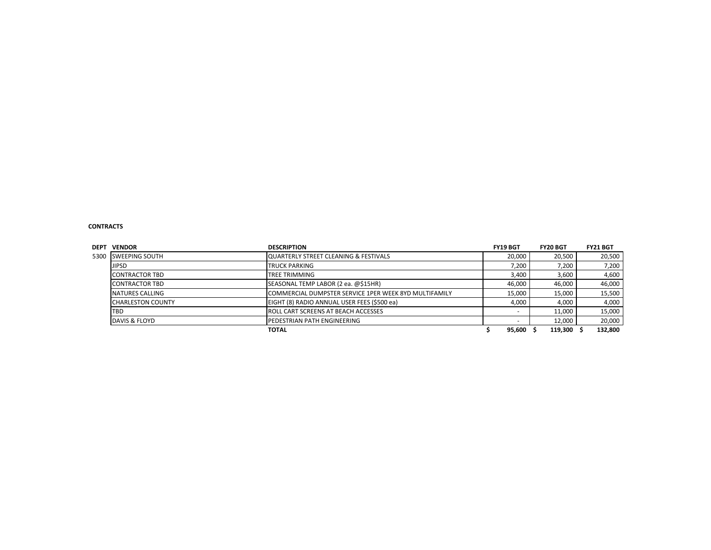#### **CONTRACTS**

| <b>DEPT</b> | <b>VENDOR</b>                                                | <b>DESCRIPTION</b>                                    | <b>FY19 BGT</b> | <b>FY20 BGT</b>  | <b>FY21 BGT</b>  |
|-------------|--------------------------------------------------------------|-------------------------------------------------------|-----------------|------------------|------------------|
| 5300        | <b>SWEEPING SOUTH</b>                                        | lQUARTERLY STREET CLEANING & FESTIVALS                | 20,000          | 20,500           | 20,500           |
|             | <b>JIPSD</b>                                                 | 7,200                                                 | 7.200           | 7,200            |                  |
|             | <b>CONTRACTOR TBD</b>                                        | <b>TREE TRIMMING</b>                                  | 3,400           | 3,600            | 4,600            |
|             | SEASONAL TEMP LABOR (2 ea. @\$15HR)<br><b>CONTRACTOR TBD</b> |                                                       |                 | 46,000<br>46,000 | 46,000           |
|             | NATURES CALLING                                              | COMMERCIAL DUMPSTER SERVICE 1PER WEEK 8YD MULTIFAMILY |                 |                  | 15,500<br>15,000 |
|             | <b>CHARLESTON COUNTY</b>                                     | EIGHT (8) RADIO ANNUAL USER FEES (\$500 ea)           | 4,000           | 4.000            | 4,000            |
|             | <b>TBD</b>                                                   | <b>ROLL CART SCREENS AT BEACH ACCESSES</b>            |                 | 11.000           | 15,000           |
|             | DAVIS & FLOYD                                                | PEDESTRIAN PATH ENGINEERING                           |                 | 12,000           | 20,000           |
|             |                                                              | <b>TOTAL</b>                                          | 95,600          | 119,300          | 132,800          |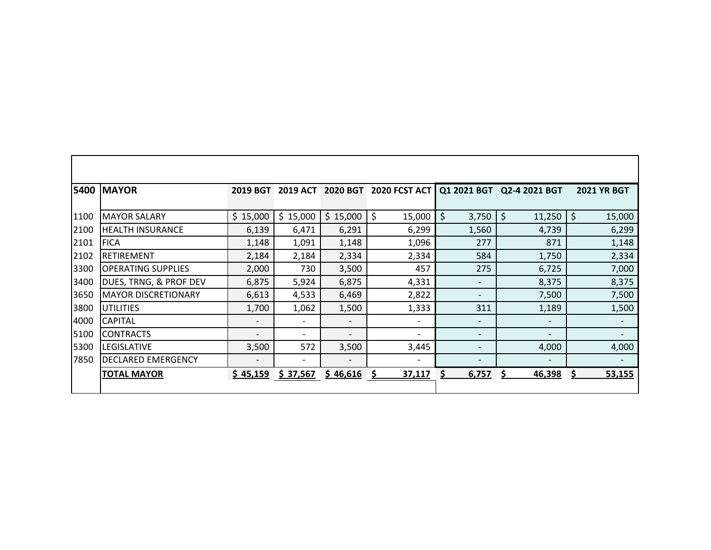|      | <b>5400 MAYOR</b>          | <b>2019 BGT</b>          | <b>2019 ACT</b>          | 2020 BGT                 | <b>2020 FCST ACT</b>     |                          | Q1 2021 BGT Q2-4 2021 BGT | <b>2021 YR BGT</b>       |
|------|----------------------------|--------------------------|--------------------------|--------------------------|--------------------------|--------------------------|---------------------------|--------------------------|
| 1100 | <b>MAYOR SALARY</b>        | \$15,000                 | \$15,000                 | \$15,000                 | \$<br>15,000             | \$<br>3,750              | \$<br>11,250              | \$<br>15,000             |
| 2100 | <b>HEALTH INSURANCE</b>    | 6,139                    | 6,471                    | 6,291                    | 6,299                    | 1,560                    | 4,739                     | 6,299                    |
| 2101 | <b>FICA</b>                | 1,148                    | 1,091                    | 1,148                    | 1,096                    | 277                      | 871                       | 1,148                    |
| 2102 | <b>RETIREMENT</b>          | 2,184                    | 2,184                    | 2,334                    | 2,334                    | 584                      | 1,750                     | 2,334                    |
| 3300 | <b>OPERATING SUPPLIES</b>  | 2,000                    | 730                      | 3,500                    | 457                      | 275                      | 6,725                     | 7,000                    |
| 3400 | DUES, TRNG, & PROF DEV     | 6,875                    | 5,924                    | 6,875                    | 4,331                    | $\overline{\phantom{a}}$ | 8,375                     | 8,375                    |
| 3650 | <b>MAYOR DISCRETIONARY</b> | 6,613                    | 4,533                    | 6,469                    | 2,822                    | $\overline{\phantom{0}}$ | 7,500                     | 7,500                    |
| 3800 | <b>IUTILITIES</b>          | 1,700                    | 1,062                    | 1,500                    | 1,333                    | 311                      | 1,189                     | 1,500                    |
| 4000 | <b>CAPITAL</b>             | $\overline{\phantom{a}}$ | $\overline{\phantom{a}}$ | $\overline{\phantom{a}}$ | $\overline{\phantom{a}}$ | $\overline{\phantom{a}}$ | $\overline{\phantom{a}}$  | $\overline{\phantom{a}}$ |
| 5100 | <b>CONTRACTS</b>           | $\overline{\phantom{a}}$ | -                        | $\overline{\phantom{0}}$ | $\overline{\phantom{a}}$ | $\overline{\phantom{a}}$ | $\overline{\phantom{a}}$  | $\overline{\phantom{a}}$ |
| 5300 | <b>LEGISLATIVE</b>         | 3,500                    | 572                      | 3,500                    | 3,445                    | $\overline{\phantom{a}}$ | 4,000                     | 4,000                    |
| 7850 | <b>DECLARED EMERGENCY</b>  | $\overline{\phantom{a}}$ | $\overline{\phantom{a}}$ |                          |                          |                          | $\overline{\phantom{a}}$  |                          |
|      | <b>TOTAL MAYOR</b>         | \$45,159                 | \$37,567                 | \$46,616                 | 37,117<br>S              | 6,757<br>Ś               | S<br>46,398               | 53,155<br>S              |
|      |                            |                          |                          |                          |                          |                          |                           |                          |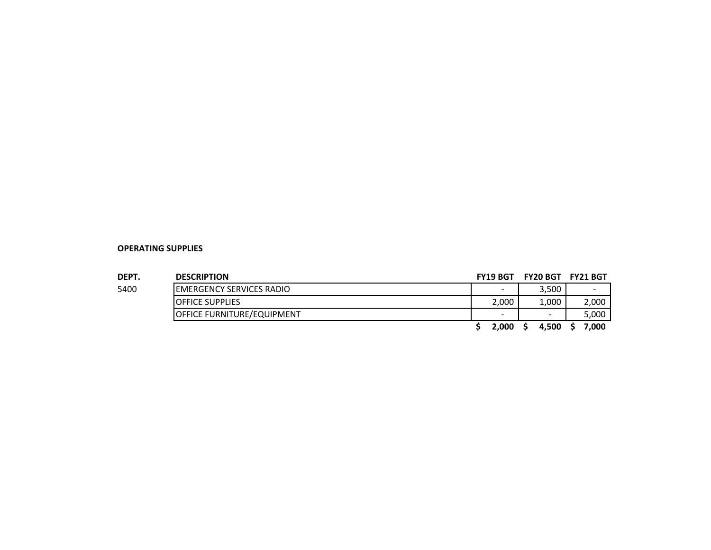| DEPT. | <b>DESCRIPTION</b>                |  | <b>FY19 BGT</b> | <b>FY20 BGT FY21 BGT</b> |                          |
|-------|-----------------------------------|--|-----------------|--------------------------|--------------------------|
| 5400  | <b>IEMERGENCY SERVICES RADIO</b>  |  | $\sim$          | 3,500                    | $\overline{\phantom{0}}$ |
|       | <b>IOFFICE SUPPLIES</b>           |  |                 | 1.000                    | 2,000                    |
|       | <b>OFFICE FURNITURE/EQUIPMENT</b> |  | -               | $\overline{\phantom{a}}$ | 5,000                    |
|       |                                   |  | 2.000           | 4,500                    | 7.000                    |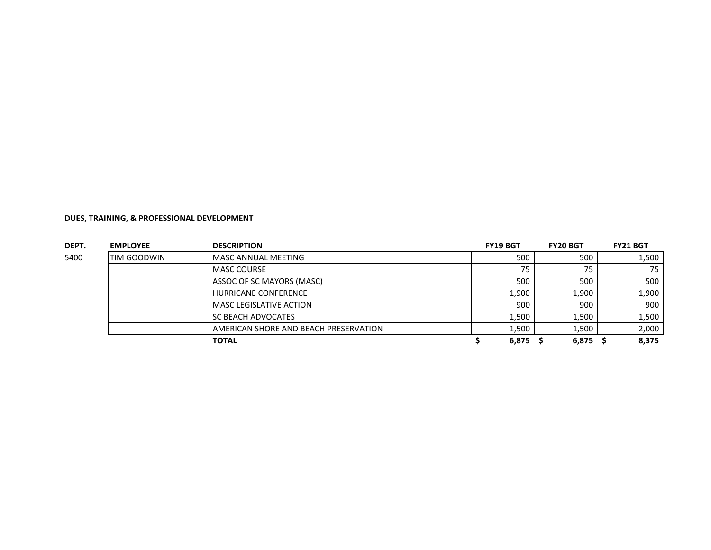| DEPT. | <b>EMPLOYEE</b>    | <b>DESCRIPTION</b>                    | <b>FY19 BGT</b> | <b>FY20 BGT</b> | <b>FY21 BGT</b> |
|-------|--------------------|---------------------------------------|-----------------|-----------------|-----------------|
| 5400  | <b>TIM GOODWIN</b> | MASC ANNUAL MEETING                   | 500             | 500             | 1,500           |
|       |                    | <b>MASC COURSE</b>                    | 75              | 75              | 75              |
|       |                    | ASSOC OF SC MAYORS (MASC)             | 500             | 500             | 500             |
|       |                    | <b>HURRICANE CONFERENCE</b>           | 1,900           | 1,900           | 1,900           |
|       |                    | <b>MASC LEGISLATIVE ACTION</b>        | 900             | 900             | 900             |
|       |                    | <b>SC BEACH ADVOCATES</b>             | 1,500           | 1.500           | 1,500           |
|       |                    | AMERICAN SHORE AND BEACH PRESERVATION | 1,500           | 1,500           | 2,000           |
|       |                    | TOTAL                                 | 6,875           | 6,875           | 8,375           |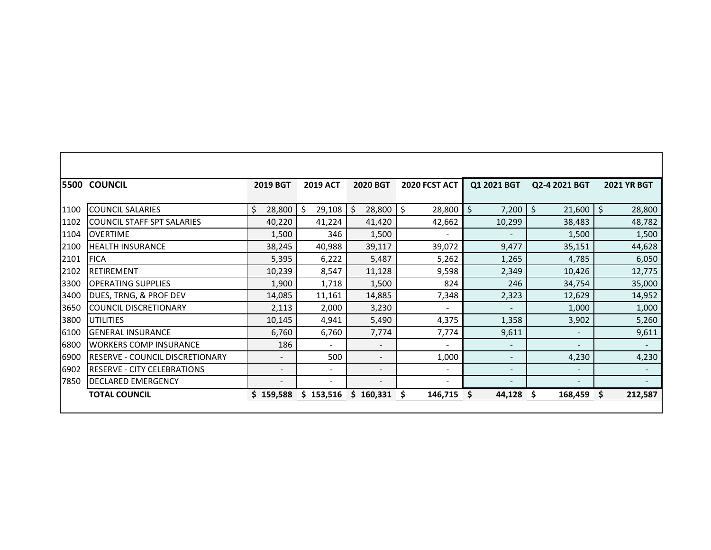|      | <b>5500 COUNCIL</b>                    | 2019 BGT                 | <b>2019 ACT</b> | 2020 BGT                 | 2020 FCST ACT            | Q1 2021 BGT              | Q2-4 2021 BGT            | <b>2021 YR BGT</b> |
|------|----------------------------------------|--------------------------|-----------------|--------------------------|--------------------------|--------------------------|--------------------------|--------------------|
|      |                                        |                          |                 |                          |                          |                          |                          |                    |
| 1100 | <b>COUNCIL SALARIES</b>                | \$<br>28,800             | \$<br>29,108    | Ŝ.<br>28,800             | Ŝ.<br>28,800             | \$<br>7,200              | \$<br>21,600             | 28,800<br>Ś.       |
| 1102 | <b>COUNCIL STAFF SPT SALARIES</b>      | 40,220                   | 41,224          | 41,420                   | 42,662                   | 10,299                   | 38,483                   | 48,782             |
| 1104 | <b>OVERTIME</b>                        | 1,500                    | 346             | 1,500                    | $\overline{a}$           | $\overline{\phantom{a}}$ | 1,500                    | 1,500              |
| 2100 | <b>HEALTH INSURANCE</b>                | 38,245                   | 40,988          | 39,117                   | 39,072                   | 9,477                    | 35,151                   | 44,628             |
| 2101 | <b>FICA</b>                            | 5,395                    | 6,222           | 5,487                    | 5,262                    | 1,265                    | 4,785                    | 6,050              |
| 2102 | RETIREMENT                             | 10,239                   | 8,547           | 11,128                   | 9,598                    | 2,349                    | 10,426                   | 12,775             |
| 3300 | <b>OPERATING SUPPLIES</b>              | 1,900                    | 1,718           | 1,500                    | 824                      | 246                      | 34,754                   | 35,000             |
| 3400 | DUES, TRNG, & PROF DEV                 | 14,085                   | 11,161          | 14,885                   | 7,348                    | 2,323                    | 12,629                   | 14,952             |
| 3650 | <b>COUNCIL DISCRETIONARY</b>           | 2,113                    | 2,000           | 3,230                    | $\blacksquare$           | $\overline{\phantom{a}}$ | 1,000                    | 1,000              |
| 3800 | <b>UTILITIES</b>                       | 10,145                   | 4,941           | 5,490                    | 4,375                    | 1,358                    | 3,902                    | 5,260              |
| 6100 | <b>GENERAL INSURANCE</b>               | 6,760                    | 6,760           | 7,774                    | 7,774                    | 9,611                    | $\blacksquare$           | 9,611              |
| 6800 | <b>WORKERS COMP INSURANCE</b>          | 186                      | $\sim$          | $\blacksquare$           | $\overline{\phantom{a}}$ | $\overline{\phantom{a}}$ | $\overline{\phantom{a}}$ | $\blacksquare$     |
| 6900 | <b>RESERVE - COUNCIL DISCRETIONARY</b> | $\blacksquare$           | 500             | $\blacksquare$           | 1,000                    | $\sim$                   | 4,230                    | 4,230              |
| 6902 | <b>RESERVE - CITY CELEBRATIONS</b>     | $\overline{\phantom{a}}$ | $\blacksquare$  | $\blacksquare$           | ۰.                       | $\overline{\phantom{a}}$ | $\sim$                   | $\sim$             |
| 7850 | <b>DECLARED EMERGENCY</b>              | $\overline{\phantom{a}}$ |                 | $\overline{\phantom{a}}$ | $\sim$                   | $\blacksquare$           | $\overline{\phantom{a}}$ | $\blacksquare$     |
|      | <b>TOTAL COUNCIL</b>                   | \$159,588                | \$153,516       | 160,331<br>S.            | 146,715                  | 44,128                   | 168,459                  | 212,587            |
|      |                                        |                          |                 |                          |                          |                          |                          |                    |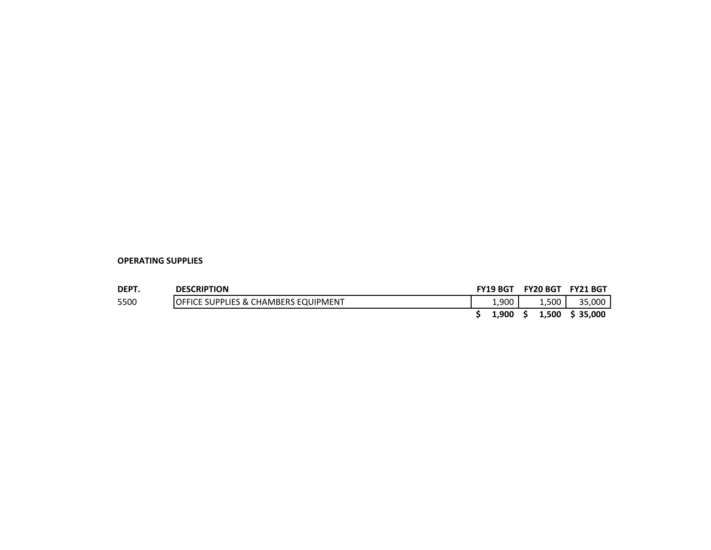| <b>DEPT</b> | <b>DESCRIPTION</b>                              | <b>FY19 BGT</b> | <b>FY20 BGT</b> |       | <b>FY21 BGT</b> |
|-------------|-------------------------------------------------|-----------------|-----------------|-------|-----------------|
| 5500        | <b>OFFICE SUPPLIES &amp; CHAMBERS EQUIPMENT</b> | 1.900           |                 | 1.500 | 35,000          |
|             |                                                 | 1.900           | S.              | 1,500 | \$ 35,000       |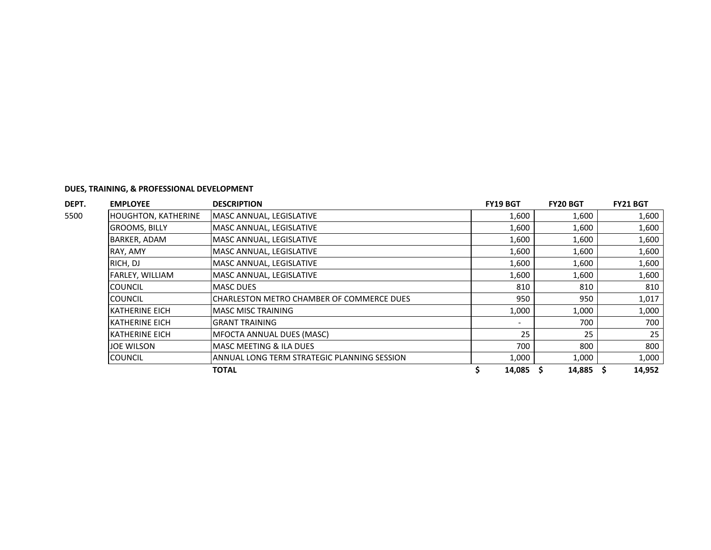| DEPT. | <b>EMPLOYEE</b>            | <b>DESCRIPTION</b>                          | <b>FY19 BGT</b> | <b>FY20 BGT</b> | <b>FY21 BGT</b> |
|-------|----------------------------|---------------------------------------------|-----------------|-----------------|-----------------|
| 5500  | <b>HOUGHTON, KATHERINE</b> | MASC ANNUAL, LEGISLATIVE                    | 1,600           | 1,600           | 1,600           |
|       | <b>GROOMS, BILLY</b>       | MASC ANNUAL, LEGISLATIVE                    | 1,600           | 1,600           | 1,600           |
|       | <b>BARKER, ADAM</b>        | MASC ANNUAL, LEGISLATIVE                    | 1,600           | 1,600           | 1,600           |
|       | RAY, AMY                   | MASC ANNUAL, LEGISLATIVE                    | 1,600           | 1,600           | 1,600           |
|       | RICH, DJ                   | MASC ANNUAL, LEGISLATIVE                    | 1,600           | 1,600           | 1,600           |
|       | FARLEY, WILLIAM            | MASC ANNUAL, LEGISLATIVE                    | 1,600           | 1,600           | 1,600           |
|       | <b>COUNCIL</b>             | <b>MASC DUES</b>                            | 810             | 810             | 810             |
|       | <b>COUNCIL</b>             | CHARLESTON METRO CHAMBER OF COMMERCE DUES   | 950             | 950             | 1,017           |
|       | <b>KATHERINE EICH</b>      | <b>MASC MISC TRAINING</b>                   | 1,000           | 1,000           | 1,000           |
|       | <b>KATHERINE EICH</b>      | <b>GRANT TRAINING</b>                       |                 | 700             | 700             |
|       | <b>KATHERINE EICH</b>      | MFOCTA ANNUAL DUES (MASC)                   | 25              | 25              | 25              |
|       | JOE WILSON                 | MASC MEETING & ILA DUES                     | 700             | 800             | 800             |
|       | <b>COUNCIL</b>             | ANNUAL LONG TERM STRATEGIC PLANNING SESSION | 1,000           | 1,000           | 1,000           |
|       |                            | <b>TOTAL</b>                                | 14,085          | 14,885          | 14,952          |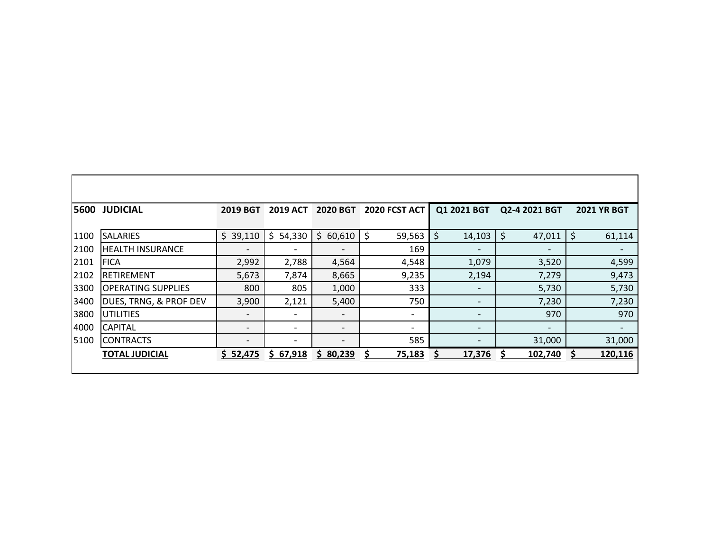| 5600 | <b>JUDICIAL</b>           | <b>2019 BGT</b>          | <b>2019 ACT</b>              | <b>2020 BGT</b>          | 2020 FCST ACT | Q1 2021 BGT              | Q2-4 2021 BGT | <b>2021 YR BGT</b>       |
|------|---------------------------|--------------------------|------------------------------|--------------------------|---------------|--------------------------|---------------|--------------------------|
| 1100 | <b>SALARIES</b>           | \$39,110                 | \$<br>54,330                 | \$.<br>60,610            | \$<br>59,563  | \$<br>14,103             | \$<br>47,011  | \$<br>61,114             |
| 2100 | <b>HEALTH INSURANCE</b>   | $\overline{a}$           | $\overline{\phantom{0}}$     |                          | 169           |                          |               | $\overline{\phantom{0}}$ |
| 2101 | <b>FICA</b>               | 2,992                    | 2,788                        | 4,564                    | 4,548         | 1,079                    | 3,520         | 4,599                    |
| 2102 | <b>IRETIREMENT</b>        | 5,673                    | 7,874                        | 8,665                    | 9,235         | 2,194                    | 7,279         | 9,473                    |
| 3300 | <b>OPERATING SUPPLIES</b> | 800                      | 805                          | 1,000                    | 333           |                          | 5,730         | 5,730                    |
| 3400 | DUES, TRNG, & PROF DEV    | 3,900                    | 2,121                        | 5,400                    | 750           | $\overline{\phantom{0}}$ | 7,230         | 7,230                    |
| 3800 | <b>UTILITIES</b>          | $\overline{\phantom{a}}$ | $\qquad \qquad \blacksquare$ |                          |               | $\overline{\phantom{0}}$ | 970           | 970                      |
| 4000 | <b>CAPITAL</b>            | $\overline{\phantom{a}}$ | $\overline{\phantom{0}}$     | $\overline{\phantom{0}}$ |               | $\qquad \qquad$          |               | $\overline{\phantom{a}}$ |
| 5100 | <b>CONTRACTS</b>          | -                        | $\overline{\phantom{a}}$     |                          | 585           |                          | 31,000        | 31,000                   |
|      | <b>TOTAL JUDICIAL</b>     | \$52,475                 | \$67,918                     | \$80,239                 | 75,183        | 17,376                   | 102,740       | 120,116                  |
|      |                           |                          |                              |                          |               |                          |               |                          |

 $\Gamma$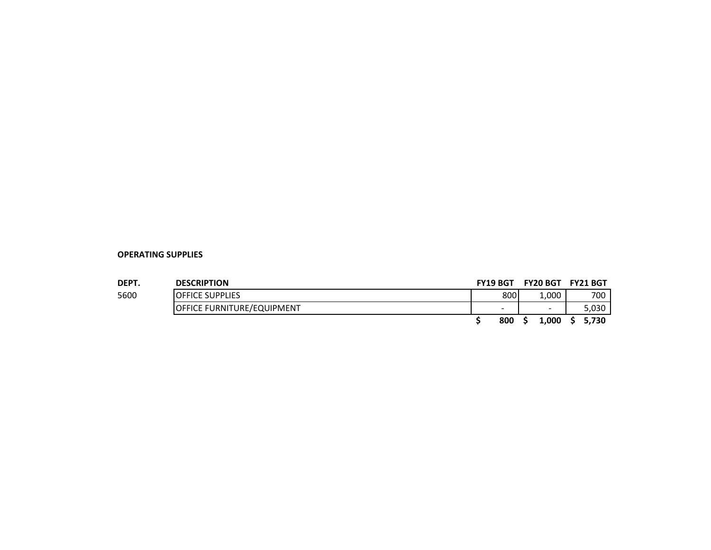| <b>DEPT</b> | <b>DESCRIPTION</b>                | <b>FY19 BGT</b>          | FY20 BGT FY21 BGT     |       |
|-------------|-----------------------------------|--------------------------|-----------------------|-------|
| 5600        | <b>IOFFICE SUPPLIES</b>           | 800                      | $\scriptstyle\pm,000$ | 700   |
|             | <b>OFFICE FURNITURE/EQUIPMENT</b> | $\overline{\phantom{a}}$ | $\sim$                | 5.030 |
|             |                                   | 800                      | 1.000                 | 5.730 |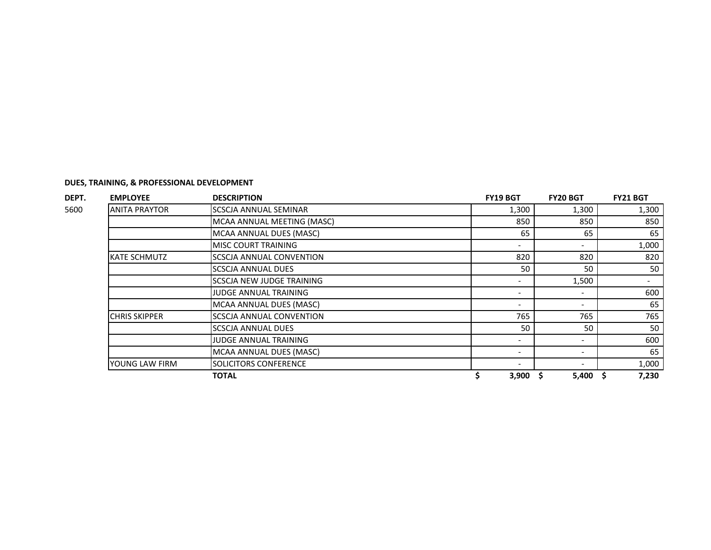| DEPT. | <b>EMPLOYEE</b>      | <b>DESCRIPTION</b>               | <b>FY19 BGT</b>          | <b>FY20 BGT</b> | <b>FY21 BGT</b> |
|-------|----------------------|----------------------------------|--------------------------|-----------------|-----------------|
| 5600  | <b>ANITA PRAYTOR</b> | <b>SCSCJA ANNUAL SEMINAR</b>     | 1,300                    | 1,300           | 1,300           |
|       |                      | MCAA ANNUAL MEETING (MASC)       | 850                      | 850             | 850             |
|       |                      | MCAA ANNUAL DUES (MASC)          | 65                       | 65              | 65              |
|       |                      | <b>MISC COURT TRAINING</b>       | $\overline{\phantom{a}}$ |                 | 1,000           |
|       | <b>KATE SCHMUTZ</b>  | SCSCJA ANNUAL CONVENTION         | 820                      | 820             | 820             |
|       |                      | <b>SCSCJA ANNUAL DUES</b>        | 50                       | 50              | 50              |
|       |                      | <b>SCSCJA NEW JUDGE TRAINING</b> |                          | 1,500           |                 |
|       |                      | <b>JUDGE ANNUAL TRAINING</b>     |                          |                 | 600             |
|       |                      | MCAA ANNUAL DUES (MASC)          |                          |                 | 65              |
|       | <b>CHRIS SKIPPER</b> | <b>SCSCJA ANNUAL CONVENTION</b>  | 765                      | 765             | 765             |
|       |                      | <b>SCSCJA ANNUAL DUES</b>        | 50                       | 50              | 50              |
|       |                      | JUDGE ANNUAL TRAINING            |                          |                 | 600             |
|       |                      | MCAA ANNUAL DUES (MASC)          |                          |                 | 65              |
|       | YOUNG LAW FIRM       | SOLICITORS CONFERENCE            |                          |                 | 1,000           |
|       |                      | TOTAL                            | 3,900                    | 5,400<br>s      | 7,230           |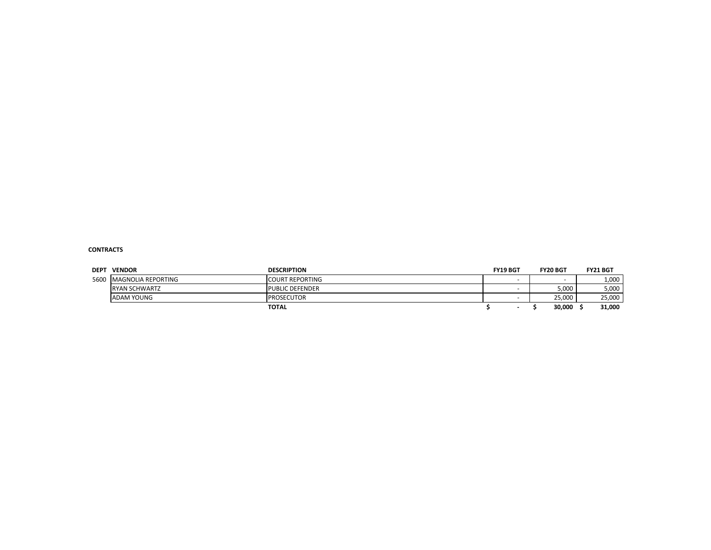#### **CONTRACTS**

| <b>DEPT</b> | <b>VENDOR</b>             | <b>DESCRIPTION</b>     | <b>FY19 BGT</b> | <b>FY20 BGT</b> | <b>FY21 BGT</b> |
|-------------|---------------------------|------------------------|-----------------|-----------------|-----------------|
| 5600        | <b>MAGNOLIA REPORTING</b> | <b>COURT REPORTING</b> |                 |                 | 1,000           |
|             | <b>RYAN SCHWARTZ</b>      | <b>PUBLIC DEFENDER</b> |                 | 5,000           | 5,000           |
|             | <b>ADAM YOUNG</b>         | <b>PROSECUTOR</b>      |                 | 25.000          | 25,000          |
|             |                           | <b>TOTAL</b>           |                 | 30,000          | 31,000          |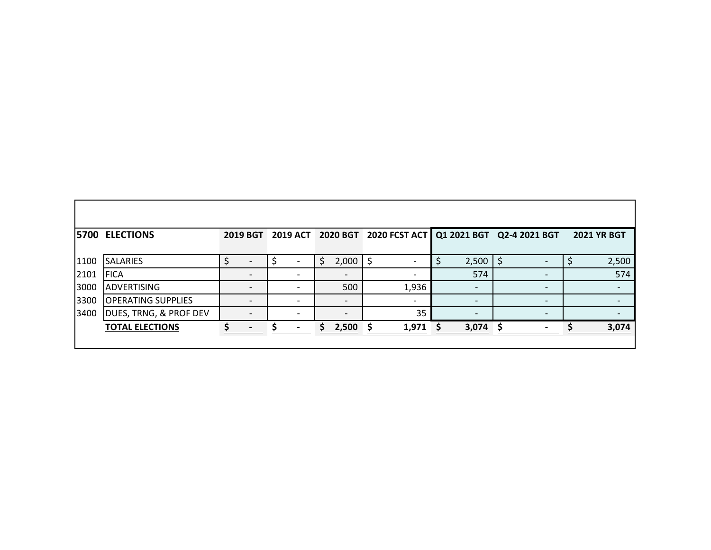|      | <b>5700 ELECTIONS</b>     |  |                |    |                 | 2019 BGT 2019 ACT 2020 BGT 2020 FCST ACT   Q1 2021 BGT Q2-4 2021 BGT |   |                          |    |  | <b>2021 YR BGT</b> |
|------|---------------------------|--|----------------|----|-----------------|----------------------------------------------------------------------|---|--------------------------|----|--|--------------------|
|      |                           |  |                |    |                 |                                                                      |   |                          |    |  |                    |
| 1100 | <b>SALARIES</b>           |  |                | S  | 2,000           | \$                                                                   | Ş | 2,500                    |    |  | 2,500              |
| 2101 | <b>FICA</b>               |  |                |    |                 |                                                                      |   | 574                      |    |  | 574                |
| 3000 | <b>ADVERTISING</b>        |  |                |    | 500             | 1,936                                                                |   |                          |    |  |                    |
| 3300 | <b>OPERATING SUPPLIES</b> |  |                |    | $\qquad \qquad$ | $\overline{\phantom{a}}$                                             |   | $\overline{\phantom{0}}$ |    |  |                    |
| 3400 | DUES, TRNG, & PROF DEV    |  |                |    |                 | 35                                                                   |   |                          |    |  |                    |
|      | <b>TOTAL ELECTIONS</b>    |  | $\blacksquare$ | S. | 2,500           | 1,971                                                                | S | 3,074                    | -S |  | 3,074              |
|      |                           |  |                |    |                 |                                                                      |   |                          |    |  |                    |

 $\Box$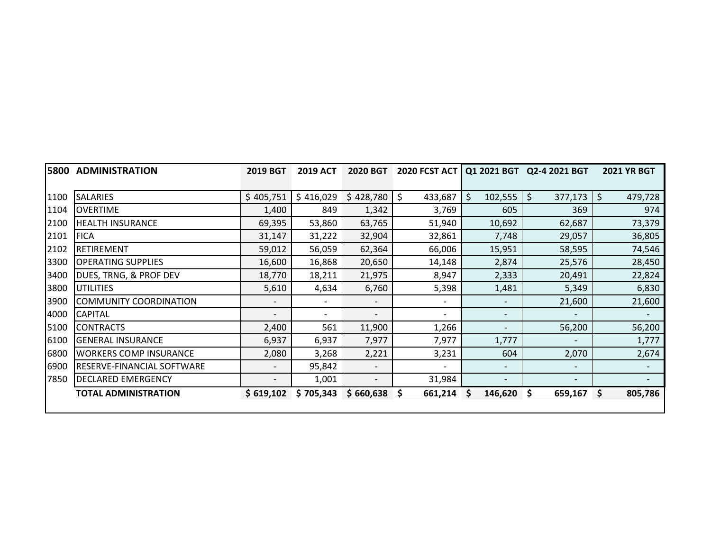|      | <b>5800 ADMINISTRATION</b>         | <b>2019 BGT</b>          | <b>2019 ACT</b> | 2020 BGT                 | <b>2020 FCST ACT  </b>   |                          | Q1 2021 BGT Q2-4 2021 BGT | <b>2021 YR BGT</b> |
|------|------------------------------------|--------------------------|-----------------|--------------------------|--------------------------|--------------------------|---------------------------|--------------------|
|      |                                    |                          |                 |                          |                          |                          |                           |                    |
| 1100 | <b>SALARIES</b>                    | \$405,751                | \$416,029       | \$428,780                | \$<br>433,687            | \$<br>102,555            | \$<br>377,173             | \$<br>479,728      |
| 1104 | <b>OVERTIME</b>                    | 1,400                    | 849             | 1,342                    | 3,769                    | 605                      | 369                       | 974                |
| 2100 | <b>HEALTH INSURANCE</b>            | 69,395                   | 53,860          | 63,765                   | 51,940                   | 10,692                   | 62,687                    | 73,379             |
| 2101 | <b>FICA</b>                        | 31,147                   | 31,222          | 32,904                   | 32,861                   | 7,748                    | 29,057                    | 36,805             |
| 2102 | <b>RETIREMENT</b>                  | 59,012                   | 56,059          | 62,364                   | 66,006                   | 15,951                   | 58,595                    | 74,546             |
| 3300 | <b>OPERATING SUPPLIES</b>          | 16,600                   | 16,868          | 20,650                   | 14,148                   | 2,874                    | 25,576                    | 28,450             |
| 3400 | DUES, TRNG, & PROF DEV             | 18,770                   | 18,211          | 21,975                   | 8,947                    | 2,333                    | 20,491                    | 22,824             |
| 3800 | UTILITIES                          | 5,610                    | 4,634           | 6,760                    | 5,398                    | 1,481                    | 5,349                     | 6,830              |
| 3900 | <b>COMMUNITY COORDINATION</b>      |                          |                 | $\overline{\phantom{0}}$ | $\overline{\phantom{a}}$ |                          | 21,600                    | 21,600             |
| 4000 | <b>CAPITAL</b>                     | $\overline{\phantom{0}}$ | $\sim$          | $\overline{\phantom{a}}$ | $\overline{\phantom{0}}$ | $\overline{\phantom{a}}$ | $\overline{\phantom{a}}$  |                    |
| 5100 | <b>CONTRACTS</b>                   | 2,400                    | 561             | 11,900                   | 1,266                    | $\overline{\phantom{a}}$ | 56,200                    | 56,200             |
| 6100 | <b>GENERAL INSURANCE</b>           | 6,937                    | 6,937           | 7,977                    | 7,977                    | 1,777                    | $\overline{\phantom{a}}$  | 1,777              |
| 6800 | <b>WORKERS COMP INSURANCE</b>      | 2,080                    | 3,268           | 2,221                    | 3,231                    | 604                      | 2,070                     | 2,674              |
| 6900 | <b>IRESERVE-FINANCIAL SOFTWARE</b> | $\overline{\phantom{0}}$ | 95,842          | $\overline{\phantom{a}}$ | $\overline{\phantom{0}}$ | $\overline{\phantom{a}}$ | $\overline{\phantom{a}}$  |                    |
| 7850 | <b>DECLARED EMERGENCY</b>          | $\overline{\phantom{0}}$ | 1,001           | $\overline{\phantom{a}}$ | 31,984                   | $\overline{\phantom{a}}$ | $\overline{\phantom{a}}$  |                    |
|      | <b>TOTAL ADMINISTRATION</b>        | \$619,102                | \$705,343       | \$660,638                | 661,214                  | S<br>146,620             | S<br>659,167              | S.<br>805,786      |
|      |                                    |                          |                 |                          |                          |                          |                           |                    |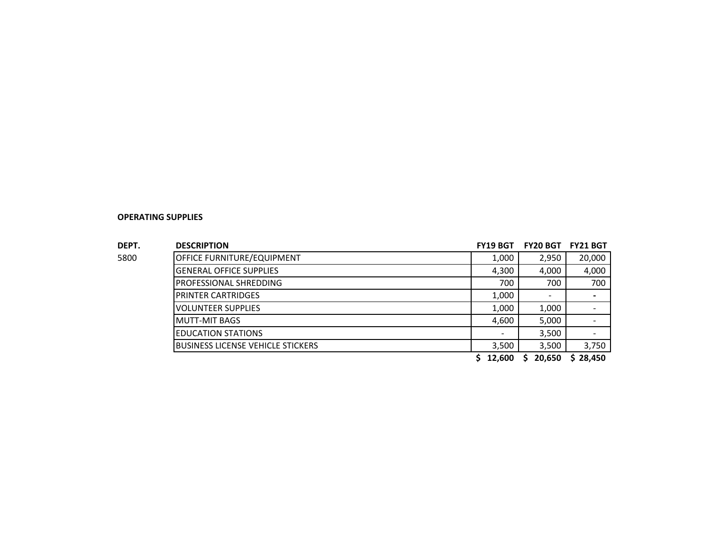| DEPT. | <b>DESCRIPTION</b>                | <b>FY19 BGT</b> | <b>FY20 BGT</b> | <b>FY21 BGT</b>          |
|-------|-----------------------------------|-----------------|-----------------|--------------------------|
| 5800  | OFFICE FURNITURE/EQUIPMENT        | 1,000           | 2,950           | 20,000                   |
|       | <b>GENERAL OFFICE SUPPLIES</b>    | 4,300           | 4,000           | 4,000                    |
|       | <b>PROFESSIONAL SHREDDING</b>     | 700             | 700             | 700                      |
|       | <b>PRINTER CARTRIDGES</b>         | 1,000           |                 | $\overline{\phantom{0}}$ |
|       | VOLUNTEER SUPPLIES                | 1,000           | 1,000           | $\overline{\phantom{0}}$ |
|       | MUTT-MIT BAGS                     | 4,600           | 5,000           | $\overline{\phantom{0}}$ |
|       | <b>EDUCATION STATIONS</b>         |                 | 3,500           |                          |
|       | BUSINESS LICENSE VEHICLE STICKERS | 3,500           | 3,500           | 3,750                    |
|       |                                   | 12,600          | 20,650<br>S     | \$28,450                 |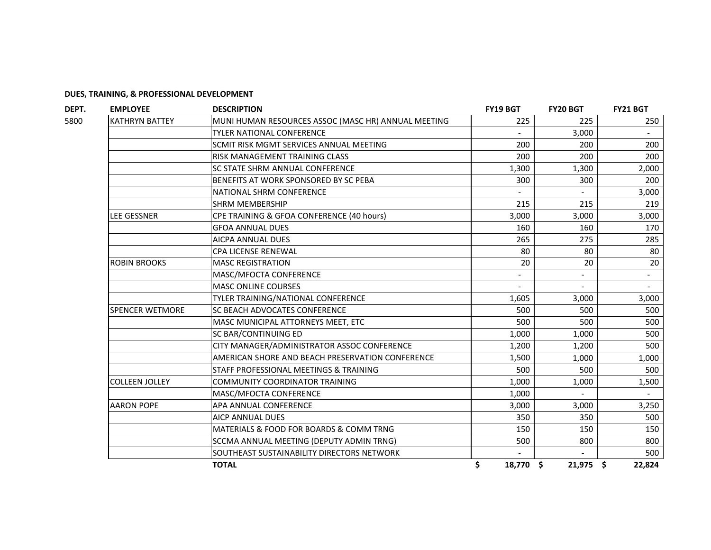| <b>EMPLOYEE</b>        | <b>DESCRIPTION</b>                                  | <b>FY19 BGT</b> | <b>FY20 BGT</b> | <b>FY21 BGT</b> |
|------------------------|-----------------------------------------------------|-----------------|-----------------|-----------------|
| <b>KATHRYN BATTEY</b>  | MUNI HUMAN RESOURCES ASSOC (MASC HR) ANNUAL MEETING | 225             | 225             | 250             |
|                        | <b>TYLER NATIONAL CONFERENCE</b>                    |                 | 3,000           |                 |
|                        | SCMIT RISK MGMT SERVICES ANNUAL MEETING             | 200             | 200             | 200             |
|                        | RISK MANAGEMENT TRAINING CLASS                      | 200             | 200             | 200             |
|                        | SC STATE SHRM ANNUAL CONFERENCE                     | 1,300           | 1,300           | 2,000           |
|                        | BENEFITS AT WORK SPONSORED BY SC PEBA               | 300             | 300             | 200             |
|                        | NATIONAL SHRM CONFERENCE                            |                 |                 | 3,000           |
|                        | <b>SHRM MEMBERSHIP</b>                              | 215             | 215             | 219             |
| LEE GESSNER            | CPE TRAINING & GFOA CONFERENCE (40 hours)           | 3,000           | 3,000           | 3,000           |
|                        | <b>GFOA ANNUAL DUES</b>                             | 160             | 160             | 170             |
|                        | AICPA ANNUAL DUES                                   | 265             | 275             | 285             |
|                        | <b>CPA LICENSE RENEWAL</b>                          | 80              | 80              | 80              |
| <b>ROBIN BROOKS</b>    | <b>MASC REGISTRATION</b>                            | 20              | 20              | 20              |
|                        | MASC/MFOCTA CONFERENCE                              |                 |                 |                 |
|                        | <b>MASC ONLINE COURSES</b>                          |                 |                 |                 |
|                        | TYLER TRAINING/NATIONAL CONFERENCE                  | 1,605           | 3,000           | 3,000           |
| <b>SPENCER WETMORE</b> | SC BEACH ADVOCATES CONFERENCE                       | 500             | 500             | 500             |
|                        | MASC MUNICIPAL ATTORNEYS MEET, ETC                  | 500             | 500             | 500             |
|                        | SC BAR/CONTINUING ED                                | 1,000           | 1,000           | 500             |
|                        | CITY MANAGER/ADMINISTRATOR ASSOC CONFERENCE         | 1,200           | 1,200           | 500             |
|                        | AMERICAN SHORE AND BEACH PRESERVATION CONFERENCE    | 1,500           | 1,000           | 1,000           |
|                        | STAFF PROFESSIONAL MEETINGS & TRAINING              | 500             | 500             | 500             |
| <b>COLLEEN JOLLEY</b>  | <b>COMMUNITY COORDINATOR TRAINING</b>               | 1,000           | 1,000           | 1,500           |
|                        | MASC/MFOCTA CONFERENCE                              | 1,000           |                 |                 |
| <b>AARON POPE</b>      | APA ANNUAL CONFERENCE                               | 3,000           | 3,000           | 3,250           |
|                        | <b>AICP ANNUAL DUES</b>                             | 350             | 350             | 500             |
|                        | MATERIALS & FOOD FOR BOARDS & COMM TRNG             | 150             | 150             | 150             |
|                        | SCCMA ANNUAL MEETING (DEPUTY ADMIN TRNG)            | 500             | 800             | 800             |
|                        | SOUTHEAST SUSTAINABILITY DIRECTORS NETWORK          |                 |                 | 500             |
|                        | <b>TOTAL</b>                                        | \$<br>18,770 \$ | $21,975$ \$     | 22,824          |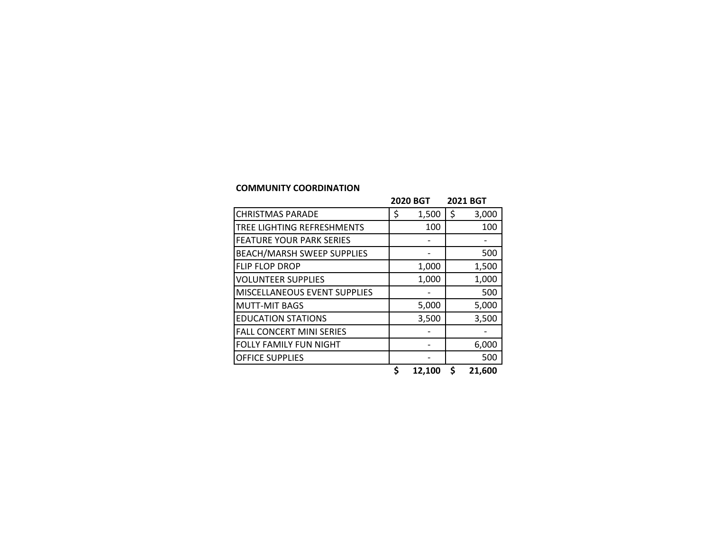#### **COMMUNITY COORDINATION**

| 3,000<br>100<br>500 |
|---------------------|
|                     |
|                     |
|                     |
|                     |
| 1,500               |
| 1,000               |
| 500                 |
| 5,000               |
| 3,500               |
|                     |
| 6,000               |
| 500                 |
|                     |

**\$ 12,100 \$ 21,600**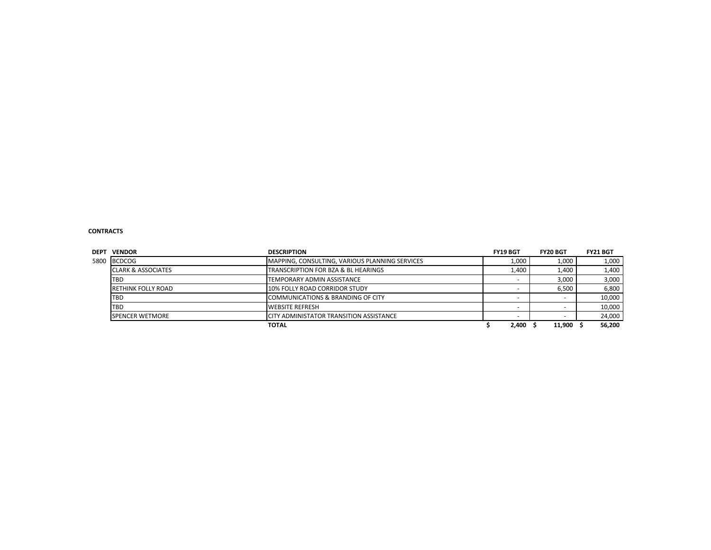#### **CONTRACTS**

| <b>DEPT</b> | <b>VENDOR</b>                  | <b>DESCRIPTION</b>                             | FY19 BGT | <b>FY20 BGT</b> | <b>FY21 BGT</b> |
|-------------|--------------------------------|------------------------------------------------|----------|-----------------|-----------------|
| 5800        | <b>BCDCOG</b>                  | MAPPING, CONSULTING, VARIOUS PLANNING SERVICES | 1,000    | 1,000           | 1,000           |
|             | <b>ICLARK &amp; ASSOCIATES</b> | TRANSCRIPTION FOR BZA & BL HEARINGS            | 1.400    | 1,400           | 1,400           |
|             | TBD                            | TEMPORARY ADMIN ASSISTANCE                     |          | 3,000           | 3,000           |
|             | <b>RETHINK FOLLY ROAD</b>      | 10% FOLLY ROAD CORRIDOR STUDY                  |          | 6.500           | 6,800           |
|             | TBD                            | COMMUNICATIONS & BRANDING OF CITY              |          |                 | 10,000          |
|             | TBD                            | <b>WEBSITE REFRESH</b>                         |          |                 | 10,000          |
|             | <b>SPENCER WETMORE</b>         | CITY ADMINISTATOR TRANSITION ASSISTANCE        |          |                 | 24,000          |
|             |                                | <b>TOTAL</b>                                   | 2,400    | 11.900          | 56,200          |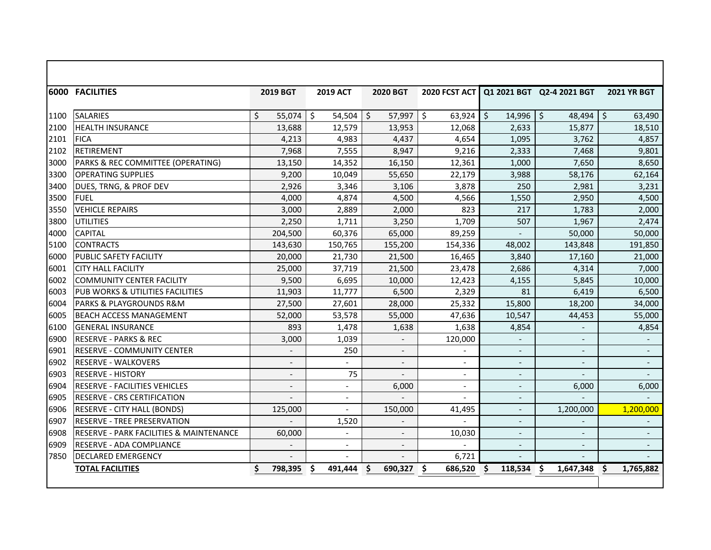|      | 6000 FACILITIES                                    | <b>2019 BGT</b>          | <b>2019 ACT</b>          | <b>2020 BGT</b>          | 2020 FCST ACT            |                          | Q1 2021 BGT Q2-4 2021 BGT | <b>2021 YR BGT</b>       |
|------|----------------------------------------------------|--------------------------|--------------------------|--------------------------|--------------------------|--------------------------|---------------------------|--------------------------|
| 1100 | <b>SALARIES</b>                                    | Ś<br>55,074              | Ŝ.<br>54.504             | $57,997$ \$<br>Ŝ.        | 63,924                   | \$<br>14,996             | \$<br>$48,494$ \$         | 63,490                   |
| 2100 | <b>HEALTH INSURANCE</b>                            | 13,688                   | 12,579                   | 13,953                   | 12,068                   | 2,633                    | 15,877                    | 18,510                   |
| 2101 | <b>FICA</b>                                        | 4,213                    | 4,983                    | 4,437                    | 4,654                    | 1,095                    | 3,762                     | 4,857                    |
| 2102 | <b>RETIREMENT</b>                                  | 7,968                    | 7,555                    | 8,947                    | 9,216                    | 2,333                    | 7,468                     | 9,801                    |
| 3000 | PARKS & REC COMMITTEE (OPERATING)                  | 13,150                   | 14,352                   | 16,150                   | 12,361                   | 1,000                    | 7,650                     | 8,650                    |
| 3300 | <b>OPERATING SUPPLIES</b>                          | 9,200                    | 10,049                   | 55,650                   | 22,179                   | 3,988                    | 58,176                    | 62,164                   |
| 3400 | DUES, TRNG, & PROF DEV                             | 2,926                    | 3,346                    | 3,106                    | 3,878                    | 250                      | 2,981                     | 3,231                    |
| 3500 | <b>FUEL</b>                                        | 4,000                    | 4,874                    | 4,500                    | 4,566                    | 1,550                    | 2,950                     | 4,500                    |
| 3550 | <b>VEHICLE REPAIRS</b>                             | 3,000                    | 2,889                    | 2,000                    | 823                      | 217                      | 1,783                     | 2,000                    |
| 3800 | <b>UTILITIES</b>                                   | 2,250                    | 1.711                    | 3,250                    | 1.709                    | 507                      | 1,967                     | 2,474                    |
| 4000 | <b>CAPITAL</b>                                     | 204,500                  | 60,376                   | 65,000                   | 89,259                   |                          | 50,000                    | 50,000                   |
| 5100 | <b>CONTRACTS</b>                                   | 143,630                  | 150,765                  | 155,200                  | 154,336                  | 48,002                   | 143,848                   | 191,850                  |
| 6000 | PUBLIC SAFETY FACILITY                             | 20,000                   | 21,730                   | 21,500                   | 16,465                   | 3,840                    | 17,160                    | 21,000                   |
| 6001 | <b>CITY HALL FACILITY</b>                          | 25,000                   | 37,719                   | 21,500                   | 23,478                   | 2,686                    | 4,314                     | 7,000                    |
| 6002 | <b>COMMUNITY CENTER FACILITY</b>                   | 9,500                    | 6,695                    | 10,000                   | 12,423                   | 4,155                    | 5,845                     | 10,000                   |
| 6003 | <b>PUB WORKS &amp; UTILITIES FACILITIES</b>        | 11,903                   | 11,777                   | 6,500                    | 2,329                    | 81                       | 6.419                     | 6.500                    |
| 6004 | PARKS & PLAYGROUNDS R&M                            | 27,500                   | 27,601                   | 28,000                   | 25,332                   | 15,800                   | 18,200                    | 34,000                   |
| 6005 | <b>BEACH ACCESS MANAGEMENT</b>                     | 52,000                   | 53,578                   | 55,000                   | 47,636                   | 10,547                   | 44,453                    | 55,000                   |
| 6100 | <b>GENERAL INSURANCE</b>                           | 893                      | 1,478                    | 1,638                    | 1,638                    | 4,854                    |                           | 4,854                    |
| 6900 | <b>RESERVE - PARKS &amp; REC</b>                   | 3,000                    | 1,039                    |                          | 120,000                  | $\blacksquare$           | $\overline{\phantom{a}}$  |                          |
| 6901 | <b>RESERVE - COMMUNITY CENTER</b>                  | $\overline{\phantom{a}}$ | 250                      | $\overline{\phantom{a}}$ | $\overline{\phantom{a}}$ | $\overline{\phantom{a}}$ | $\overline{\phantom{a}}$  | $\overline{\phantom{a}}$ |
| 6902 | <b>RESERVE - WALKOVERS</b>                         | $\overline{\phantom{a}}$ | $\blacksquare$           | $\overline{\phantom{a}}$ | $\overline{\phantom{a}}$ | $\overline{\phantom{a}}$ | $\overline{\phantom{a}}$  | $\overline{\phantom{a}}$ |
| 6903 | <b>RESERVE - HISTORY</b>                           | $\overline{a}$           | 75                       | $\overline{\phantom{a}}$ | $\overline{a}$           |                          | $\blacksquare$            | $\overline{\phantom{a}}$ |
| 6904 | RESERVE - FACILITIES VEHICLES                      | $\overline{a}$           | $\blacksquare$           | 6,000                    | $\overline{a}$           |                          | 6,000                     | 6,000                    |
| 6905 | <b>RESERVE - CRS CERTIFICATION</b>                 |                          | $\overline{\phantom{a}}$ |                          |                          | $\overline{\phantom{a}}$ |                           |                          |
| 6906 | RESERVE - CITY HALL (BONDS)                        | 125,000                  |                          | 150,000                  | 41,495                   | $\blacksquare$           | 1,200,000                 | 1,200,000                |
| 6907 | <b>RESERVE - TREE PRESERVATION</b>                 |                          | 1,520                    |                          |                          | $\overline{\phantom{m}}$ |                           |                          |
| 6908 | <b>RESERVE - PARK FACILITIES &amp; MAINTENANCE</b> | 60,000                   |                          | $\overline{a}$           | 10,030                   |                          |                           |                          |
| 6909 | <b>RESERVE - ADA COMPLIANCE</b>                    |                          | $\overline{a}$           |                          |                          |                          |                           |                          |
| 7850 | <b>DECLARED EMERGENCY</b>                          |                          |                          |                          | 6,721                    |                          |                           |                          |
|      | <b>TOTAL FACILITIES</b>                            | \$<br>798,395            | Ŝ<br>491,444             | \$<br>690,327            | 686,520<br>S             | Ŝ<br>118,534             | S<br>1,647,348            | S<br>1,765,882           |
|      |                                                    |                          |                          |                          |                          |                          |                           |                          |

Г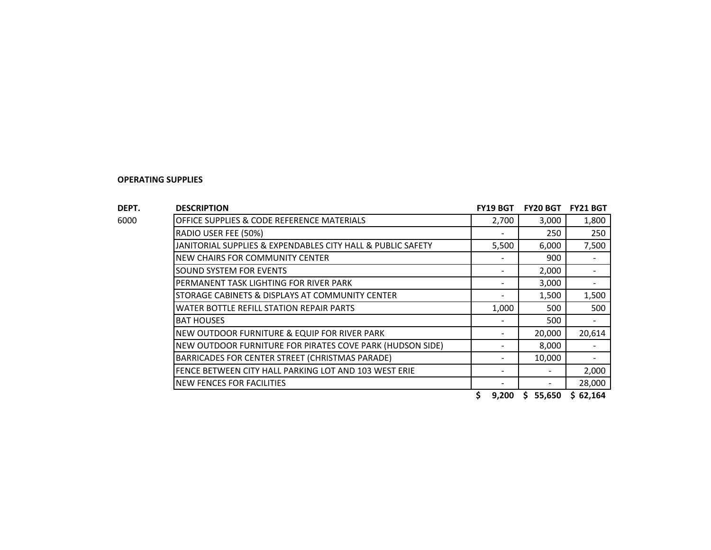| DEPT. | <b>DESCRIPTION</b>                                          | <b>FY19 BGT</b> | <b>FY20 BGT</b> | <b>FY21 BGT</b> |
|-------|-------------------------------------------------------------|-----------------|-----------------|-----------------|
| 6000  | OFFICE SUPPLIES & CODE REFERENCE MATERIALS                  | 2,700           | 3,000           | 1,800           |
|       | RADIO USER FEE (50%)                                        |                 | 250             | 250             |
|       | JANITORIAL SUPPLIES & EXPENDABLES CITY HALL & PUBLIC SAFETY | 5,500           | 6,000           | 7,500           |
|       | NEW CHAIRS FOR COMMUNITY CENTER                             |                 | 900             |                 |
|       | <b>SOUND SYSTEM FOR EVENTS</b>                              |                 | 2,000           |                 |
|       | PERMANENT TASK LIGHTING FOR RIVER PARK                      |                 | 3,000           |                 |
|       | STORAGE CABINETS & DISPLAYS AT COMMUNITY CENTER             |                 | 1,500           | 1,500           |
|       | WATER BOTTLE REFILL STATION REPAIR PARTS                    | 1,000           | 500             | 500             |
|       | <b>BAT HOUSES</b>                                           |                 | 500             |                 |
|       | NEW OUTDOOR FURNITURE & EQUIP FOR RIVER PARK                |                 | 20,000          | 20,614          |
|       | NEW OUTDOOR FURNITURE FOR PIRATES COVE PARK (HUDSON SIDE)   |                 | 8,000           |                 |
|       | BARRICADES FOR CENTER STREET (CHRISTMAS PARADE)             |                 | 10,000          |                 |
|       | FENCE BETWEEN CITY HALL PARKING LOT AND 103 WEST ERIE       |                 |                 | 2,000           |
|       | <b>NEW FENCES FOR FACILITIES</b>                            |                 |                 | 28,000          |

**\$ 9,200 \$ 55,650 \$ 62,164**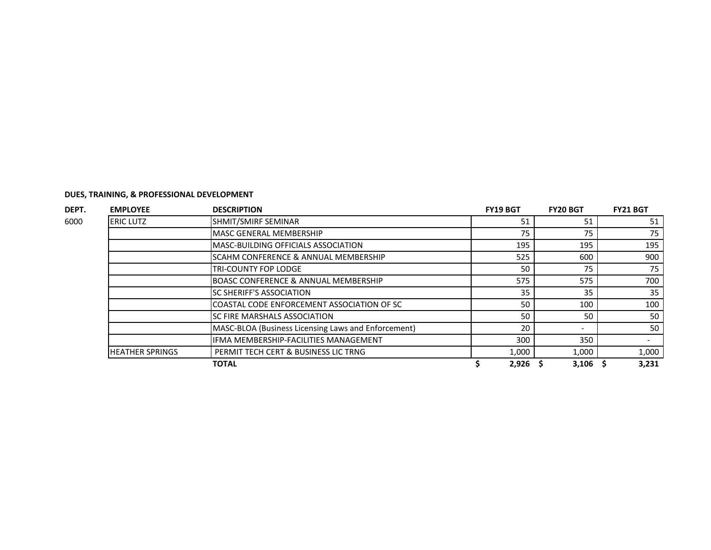| <b>EMPLOYEE</b>        | <b>DESCRIPTION</b>                                  | <b>FY19 BGT</b> | <b>FY20 BGT</b> | <b>FY21 BGT</b> |
|------------------------|-----------------------------------------------------|-----------------|-----------------|-----------------|
| <b>ERIC LUTZ</b>       | SHMIT/SMIRF SEMINAR                                 | 51              | 51              | 51              |
|                        | MASC GENERAL MEMBERSHIP                             | 75              | 75              | 75              |
|                        | <b>IMASC-BUILDING OFFICIALS ASSOCIATION</b>         | 195             | 195             | 195             |
|                        | <b>ISCAHM CONFERENCE &amp; ANNUAL MEMBERSHIP</b>    | 525             | 600             | 900             |
|                        | TRI-COUNTY FOP LODGE                                | 50              | 75              | 75              |
|                        | <b>BOASC CONFERENCE &amp; ANNUAL MEMBERSHIP</b>     | 575             | 575             | 700             |
|                        | <b>ISC SHERIFF'S ASSOCIATION</b>                    | 35              | 35              | 35              |
|                        | <b>COASTAL CODE ENFORCEMENT ASSOCIATION OF SC</b>   | 50              | 100             | 100             |
|                        | ISC FIRE MARSHALS ASSOCIATION                       | 50              | 50              | 50              |
|                        | MASC-BLOA (Business Licensing Laws and Enforcement) | 20              |                 | 50              |
|                        | <b>IFMA MEMBERSHIP-FACILITIES MANAGEMENT</b>        | 300             | 350             |                 |
| <b>HEATHER SPRINGS</b> | PERMIT TECH CERT & BUSINESS LIC TRNG                | 1,000           | 1,000           | 1,000           |
|                        | <b>TOTAL</b>                                        | 2,926           | 3,106           | 3,231           |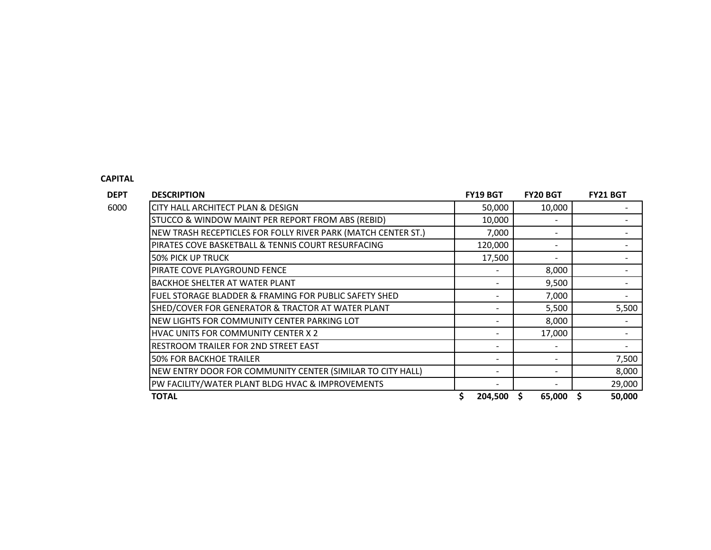#### **CAPITAL**

**DEPT DESCRIPTION FY19 BGT FY20 BGT FY21 BGT** 6000 CITY HALL ARCHITECT PLAN & DESIGN 50,000 10,000 10,000 FM 50,000 10,000 FM 50,000 FM 50,000 FM 50,000 FM 50,000 FM 50,000 FM 50,000 FM 50,000 FM 50,000 FM 50,000 FM 50,000 FM 50,000 FM 50,000 FM 50,000 FM 50,000 FM 50 STUCCO & WINDOW MAINT PER REPORT FROM ABS (REBID)  $\vert$  10,000  $\vert$  -  $\vert$  - -NEW TRASH RECEPTICLES FOR FOLLY RIVER PARK (MATCH CENTER ST.) 7,000 - - PIRATES COVE BASKETBALL & TENNIS COURT RESURFACING THE LODGED ASSOCIATION OF THE LOCAL COURT RESURFACING 50% PICK UP TRUCK 17,500 - - PIRATE COVE PLAYGROUND FENCE THE SECOND OF THE SECOND OF THE SECOND OF THE SECOND ASSAULT AT A SUMMER SECOND A BACKHOE SHELTER AT WATER PLANT A SERIES AND THE SERIES OF THE SERIES OF THE SERIES OF THE SERIES OF THE SERIES FUEL STORAGE BLADDER & FRAMING FOR PUBLIC SAFETY SHED - 7,000 - SHED/COVER FOR GENERATOR & TRACTOR AT WATER PLANT - 5,500 5,500 NEW LIGHTS FOR COMMUNITY CENTER PARKING LOT A LOCAL COMMUNITY CENTER PARKING LOT HVAC UNITS FOR COMMUNITY CENTER X 2  $\vert$  17,000  $\vert$   $\vert$  17,000  $\vert$ RESTROOM TRAILER FOR 2ND STREET EAST AND A SERVICE AND A SERVICE AND RESTROOM TRAILER FOR 2ND STREET EAST AND A SERVICE AND A SERVICE AND RESTREEN A SERVICE AND RESTREEN A SERVICE AND RESTREEN A SERVICE AND RESTREEN A SERV **50% FOR BACKHOE TRAILER** 7.500 NEW ENTRY DOOR FOR COMMUNITY CENTER (SIMILAR TO CITY HALL) - - 8,000 PW FACILITY/WATER PLANT BLDG HVAC & IMPROVEMENTS - - 29,000 **TOTAL \$ 204,500 \$ 65,000 \$ 50,000**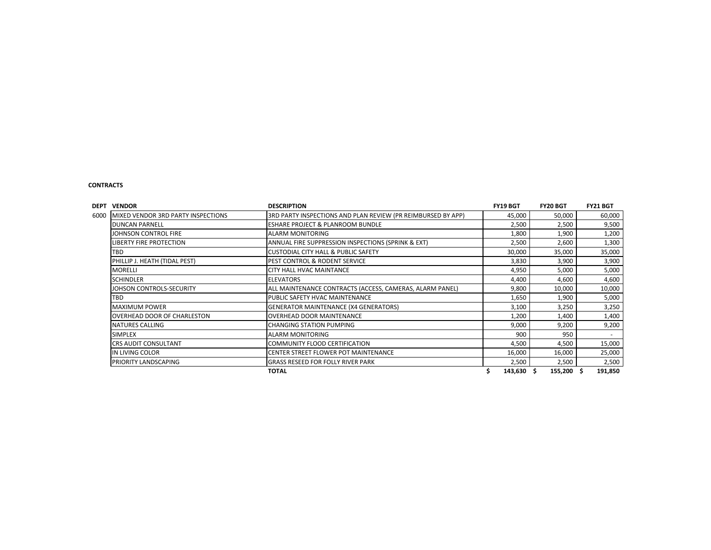#### **CONTRACTS**

| <b>VENDOR</b><br>DEPT                      | <b>DESCRIPTION</b>                                           | <b>FY19 BGT</b> | <b>FY20 BGT</b> | FY21 BGT |
|--------------------------------------------|--------------------------------------------------------------|-----------------|-----------------|----------|
| MIXED VENDOR 3RD PARTY INSPECTIONS<br>6000 | 3RD PARTY INSPECTIONS AND PLAN REVIEW (PR REIMBURSED BY APP) | 45,000          | 50,000          | 60,000   |
| <b>DUNCAN PARNELL</b>                      | <b>ESHARE PROJECT &amp; PLANROOM BUNDLE</b>                  | 2,500           | 2,500           | 9,500    |
| JOHNSON CONTROL FIRE                       | <b>ALARM MONITORING</b>                                      | 1,800           | 1,900           | 1,200    |
| <b>LIBERTY FIRE PROTECTION</b>             | ANNUAL FIRE SUPPRESSION INSPECTIONS (SPRINK & EXT)           | 2,500           | 2,600           | 1,300    |
| TBD                                        | <b>CUSTODIAL CITY HALL &amp; PUBLIC SAFETY</b>               | 30,000          | 35,000          | 35,000   |
| PHILLIP J. HEATH (TIDAL PEST)              | <b>IPEST CONTROL &amp; RODENT SERVICE</b>                    | 3,830           | 3,900           | 3,900    |
| <b>MORELLI</b>                             | <b>ICITY HALL HVAC MAINTANCE</b>                             | 4,950           | 5,000           | 5,000    |
| <b>SCHINDLER</b>                           | <b>ELEVATORS</b>                                             | 4,400           | 4,600           | 4,600    |
| JOHSON CONTROLS-SECURITY                   | ALL MAINTENANCE CONTRACTS (ACCESS, CAMERAS, ALARM PANEL)     | 9,800           | 10,000          | 10,000   |
| TBD                                        | PUBLIC SAFETY HVAC MAINTENANCE                               | 1,650           | 1,900           | 5,000    |
| <b>MAXIMUM POWER</b>                       | <b>GENERATOR MAINTENANCE (X4 GENERATORS)</b>                 | 3,100           | 3,250           | 3,250    |
| OVERHEAD DOOR OF CHARLESTON                | <b>OVERHEAD DOOR MAINTENANCE</b>                             | 1,200           | 1,400           | 1,400    |
| NATURES CALLING                            | <b>CHANGING STATION PUMPING</b>                              | 9,000           | 9,200           | 9,200    |
| <b>SIMPLEX</b>                             | <b>ALARM MONITORING</b>                                      | 900             | 950             |          |
| <b>CRS AUDIT CONSULTANT</b>                | COMMUNITY FLOOD CERTIFICATION                                | 4,500           | 4,500           | 15,000   |
| IN LIVING COLOR                            | <b>ICENTER STREET FLOWER POT MAINTENANCE</b>                 | 16,000          | 16,000          | 25,000   |
| PRIORITY LANDSCAPING                       | <b>GRASS RESEED FOR FOLLY RIVER PARK</b>                     | 2,500           | 2,500           | 2,500    |
|                                            | <b>TOTAL</b>                                                 | 143,630         | 155,200 \$      | 191,850  |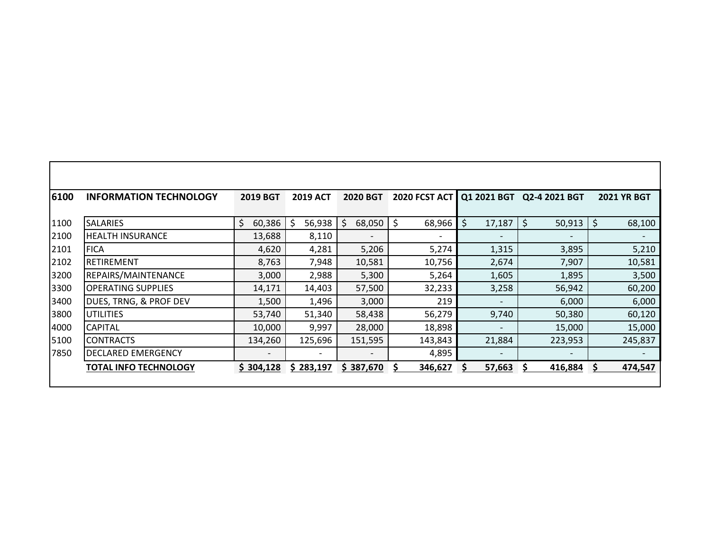| 6100 | <b>INFORMATION TECHNOLOGY</b> | <b>2019 BGT</b>              | <b>2019 ACT</b> | <b>2020 BGT</b> | 2020 FCST ACT            | Q1 2021 BGT                  | Q2-4 2021 BGT            | <b>2021 YR BGT</b> |
|------|-------------------------------|------------------------------|-----------------|-----------------|--------------------------|------------------------------|--------------------------|--------------------|
|      |                               |                              |                 |                 |                          |                              |                          |                    |
| 1100 | <b>SALARIES</b>               | \$<br>60,386                 | 56,938<br>S     | 68,050<br>Ś.    | \$<br>68,966             | \$<br>17,187                 | \$<br>50,913             | \$<br>68,100       |
| 2100 | <b>HEALTH INSURANCE</b>       | 13,688                       | 8,110           |                 | $\overline{\phantom{0}}$ |                              | $\overline{\phantom{0}}$ |                    |
| 2101 | <b>FICA</b>                   | 4,620                        | 4,281           | 5,206           | 5,274                    | 1,315                        | 3,895                    | 5,210              |
| 2102 | <b>RETIREMENT</b>             | 8,763                        | 7,948           | 10,581          | 10,756                   | 2,674                        | 7,907                    | 10,581             |
| 3200 | REPAIRS/MAINTENANCE           | 3,000                        | 2,988           | 5,300           | 5,264                    | 1,605                        | 1,895                    | 3,500              |
| 3300 | <b>OPERATING SUPPLIES</b>     | 14,171                       | 14,403          | 57,500          | 32,233                   | 3,258                        | 56,942                   | 60,200             |
| 3400 | DUES, TRNG, & PROF DEV        | 1,500                        | 1,496           | 3,000           | 219                      |                              | 6,000                    | 6,000              |
| 3800 | <b>UTILITIES</b>              | 53,740                       | 51,340          | 58,438          | 56,279                   | 9,740                        | 50,380                   | 60,120             |
| 4000 | <b>CAPITAL</b>                | 10,000                       | 9,997           | 28,000          | 18,898                   | $\qquad \qquad \blacksquare$ | 15,000                   | 15,000             |
| 5100 | <b>CONTRACTS</b>              | 134,260                      | 125,696         | 151,595         | 143,843                  | 21,884                       | 223,953                  | 245,837            |
| 7850 | DECLARED EMERGENCY            | $\qquad \qquad \blacksquare$ |                 |                 | 4,895                    |                              | $\overline{\phantom{0}}$ |                    |
|      | <b>TOTAL INFO TECHNOLOGY</b>  | \$304,128                    | \$283,197       | \$387,670       | 346,627<br>S.            | 57,663<br>S                  | 416,884                  | 474,547<br>S       |
|      |                               |                              |                 |                 |                          |                              |                          |                    |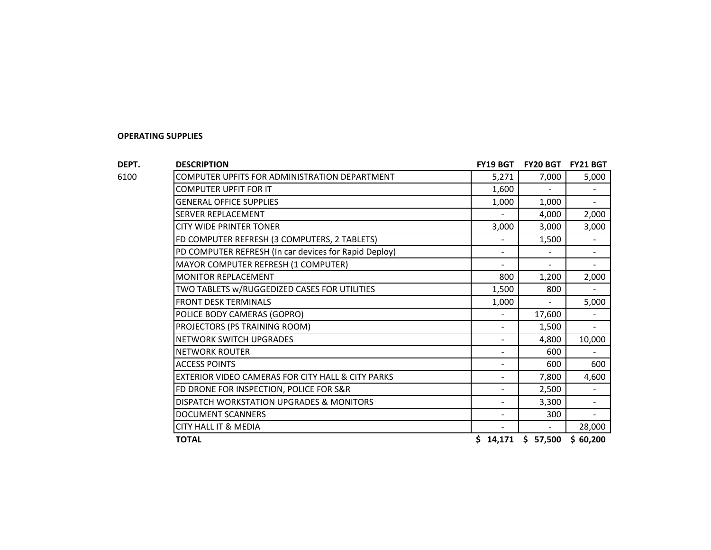**DEPT. DESCRIPTION FY19 BGT FY20 BGT FY21 BGT** 6100 COMPUTER UPFITS FOR ADMINISTRATION DEPARTMENT FOR AN INC. AND THE STATE STATE STATE STATE STATE STATE ST COMPUTER UPFIT FOR IT **1,600** -  $\begin{bmatrix} 1,600 & - & 1 \end{bmatrix}$ 

GENERAL OFFICE SUPPLIES **1,000** -SERVER REPLACEMENT - 4,000 2,000 CITY WIDE PRINTER TONER **3,000** 3,000 3,000 3,000 3,000 3,000 3,000 3,000 3,000 3,000 3,000 3,000 3,000 3,000 5,000 5,000 5,000 5,000 5,000 5,000 5,000 5,000 5,000 5,000 5,000 5,000 5,000 5,000 5,000 5,000 5,000 5,000 5,00 FD COMPUTER REFRESH (3 COMPUTERS, 2 TABLETS) - 1,500 - PD COMPUTER REFRESH (In car devices for Rapid Deploy) The Second Laterature of the second second second second MAYOR COMPUTER REFRESH (1 COMPUTER) And the settlement of the settlement of the settlement of the settlement of the settlement of the settlement of the settlement of the settlement of the settlement of the settlement of th MONITOR REPLACEMENT **1.200 1.200 1.200 1.200 1.200 1.200 1.200** TWO TABLETS W/RUGGEDIZED CASES FOR UTILITIES  $\begin{array}{|c|c|c|c|c|c|c|c|c|} \hline \text{1,500} & \text{800} & \text{-} \end{array}$ FRONT DESK TERMINALS 1,000 - 5,000 POLICE BODY CAMERAS (GOPRO) And the set of the set of the set of the set of the set of the set of the set of the set of the set of the set of the set of the set of the set of the set of the set of the set of the set of the PROJECTORS (PS TRAINING ROOM) And the set of the set of the set of the set of the set of the set of the set of the set of the set of the set of the set of the set of the set of the set of the set of the set of the set of t NETWORK SWITCH UPGRADES AND RESOLUTION ON A 4,800 10,000 NETWORK SWITCH UPGRADES NETWORK ROUTER - 600 - ACCESS POINTS **ACCESS POINTS 1999 12:00 12:00 12:00 12:00 12:00 12:00 12:00 12:00 12:00 12:00 12:00 12:00 12:00 12:00 12:00 12:00 12:00 12:00 12:00 12:00 12:00 12:00 12:00 12:00 12:00 12:00 12:00 12:00 12:00 12:00 12:00** EXTERIOR VIDEO CAMERAS FOR CITY HALL & CITY PARKS  $\begin{array}{cccc} - & | & 7,800 | & 4,600 \end{array}$ FD DRONE FOR INSPECTION, POLICE FOR S&R - 2,500 - DISPATCH WORKSTATION UPGRADES & MONITORS - 3,300 - DOCUMENT SCANNERS - 300 - CITY HALL IT & MEDIA - - 28,000 **TOTAL \$ 14,171 \$ 57,500 \$ 60,200**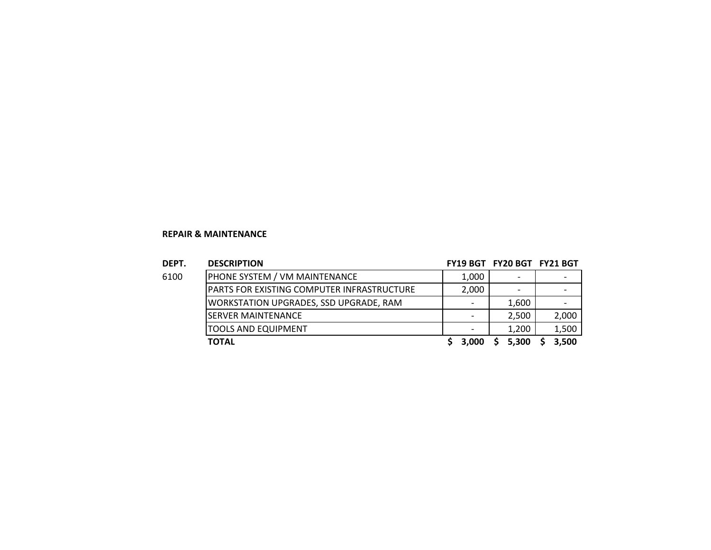#### **REPAIR & MAINTENANCE**

| DEPT. | <b>DESCRIPTION</b>                            | FY19 BGT FY20 BGT FY21 BGT |       |                          |
|-------|-----------------------------------------------|----------------------------|-------|--------------------------|
| 6100  | PHONE SYSTEM / VM MAINTENANCE                 | 1,000                      |       | $\overline{\phantom{0}}$ |
|       | PARTS FOR EXISTING COMPUTER INFRASTRUCTURE    | 2,000                      |       | -                        |
|       | <b>WORKSTATION UPGRADES, SSD UPGRADE, RAM</b> |                            | 1,600 |                          |
|       | <b>SERVER MAINTENANCE</b>                     |                            | 2,500 | 2,000                    |
|       | <b>TOOLS AND EQUIPMENT</b>                    |                            | 1,200 | 1,500                    |
|       | <b>TOTAL</b>                                  | 3,000                      | 5.300 | 3,500                    |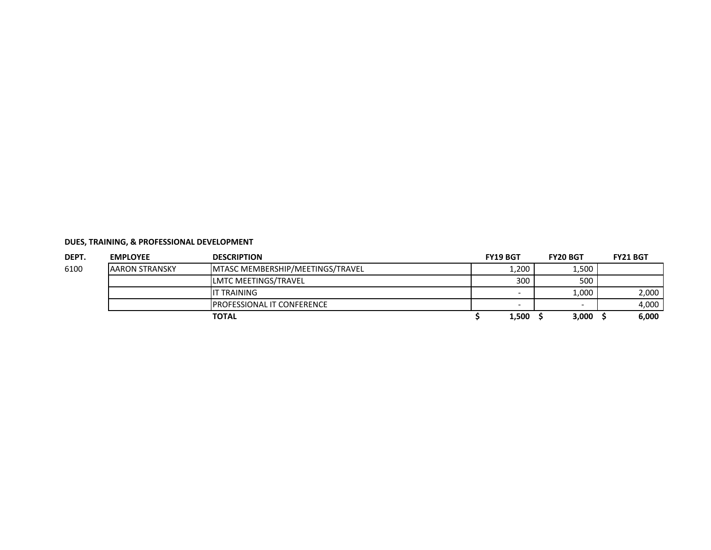| DEPT. | <b>EMPLOYEE</b>       | <b>DESCRIPTION</b>                 | <b>FY19 BGT</b> | <b>FY20 BGT</b> | <b>FY21 BGT</b> |
|-------|-----------------------|------------------------------------|-----------------|-----------------|-----------------|
| 6100  | <b>AARON STRANSKY</b> | MTASC MEMBERSHIP/MEETINGS/TRAVEL   | 1,200           | 1,500           |                 |
|       |                       | LMTC MEETINGS/TRAVEL               | 300             | 500             |                 |
|       |                       | IT TRAINING                        |                 | 1,000           | 2,000           |
|       |                       | <b>IPROFESSIONAL IT CONFERENCE</b> |                 |                 | 4.000           |
|       |                       | <b>TOTAL</b>                       | 1,500           | 3,000           | 6,000           |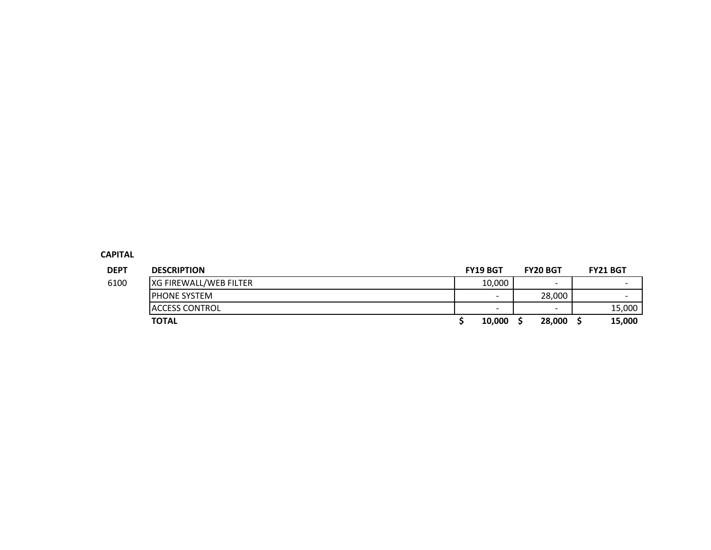#### **CAPITAL**

| <b>DEPT</b> | <b>DESCRIPTION</b>     | <b>FY19 BGT</b>          | <b>FY20 BGT</b>          | <b>FY21 BGT</b>          |
|-------------|------------------------|--------------------------|--------------------------|--------------------------|
| 6100        | XG FIREWALL/WEB FILTER | 10,000                   | $\overline{\phantom{0}}$ | $\overline{\phantom{0}}$ |
|             | <b>IPHONE SYSTEM</b>   | $\overline{\phantom{0}}$ | 28.000                   |                          |
|             | <b>ACCESS CONTROL</b>  | $\overline{\phantom{a}}$ | $\overline{\phantom{0}}$ | 15,000                   |
|             | <b>TOTAL</b>           | 10,000                   | 28,000                   | 15,000                   |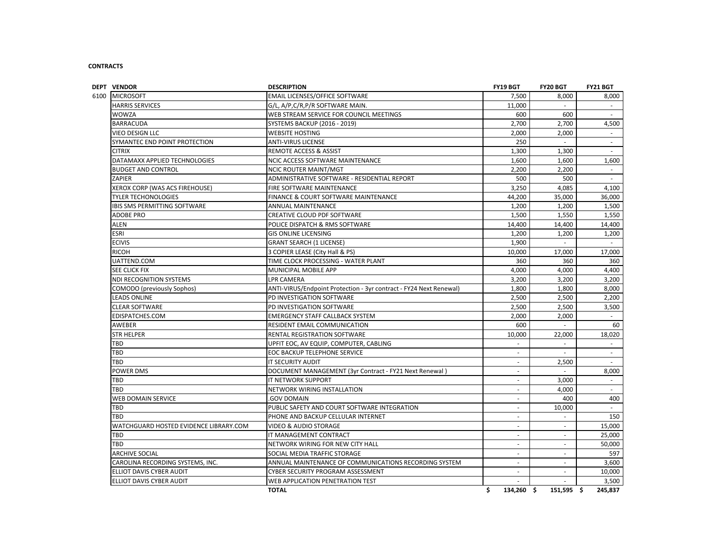#### **CONTRACTS**

| <b>DEPT VENDOR</b>                     | <b>DESCRIPTION</b>                                                 | FY19 BGT         | FY20 BGT   | <b>FY21 BGT</b> |
|----------------------------------------|--------------------------------------------------------------------|------------------|------------|-----------------|
| <b>MICROSOFT</b><br>6100               | EMAIL LICENSES/OFFICE SOFTWARE                                     | 7,500            | 8,000      | 8,000           |
| <b>HARRIS SERVICES</b>                 | G/L, A/P,C/R,P/R SOFTWARE MAIN.                                    | 11,000           | $\sim$     | $\sim$          |
| <b>WOWZA</b>                           | WEB STREAM SERVICE FOR COUNCIL MEETINGS                            | 600              | 600        |                 |
| <b>BARRACUDA</b>                       | <b>SYSTEMS BACKUP (2016 - 2019)</b>                                | 2,700            | 2,700      | 4,500           |
| VIEO DESIGN LLC                        | <b>WEBSITE HOSTING</b>                                             | 2,000            | 2,000      | $\sim$          |
| SYMANTEC END POINT PROTECTION          | <b>ANTI-VIRUS LICENSE</b>                                          | 250              | $\omega$   | $\sim$          |
| <b>CITRIX</b>                          | REMOTE ACCESS & ASSIST                                             | 1,300            | 1,300      |                 |
| DATAMAXX APPLIED TECHNOLOGIES          | NCIC ACCESS SOFTWARE MAINTENANCE                                   | 1.600            | 1,600      | 1.600           |
| <b>BUDGET AND CONTROL</b>              | NCIC ROUTER MAINT/MGT                                              | 2,200            | 2,200      | $\sim$          |
| ZAPIER                                 | ADMINISTRATIVE SOFTWARE - RESIDENTIAL REPORT                       | 500              | 500        | $\sim$          |
| XEROX CORP (WAS ACS FIREHOUSE)         | FIRE SOFTWARE MAINTENANCE                                          | 3,250            | 4,085      | 4,100           |
| <b>TYLER TECHONOLOGIES</b>             | FINANCE & COURT SOFTWARE MAINTENANCE                               | 44,200           | 35,000     | 36,000          |
| <b>IBIS SMS PERMITTING SOFTWARE</b>    | <b>ANNUAL MAINTENANCE</b>                                          | 1,200            | 1,200      | 1,500           |
| <b>ADOBE PRO</b>                       | CREATIVE CLOUD PDF SOFTWARE                                        | 1,500            | 1,550      | 1,550           |
| ALEN                                   | POLICE DISPATCH & RMS SOFTWARE                                     | 14,400           | 14,400     | 14,400          |
| ESRI                                   | <b>GIS ONLINE LICENSING</b>                                        | 1,200            | 1,200      | 1,200           |
| <b>ECIVIS</b>                          | <b>GRANT SEARCH (1 LICENSE)</b>                                    | 1,900            | $\sim$     | $\sim$          |
| <b>RICOH</b>                           | 3 COPIER LEASE (City Hall & PS)                                    | 10,000           | 17,000     | 17,000          |
| UATTEND.COM                            | TIME CLOCK PROCESSING - WATER PLANT                                | 360              | 360        | 360             |
| SEE CLICK FIX                          | MUNICIPAL MOBILE APP                                               | 4.000            | 4,000      | 4,400           |
| NDI RECOGNITION SYSTEMS                | LPR CAMERA                                                         | 3,200            | 3,200      | 3,200           |
| COMODO (previously Sophos)             | ANTI-VIRUS/Endpoint Protection - 3yr contract - FY24 Next Renewal) | 1,800            | 1,800      | 8,000           |
| <b>LEADS ONLINE</b>                    | PD INVESTIGATION SOFTWARE                                          | 2,500            | 2,500      | 2,200           |
| <b>CLEAR SOFTWARE</b>                  | PD INVESTIGATION SOFTWARE                                          | 2,500            | 2,500      | 3,500           |
| EDISPATCHES.COM                        | <b>EMERGENCY STAFF CALLBACK SYSTEM</b>                             | 2,000            | 2,000      | $\sim$          |
| AWEBER                                 | RESIDENT EMAIL COMMUNICATION                                       | 600              | $\sim$     | 60              |
| <b>STR HELPER</b>                      | RENTAL REGISTRATION SOFTWARE                                       | 10,000           | 22,000     | 18,020          |
| TBD                                    | UPFIT EOC, AV EQUIP, COMPUTER, CABLING                             |                  | $\omega$   |                 |
| TBD                                    | EOC BACKUP TELEPHONE SERVICE                                       |                  | $\sim$     | $\sim$          |
| TBD                                    | IT SECURITY AUDIT                                                  |                  | 2,500      | $\sim$          |
| POWER DMS                              | DOCUMENT MANAGEMENT (3yr Contract - FY21 Next Renewal)             |                  | $\sim$     | 8,000           |
| TBD                                    | IT NETWORK SUPPORT                                                 |                  | 3,000      | $\sim$          |
| TBD                                    | NETWORK WIRING INSTALLATION                                        | $\sim$           | 4,000      | $\sim$          |
| WEB DOMAIN SERVICE                     | <b>GOV DOMAIN</b>                                                  |                  | 400        | 400             |
| TBD                                    | PUBLIC SAFETY AND COURT SOFTWARE INTEGRATION                       | $\sim$           | 10,000     | $\sim$          |
| TBD                                    | PHONE AND BACKUP CELLULAR INTERNET                                 | $\sim$           | $\sim$     | 150             |
| WATCHGUARD HOSTED EVIDENCE LIBRARY.COM | <b>VIDEO &amp; AUDIO STORAGE</b>                                   |                  | $\sim$     | 15,000          |
| TBD                                    | IT MANAGEMENT CONTRACT                                             | $\overline{a}$   | $\sim$     | 25,000          |
| TBD                                    | NETWORK WIRING FOR NEW CITY HALL                                   | $\omega$         | $\omega$   | 50,000          |
| <b>ARCHIVE SOCIAL</b>                  | SOCIAL MEDIA TRAFFIC STORAGE                                       | ×.               | $\sim$     | 597             |
| CAROLINA RECORDING SYSTEMS, INC.       | ANNUAL MAINTENANCE OF COMMUNICATIONS RECORDING SYSTEM              | $\sim$           | $\sim$     | 3,600           |
| ELLIOT DAVIS CYBER AUDIT               | CYBER SECURITY PROGRAM ASSESSMENT                                  | $\sim$           | $\omega$   | 10,000          |
| ELLIOT DAVIS CYBER AUDIT               | WEB APPLICATION PENETRATION TEST                                   |                  | $\sim$     | 3,500           |
|                                        | <b>TOTAL</b>                                                       | Ś.<br>134,260 \$ | 151,595 \$ | 245,837         |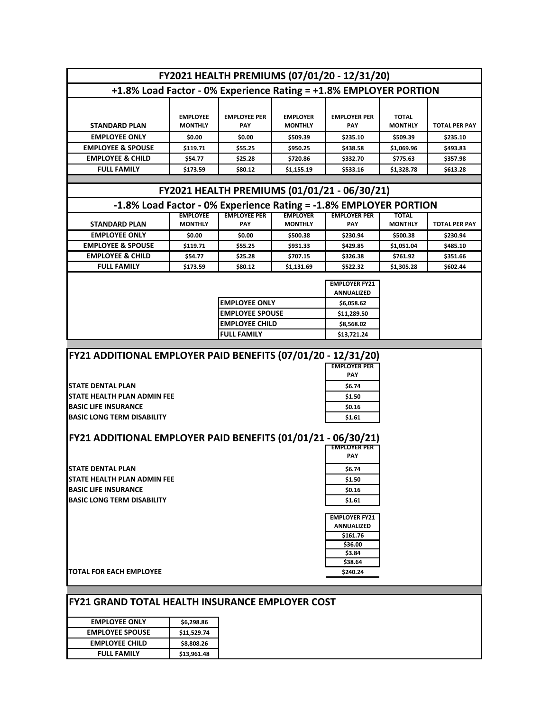|                                                                   |                                   |                                   |                                   | FY2021 HEALTH PREMIUMS (07/01/20 - 12/31/20) |                                |                      |
|-------------------------------------------------------------------|-----------------------------------|-----------------------------------|-----------------------------------|----------------------------------------------|--------------------------------|----------------------|
| +1.8% Load Factor - 0% Experience Rating = +1.8% EMPLOYER PORTION |                                   |                                   |                                   |                                              |                                |                      |
|                                                                   |                                   |                                   |                                   |                                              |                                |                      |
| <b>STANDARD PLAN</b>                                              | <b>EMPLOYEE</b><br><b>MONTHLY</b> | <b>EMPLOYEE PER</b><br><b>PAY</b> | <b>EMPLOYER</b><br><b>MONTHLY</b> | <b>EMPLOYER PER</b><br>PAY                   | <b>TOTAL</b><br><b>MONTHLY</b> | <b>TOTAL PER PAY</b> |
| <b>EMPLOYEE ONLY</b>                                              | \$0.00                            | \$0.00                            | \$509.39                          | \$235.10                                     | \$509.39                       | \$235.10             |
| <b>EMPLOYEE &amp; SPOUSE</b>                                      | \$119.71                          | \$55.25                           | \$950.25                          | \$438.58                                     | \$1,069.96                     | \$493.83             |
| <b>EMPLOYEE &amp; CHILD</b>                                       | \$54.77                           | \$25.28                           | \$720.86                          | \$332.70                                     | \$775.63                       | \$357.98             |
| <b>FULL FAMILY</b>                                                | \$173.59                          | \$80.12                           | \$1,155.19                        | \$533.16                                     | \$1,328.78                     | \$613.28             |
|                                                                   |                                   |                                   |                                   |                                              |                                |                      |
|                                                                   |                                   |                                   |                                   | FY2021 HEALTH PREMIUMS (01/01/21 - 06/30/21) |                                |                      |
| -1.8% Load Factor - 0% Experience Rating = -1.8% EMPLOYER PORTION |                                   |                                   |                                   |                                              |                                |                      |
| <b>STANDARD PLAN</b>                                              | <b>EMPLOYEE</b><br><b>MONTHLY</b> | <b>EMPLOYEE PER</b><br>PAY        | <b>EMPLOYER</b><br><b>MONTHLY</b> | <b>EMPLOYER PER</b><br>PAY                   | <b>TOTAL</b><br><b>MONTHLY</b> | <b>TOTAL PER PAY</b> |
| <b>EMPLOYEE ONLY</b>                                              |                                   |                                   |                                   |                                              |                                |                      |
|                                                                   | \$0.00                            | \$0.00                            | \$500.38                          | \$230.94<br>\$429.85                         | \$500.38                       | \$230.94             |
| <b>EMPLOYEE &amp; SPOUSE</b>                                      | \$119.71                          | \$55.25                           | \$931.33                          |                                              | \$1,051.04                     | \$485.10             |
| <b>EMPLOYEE &amp; CHILD</b>                                       | \$54.77                           | \$25.28                           | \$707.15                          | \$326.38                                     | \$761.92                       | \$351.66             |
| <b>FULL FAMILY</b>                                                | \$173.59                          | \$80.12                           | \$1,131.69                        | \$522.32                                     | \$1,305.28                     | \$602.44             |
|                                                                   |                                   |                                   |                                   | <b>EMPLOYER FY21</b><br><b>ANNUALIZED</b>    |                                |                      |
|                                                                   |                                   | <b>EMPLOYEE ONLY</b>              |                                   | \$6,058.62                                   |                                |                      |
|                                                                   |                                   | <b>EMPLOYEE SPOUSE</b>            |                                   | \$11,289.50                                  |                                |                      |
|                                                                   |                                   | <b>EMPLOYEE CHILD</b>             |                                   | \$8,568.02                                   |                                |                      |
|                                                                   |                                   | <b>FULL FAMILY</b>                |                                   | \$13,721.24                                  |                                |                      |
|                                                                   |                                   |                                   |                                   |                                              |                                |                      |
| FY21 ADDITIONAL EMPLOYER PAID BENEFITS (07/01/20 - 12/31/20)      |                                   |                                   |                                   |                                              |                                |                      |
|                                                                   |                                   |                                   |                                   | <b>EMPLOYER PER</b>                          |                                |                      |
|                                                                   |                                   |                                   |                                   | <b>PAY</b>                                   |                                |                      |
| <b>STATE DENTAL PLAN</b>                                          |                                   |                                   |                                   | \$6.74                                       |                                |                      |
| <b>STATE HEALTH PLAN ADMIN FEE</b>                                |                                   |                                   |                                   | \$1.50                                       |                                |                      |
| <b>BASIC LIFE INSURANCE</b>                                       |                                   |                                   |                                   | \$0.16                                       |                                |                      |
| <b>BASIC LONG TERM DISABILITY</b>                                 |                                   |                                   |                                   | \$1.61                                       |                                |                      |
|                                                                   |                                   |                                   |                                   |                                              |                                |                      |
| FY21 ADDITIONAL EMPLOYER PAID BENEFITS (01/01/21 - 06/30/21)      |                                   |                                   |                                   |                                              |                                |                      |
|                                                                   |                                   |                                   |                                   | <b>EMPLOYER PER</b>                          |                                |                      |
|                                                                   |                                   |                                   |                                   | <b>PAY</b>                                   |                                |                      |
| <b>STATE DENTAL PLAN</b>                                          |                                   |                                   |                                   | \$6.74                                       |                                |                      |
| STATE HEALTH PLAN ADMIN FEE                                       |                                   |                                   |                                   | \$1.50                                       |                                |                      |
| <b>BASIC LIFE INSURANCE</b>                                       |                                   |                                   |                                   | \$0.16                                       |                                |                      |
| <b>BASIC LONG TERM DISABILITY</b>                                 |                                   |                                   |                                   | \$1.61                                       |                                |                      |
|                                                                   |                                   |                                   |                                   | <b>EMPLOYER FY21</b>                         |                                |                      |
|                                                                   |                                   |                                   |                                   | ANNUALIZED                                   |                                |                      |
|                                                                   |                                   |                                   |                                   | \$161.76                                     |                                |                      |
|                                                                   |                                   |                                   |                                   | \$36.00                                      |                                |                      |
|                                                                   |                                   |                                   |                                   | \$3.84<br>\$38.64                            |                                |                      |
| <b>TOTAL FOR EACH EMPLOYEE</b>                                    |                                   |                                   |                                   | \$240.24                                     |                                |                      |
|                                                                   |                                   |                                   |                                   |                                              |                                |                      |
|                                                                   |                                   |                                   |                                   |                                              |                                |                      |
| IFY21 GRAND TOTAL HEALTH INSURANCE EMPLOYER COST                  |                                   |                                   |                                   |                                              |                                |                      |
| <b>EMPLOYEE ONLY</b>                                              | \$6,298.86                        |                                   |                                   |                                              |                                |                      |
| <b>EMPLOYEE SPOUSE</b>                                            | \$11,529.74                       |                                   |                                   |                                              |                                |                      |
| <b>EMPLOYEE CHILD</b>                                             | \$8,808.26                        |                                   |                                   |                                              |                                |                      |
| <b>FULL FAMILY</b>                                                | \$13,961.48                       |                                   |                                   |                                              |                                |                      |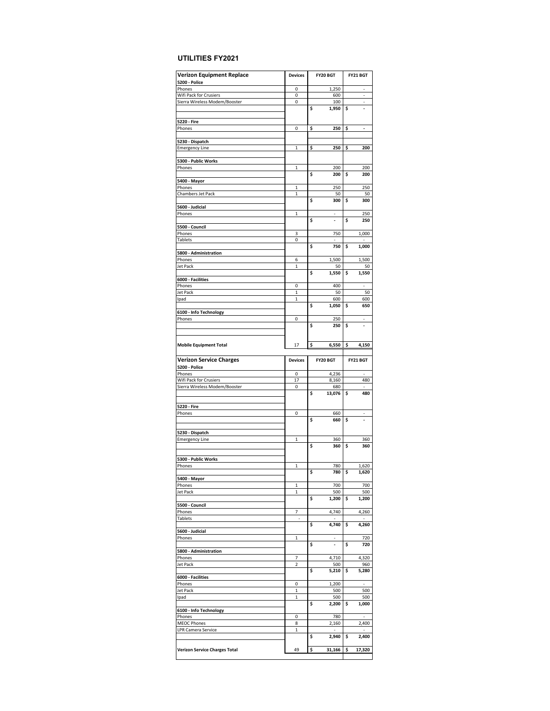#### **UTILITIES FY2021**

| <b>Verizon Equipment Replace</b>     | <b>Devices</b>                | FY20 BGT                          | FY21 BGT                          |
|--------------------------------------|-------------------------------|-----------------------------------|-----------------------------------|
| <b>5200 - Police</b>                 |                               |                                   |                                   |
| Phones                               | 0                             | 1,250                             |                                   |
| Wifi Pack for Crusiers               | 0                             | 600                               | ÷                                 |
| Sierra Wireless Modem/Booster        | 0                             | 100                               | $\overline{a}$                    |
|                                      |                               | \$<br>1,950                       | \$<br>$\overline{\phantom{a}}$    |
| 5220 - Fire                          |                               |                                   |                                   |
| Phones                               | 0                             | 250<br>\$                         | \$<br>$\overline{\phantom{a}}$    |
|                                      |                               |                                   |                                   |
| 5230 - Dispatch                      |                               |                                   |                                   |
| <b>Emergency Line</b>                | $\mathbf 1$                   | \$<br>250                         | \$<br>200                         |
|                                      |                               |                                   |                                   |
| 5300 - Public Works                  |                               |                                   |                                   |
| Phones                               | $\mathbf 1$                   | 200                               | 200                               |
|                                      |                               | \$<br>200                         | \$<br>200                         |
| 5400 - Mayor                         |                               |                                   |                                   |
| Phones                               | $\mathbf{1}$                  | 250                               | 250                               |
| Chambers Jet Pack                    | 1                             | 50                                | 50                                |
|                                      |                               | \$<br>300                         | \$<br>300                         |
| 5600 - Judicial                      |                               |                                   |                                   |
| Phones                               | $\mathbf{1}$                  |                                   | 250                               |
|                                      |                               | \$<br>$\overline{a}$              | \$<br>250                         |
| 5500 - Council                       |                               |                                   |                                   |
| Phones                               | 3                             | 750                               | 1,000                             |
| Tablets                              | 0                             |                                   |                                   |
|                                      |                               | \$<br>750                         | \$<br>1,000                       |
| 5800 - Administration                |                               |                                   |                                   |
| Phones                               | 6                             | 1,500                             | 1,500                             |
| Jet Pack                             | $\mathbf 1$                   | 50                                | 50                                |
|                                      |                               | \$<br>1,550                       | \$<br>1,550                       |
| 6000 - Facilities                    |                               |                                   |                                   |
| Phones                               | 0                             | 400                               | L,                                |
| Jet Pack                             | $\mathbf{1}$                  | 50                                | 50                                |
| Ipad                                 | 1                             | 600                               | 600                               |
|                                      |                               | \$<br>1,050                       | \$<br>650                         |
| 6100 - Info Technology               |                               |                                   |                                   |
| Phones                               | 0                             | 250                               | $\overline{\phantom{0}}$          |
|                                      |                               | \$<br>250                         | \$                                |
|                                      |                               |                                   |                                   |
|                                      |                               |                                   |                                   |
| <b>Mobile Equipment Total</b>        | 17                            | \$<br>6,550                       | \$<br>4,150                       |
|                                      |                               |                                   |                                   |
| <b>Verizon Service Charges</b>       | <b>Devices</b>                | FY20 BGT                          | FY21 BGT                          |
|                                      |                               |                                   |                                   |
|                                      |                               |                                   |                                   |
| <b>5200 - Police</b>                 |                               |                                   |                                   |
| Phones                               | 0                             | 4,236                             | $\overline{a}$                    |
| Wifi Pack for Crusiers               | 17                            | 8,160                             | 480                               |
| Sierra Wireless Modem/Booster        | 0                             | 680                               |                                   |
|                                      |                               | \$<br>13,076                      | \$<br>480                         |
|                                      |                               |                                   |                                   |
| 5220 - Fire                          |                               |                                   |                                   |
| Phones                               | 0                             | 660                               |                                   |
|                                      |                               | \$<br>660                         | \$<br>$\overline{\phantom{a}}$    |
|                                      |                               |                                   |                                   |
| 5230 - Dispatch                      |                               |                                   |                                   |
| <b>Emergency Line</b>                | $\mathbf{1}$                  | 360                               | 360                               |
|                                      |                               | \$<br>360                         | \$<br>360                         |
|                                      |                               |                                   |                                   |
| 5300 - Public Works                  |                               |                                   |                                   |
| Phones                               | 1                             | 780                               | 1,620                             |
|                                      |                               | Ş<br>780                          | Ş<br>1,620                        |
| 5400 - Mayor                         |                               |                                   |                                   |
| Phones                               | $\mathbf 1$                   | 700                               | 700                               |
| Jet Pack                             | $\mathbf 1$                   | 500                               | 500                               |
|                                      |                               | \$<br>1,200                       | \$<br>1,200                       |
| 5500 - Council                       |                               |                                   |                                   |
| Phones                               | 7<br>$\overline{\phantom{a}}$ | 4,740<br>$\overline{\phantom{a}}$ | 4,260<br>$\overline{\phantom{a}}$ |
| Tablets                              |                               | \$                                |                                   |
| 5600 - Judicial                      |                               | 4,740                             | \$<br>4,260                       |
| Phones                               | $\mathbf 1$                   |                                   | 720                               |
|                                      |                               | \$<br>$\overline{\phantom{a}}$    | \$<br>720                         |
| 5800 - Administration                |                               |                                   |                                   |
| Phones                               | 7                             | 4,710                             | 4,320                             |
| Jet Pack                             | $\overline{\mathbf{c}}$       | 500                               | 960                               |
|                                      |                               | \$<br>5,210                       | \$<br>5,280                       |
| 6000 - Facilities                    |                               |                                   |                                   |
| Phones                               | 0                             | 1,200                             |                                   |
| Jet Pack                             | $\mathbf 1$                   | 500                               | 500                               |
| Ipad                                 | $\mathbf 1$                   | 500                               | 500                               |
|                                      |                               | \$<br>2,200                       | \$<br>1,000                       |
|                                      |                               |                                   |                                   |
| 6100 - Info Technology<br>Phones     | 0                             | 780                               |                                   |
| <b>MEOC Phones</b>                   | 8                             | 2,160                             | 2,400                             |
| LPR Camera Service                   | 1                             |                                   |                                   |
|                                      |                               | \$<br>2,940                       | \$<br>2,400                       |
|                                      |                               |                                   |                                   |
| <b>Verizon Service Charges Total</b> | 49                            | \$<br>31,166                      | \$<br>17,320                      |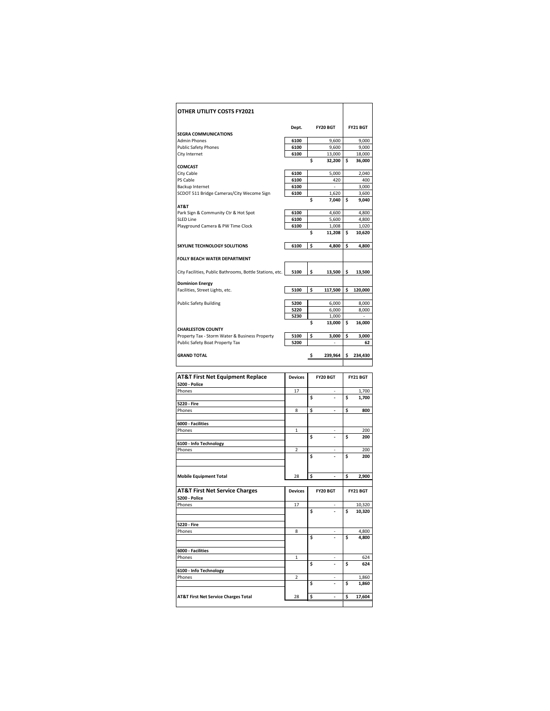| OTHER UTILITY COSTS FY2021                               |                |    |                |    |                |
|----------------------------------------------------------|----------------|----|----------------|----|----------------|
|                                                          | Dept.          |    | FY20 BGT       |    | FY21 BGT       |
| <b>SEGRA COMMUNICATIONS</b>                              |                |    |                |    |                |
| <b>Admin Phones</b>                                      | 6100           |    | 9.600          |    | 9.000          |
| <b>Public Safety Phones</b>                              | 6100           |    | 9,600          |    | 9,000          |
| City Internet                                            | 6100           |    | 13,000         |    | 18,000         |
|                                                          |                | Ś  | 32,200         | Ś  | 36,000         |
| <b>COMCAST</b>                                           |                |    |                |    |                |
| City Cable                                               | 6100           |    | 5.000          |    | 2,040          |
| PS Cable                                                 | 6100           |    | 420            |    | 400            |
| Backup Internet                                          | 6100<br>6100   |    | $\overline{a}$ |    | 3.000          |
| SCDOT 511 Bridge Cameras/City Wecome Sign                |                | Ś  | 1,620<br>7,040 | Ś  | 3,600<br>9,040 |
| AT&T                                                     |                |    |                |    |                |
| Park Sign & Community Ctr & Hot Spot                     | 6100           |    | 4,600          |    | 4,800          |
| <b>SLED Line</b>                                         | 6100           |    | 5,600          |    | 4,800          |
| Playground Camera & PW Time Clock                        | 6100           |    | 1,008          |    | 1,020          |
|                                                          |                | \$ | 11,208         | \$ | 10,620         |
| SKYLINE TECHNOLOGY SOLUTIONS                             | 6100           | \$ | 4,800          | Ś  | 4,800          |
| <b>FOLLY BEACH WATER DEPARTMENT</b>                      |                |    |                |    |                |
| City Facilities, Public Bathrooms, Bottle Stations, etc. | 5100           | \$ | 13,500         | \$ | 13,500         |
|                                                          |                |    |                |    |                |
| <b>Dominion Energy</b>                                   |                |    |                |    |                |
| Facilities, Street Lights, etc.                          | 5100           | \$ | 117,500        | \$ | 120,000        |
| <b>Public Safety Building</b>                            | 5200           |    | 6,000          |    | 8,000          |
|                                                          | 5220           |    | 6,000          |    | 8,000          |
|                                                          | 5230           |    | 1,000          |    |                |
| <b>CHARLESTON COUNTY</b>                                 |                | Ś  | 13,000         | \$ | 16,000         |
| Property Tax - Storm Water & Business Property           | 5100           | \$ | 3,000          | \$ | 3,000          |
| Public Safety Boat Property Tax                          | 5200           |    |                |    | 62             |
|                                                          |                |    |                |    |                |
| <b>GRAND TOTAL</b>                                       |                | \$ | 239,964        | Ś  | 234,430        |
|                                                          |                |    |                |    |                |
| <b>AT&amp;T First Net Equipment Replace</b>              | <b>Devices</b> |    | FY20 BGT       |    | FY21 BGT       |
| 5200 - Police                                            |                |    |                |    |                |
| Phones                                                   | 17             |    |                |    | 1,700          |
|                                                          |                | \$ |                | Ś  | 1,700          |
| 5220 - Fire                                              |                |    |                |    |                |
| Phones                                                   | 8              | \$ |                | \$ | 800            |

| Phones                                          | 17             |    | $\overline{\phantom{m}}$ |    | 1,700    |
|-------------------------------------------------|----------------|----|--------------------------|----|----------|
|                                                 |                | Ś  |                          | Ś  | 1,700    |
| 5220 - Fire                                     |                |    |                          |    |          |
| Phones                                          | 8              | \$ |                          | \$ | 800      |
| 6000 - Facilities                               |                |    |                          |    |          |
| Phones                                          | $\mathbf{1}$   |    |                          |    | 200      |
|                                                 |                | Ś  |                          | Ś  | 200      |
| 6100 - Info Technology                          |                |    |                          |    |          |
| Phones                                          | $\overline{2}$ |    |                          |    | 200      |
|                                                 |                | Ś  |                          | Ś  | 200      |
|                                                 |                |    |                          |    |          |
|                                                 |                |    |                          |    |          |
| <b>Mobile Equipment Total</b>                   | 28             | \$ | $\overline{\phantom{a}}$ | \$ | 2,900    |
|                                                 |                |    |                          |    |          |
| <b>AT&amp;T First Net Service Charges</b>       | <b>Devices</b> |    | FY20 BGT                 |    | FY21 BGT |
| <b>5200 - Police</b>                            |                |    |                          |    |          |
| Phones                                          | 17             |    | ٠                        |    | 10,320   |
|                                                 |                | \$ |                          | Ś  | 10,320   |
|                                                 |                |    |                          |    |          |
| 5220 - Fire                                     |                |    |                          |    |          |
| Phones                                          | 8              |    | ٠                        |    | 4,800    |
|                                                 |                | Ś  |                          | Ś  | 4,800    |
| 6000 - Facilities                               |                |    |                          |    |          |
| Phones                                          | $\mathbf{1}$   |    |                          |    | 624      |
|                                                 |                | Ś  |                          | Ś  | 624      |
| 6100 - Info Technology                          |                |    |                          |    |          |
| Phones                                          | $\overline{2}$ |    |                          |    | 1,860    |
|                                                 |                | \$ |                          | Ś  | 1,860    |
| <b>AT&amp;T First Net Service Charges Total</b> | 28             | \$ | $\overline{\phantom{a}}$ | \$ | 17,604   |
|                                                 |                |    |                          |    |          |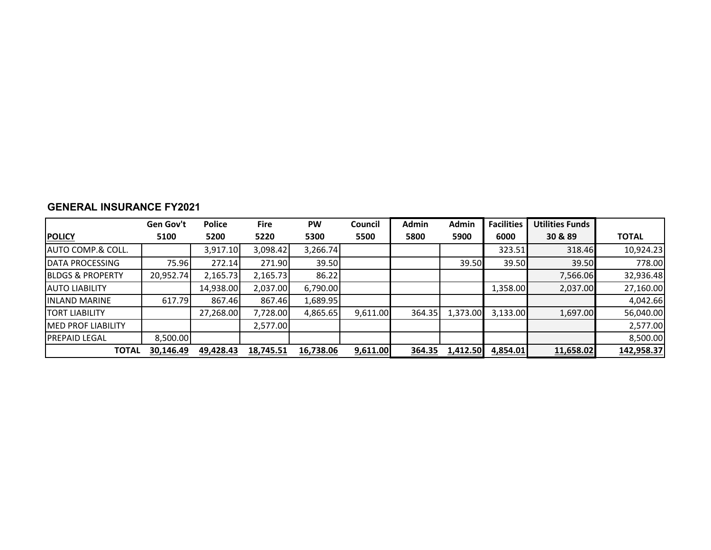|                              | Gen Gov't | <b>Police</b> | <b>Fire</b> | PW        | <b>Council</b> | Admin  | Admin    | <b>Facilities</b> | <b>Utilities Funds</b> |              |
|------------------------------|-----------|---------------|-------------|-----------|----------------|--------|----------|-------------------|------------------------|--------------|
| <b>POLICY</b>                | 5100      | 5200          | 5220        | 5300      | 5500           | 5800   | 5900     | 6000              | 30 & 89                | <b>TOTAL</b> |
| <b>AUTO COMP.&amp; COLL.</b> |           | 3,917.10      | 3,098.42    | 3,266.74  |                |        |          | 323.51            | 318.46                 | 10,924.23    |
| <b>DATA PROCESSING</b>       | 75.96     | 272.14        | 271.90      | 39.50     |                |        | 39.50    | 39.50             | 39.50                  | 778.00       |
| <b>IBLDGS &amp; PROPERTY</b> | 20,952.74 | 2,165.73      | 2,165.73    | 86.22     |                |        |          |                   | 7,566.06               | 32,936.48    |
| <b>AUTO LIABILITY</b>        |           | 14,938.00     | 2,037.00    | 6,790.00  |                |        |          | 1,358.00          | 2,037.00               | 27,160.00    |
| <b>INLAND MARINE</b>         | 617.79    | 867.46        | 867.46      | 1,689.95  |                |        |          |                   |                        | 4,042.66     |
| <b>TORT LIABILITY</b>        |           | 27,268.00     | 7,728.00    | 4,865.65  | 9,611.00       | 364.35 | 1,373.00 | 3,133.00          | 1,697.00               | 56,040.00    |
| <b>MED PROF LIABILITY</b>    |           |               | 2,577.00    |           |                |        |          |                   |                        | 2,577.00     |
| <b>IPREPAID LEGAL</b>        | 8,500.00  |               |             |           |                |        |          |                   |                        | 8,500.00     |
| <b>TOTAL</b>                 | 30.146.49 | 49,428.43     | 18,745.51   | 16,738.06 | 9,611.00       | 364.35 | 1,412.50 | 4,854.01          | 11,658.02              | 142,958.37   |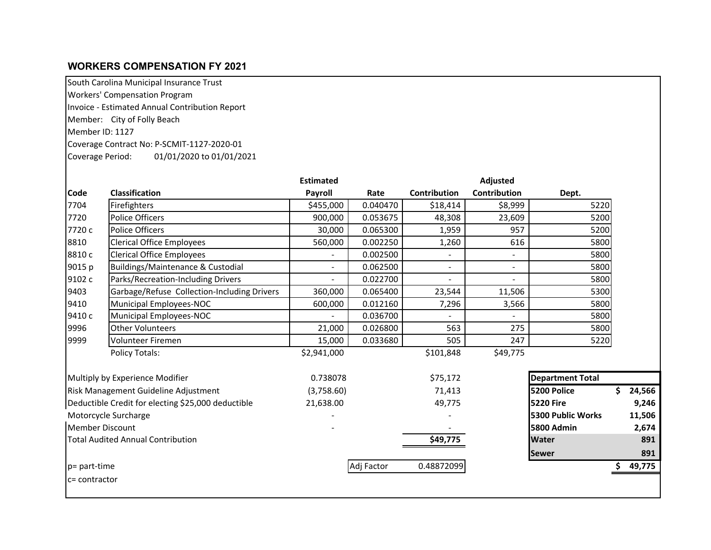# **WORKERS COMPENSATION FY 2021**

South Carolina Municipal Insurance Trust

Workers' Compensation Program

Invoice - Estimated Annual Contribution Report

Member: City of Folly Beach

Member ID: 1127

Coverage Contract No: P-SCMIT-1127-2020-01

Coverage Period: 01/01/2020 to 01/01/2021

|                 |                                                    | <b>Estimated</b> |            |                          | <b>Adjusted</b>          |                         |        |
|-----------------|----------------------------------------------------|------------------|------------|--------------------------|--------------------------|-------------------------|--------|
| <b>Code</b>     | <b>Classification</b>                              | Payroll          | Rate       | Contribution             | <b>Contribution</b>      | Dept.                   |        |
| 7704            | Firefighters                                       | \$455,000        | 0.040470   | \$18,414                 | \$8,999                  | 5220                    |        |
| 7720            | Police Officers                                    | 900,000          | 0.053675   | 48,308                   | 23,609                   | 5200                    |        |
| 7720 c          | <b>Police Officers</b>                             | 30,000           | 0.065300   | 1,959                    | 957                      | 5200                    |        |
| 8810            | <b>Clerical Office Employees</b>                   | 560,000          | 0.002250   | 1,260                    | 616                      | 5800                    |        |
| 8810 c          | <b>Clerical Office Employees</b>                   |                  | 0.002500   |                          | $\overline{\phantom{a}}$ | 5800                    |        |
| 9015 p          | Buildings/Maintenance & Custodial                  | $\blacksquare$   | 0.062500   | $\overline{\phantom{a}}$ | $\sim$                   | 5800                    |        |
| 9102 c          | Parks/Recreation-Including Drivers                 | $\blacksquare$   | 0.022700   | $\blacksquare$           | $\blacksquare$           | 5800                    |        |
| 9403            | Garbage/Refuse Collection-Including Drivers        | 360,000          | 0.065400   | 23,544                   | 11,506                   | 5300                    |        |
| 9410            | Municipal Employees-NOC                            | 600,000          | 0.012160   | 7,296                    | 3,566                    | 5800                    |        |
| 9410 c          | Municipal Employees-NOC                            |                  | 0.036700   |                          |                          | 5800                    |        |
| 9996            | <b>Other Volunteers</b>                            | 21,000           | 0.026800   | 563                      | 275                      | 5800                    |        |
| 9999            | Volunteer Firemen                                  | 15,000           | 0.033680   | 505                      | 247                      | 5220                    |        |
|                 | <b>Policy Totals:</b>                              | \$2,941,000      |            | \$101,848                | \$49,775                 |                         |        |
|                 | Multiply by Experience Modifier                    | 0.738078         |            | \$75,172                 |                          | <b>Department Total</b> |        |
|                 | <b>Risk Management Guideline Adjustment</b>        | (3,758.60)       |            | 71,413                   |                          | 5200 Police             | 24,566 |
|                 | Deductible Credit for electing \$25,000 deductible | 21,638.00        |            | 49,775                   |                          | <b>5220 Fire</b>        | 9,246  |
|                 | Motorcycle Surcharge                               |                  |            |                          |                          | 5300 Public Works       | 11,506 |
| Member Discount |                                                    |                  |            |                          |                          | <b>5800 Admin</b>       | 2,674  |
|                 | <b>Total Audited Annual Contribution</b>           |                  |            | \$49,775                 |                          | <b>Water</b>            | 891    |
|                 |                                                    |                  |            |                          |                          | <b>Sewer</b>            | 891    |
| p= part-time    |                                                    |                  | Adj Factor | 0.48872099               |                          |                         | 49,775 |
| c= contractor   |                                                    |                  |            |                          |                          |                         |        |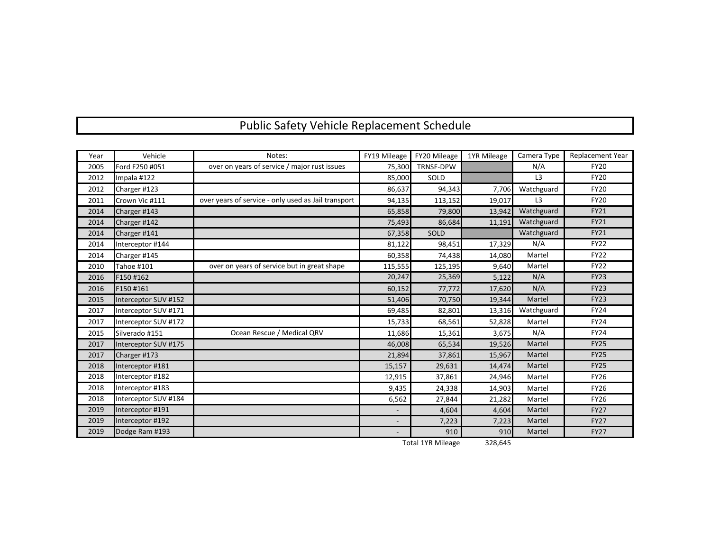# Public Safety Vehicle Replacement Schedule

| Year | Vehicle              | Notes:                                              | FY19 Mileage             | FY20 Mileage     | 1YR Mileage | Camera Type    | <b>Replacement Year</b> |
|------|----------------------|-----------------------------------------------------|--------------------------|------------------|-------------|----------------|-------------------------|
| 2005 | Ford F250 #051       | over on years of service / major rust issues        | 75,300                   | <b>TRNSF-DPW</b> |             | N/A            | <b>FY20</b>             |
| 2012 | Impala #122          |                                                     | 85,000                   | SOLD             |             | L <sub>3</sub> | <b>FY20</b>             |
| 2012 | Charger #123         |                                                     | 86,637                   | 94,343           | 7,706       | Watchguard     | <b>FY20</b>             |
| 2011 | Crown Vic #111       | over years of service - only used as Jail transport | 94,135                   | 113,152          | 19,017      | L <sub>3</sub> | <b>FY20</b>             |
| 2014 | Charger #143         |                                                     | 65,858                   | 79,800           | 13,942      | Watchguard     | <b>FY21</b>             |
| 2014 | Charger #142         |                                                     | 75,493                   | 86,684           | 11,191      | Watchguard     | <b>FY21</b>             |
| 2014 | Charger #141         |                                                     | 67,358                   | SOLD             |             | Watchguard     | <b>FY21</b>             |
| 2014 | Interceptor #144     |                                                     | 81,122                   | 98,451           | 17,329      | N/A            | <b>FY22</b>             |
| 2014 | Charger #145         |                                                     | 60,358                   | 74,438           | 14,080      | Martel         | <b>FY22</b>             |
| 2010 | <b>Tahoe #101</b>    | over on years of service but in great shape         | 115,555                  | 125,195          | 9,640       | Martel         | <b>FY22</b>             |
| 2016 | F150 #162            |                                                     | 20,247                   | 25,369           | 5,122       | N/A            | <b>FY23</b>             |
| 2016 | F150 #161            |                                                     | 60,152                   | 77,772           | 17,620      | N/A            | <b>FY23</b>             |
| 2015 | Interceptor SUV #152 |                                                     | 51,406                   | 70,750           | 19,344      | Martel         | <b>FY23</b>             |
| 2017 | Interceptor SUV #171 |                                                     | 69,485                   | 82,801           | 13,316      | Watchguard     | <b>FY24</b>             |
| 2017 | Interceptor SUV #172 |                                                     | 15,733                   | 68,561           | 52,828      | Martel         | <b>FY24</b>             |
| 2015 | Silverado #151       | Ocean Rescue / Medical QRV                          | 11,686                   | 15,361           | 3,675       | N/A            | <b>FY24</b>             |
| 2017 | Interceptor SUV #175 |                                                     | 46,008                   | 65,534           | 19,526      | Martel         | <b>FY25</b>             |
| 2017 | Charger #173         |                                                     | 21,894                   | 37,861           | 15,967      | Martel         | <b>FY25</b>             |
| 2018 | Interceptor #181     |                                                     | 15,157                   | 29,631           | 14,474      | Martel         | <b>FY25</b>             |
| 2018 | Interceptor #182     |                                                     | 12,915                   | 37,861           | 24,946      | Martel         | <b>FY26</b>             |
| 2018 | Interceptor #183     |                                                     | 9,435                    | 24,338           | 14,903      | Martel         | <b>FY26</b>             |
| 2018 | Interceptor SUV #184 |                                                     | 6,562                    | 27,844           | 21,282      | Martel         | <b>FY26</b>             |
| 2019 | Interceptor #191     |                                                     |                          | 4,604            | 4,604       | Martel         | <b>FY27</b>             |
| 2019 | Interceptor #192     |                                                     | $\overline{\phantom{a}}$ | 7,223            | 7,223       | Martel         | <b>FY27</b>             |
| 2019 | Dodge Ram #193       |                                                     |                          | 910              | 910         | Martel         | <b>FY27</b>             |

Total 1YR Mileage 328,645